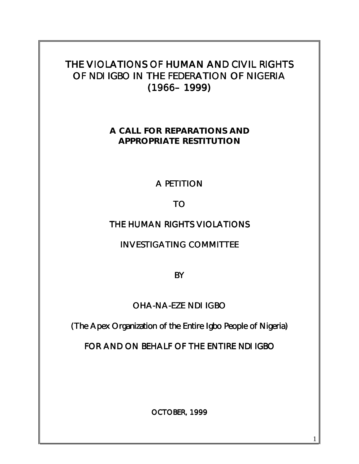# THE VIOLATIONS OF HUMAN AND CIVIL RIGHTS OF *NDI IGBO* IN THE FEDERATION OF NIGERIA (1966– 1999)

**A CALL FOR REPARATIONS AND APPROPRIATE RESTITUTION**

# A PETITION

# TO

# THE HUMAN RIGHTS VIOLATIONS

INVESTIGATING COMMITTEE

**BY** 

# OHA-NA-EZE NDI IGBO

(The Apex Organization of the Entire Igbo People of Nigeria)

FOR AND ON BEHALF OF THE ENTIRE *NDI IGBO*

OCTOBER, 1999

1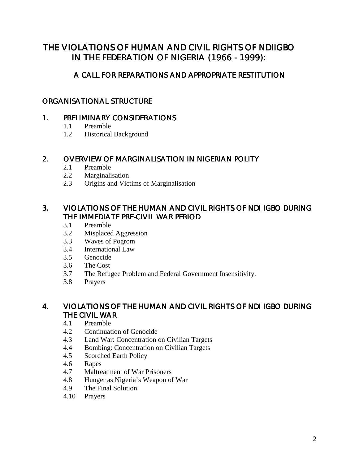# THE VIOLATIONS OF HUMAN AND CIVIL RIGHTS OF NDIIGBO IN THE FEDERATION OF NIGERIA (1966 - 1999):

# A CALL FOR REPARATIONS AND APPROPRIATE RESTITUTION

# ORGANISATIONAL STRUCTURE

#### 1. PRELIMINARY CONSIDERATIONS

- 1.1 Preamble
- 1.2 Historical Background

#### 2. OVERVIEW OF MARGINALISATION IN NIGERIAN POLITY

- 2.1 Preamble
- 2.2 Marginalisation
- 2.3 Origins and Victims of Marginalisation

# 3. VIOLATIONS OF THE HUMAN AND CIVIL RIGHTS OF NDI IGBO DURING THE IMMEDIATE PRE-CIVIL WAR PERIOD

- 3.1 Preamble
- 3.2 Misplaced Aggression
- 3.3 Waves of Pogrom
- 3.4 International Law
- 3.5 Genocide
- 3.6 The Cost
- 3.7 The Refugee Problem and Federal Government Insensitivity.
- 3.8 Prayers

#### 4. VIOLATIONS OF THE HUMAN AND CIVIL RIGHTS OF NDI IGBO DURING THE CIVIL WAR

- 4.1 Preamble
- 4.2 Continuation of Genocide
- 4.3 Land War: Concentration on Civilian Targets
- 4.4 Bombing: Concentration on Civilian Targets<br>4.5 Scorched Earth Policy
- Scorched Earth Policy
- 4.6 Rapes
- 4.7 Maltreatment of War Prisoners
- 4.8 Hunger as Nigeria's Weapon of War
- 4.9 The Final Solution
- 4.10 Prayers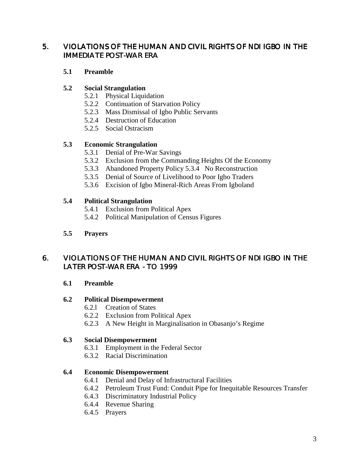# 5. VIOLATIONS OF THE HUMAN AND CIVIL RIGHTS OF NDI IGBO IN THE IMMEDIATE POST-WAR ERA

#### **5.1 Preamble**

#### **5.2 Social Strangulation**

- 5.2.1 Physical Liquidation
- 5.2.2 Continuation of Starvation Policy
- 5.2.3 Mass Dismissal of Igbo Public Servants
- 5.2.4 Destruction of Education
- 5.2.5 Social Ostracism

# **5.3 Economic Strangulation**

- 5.3.1 Denial of Pre-War Savings
- 5.3.2 Exclusion from the Commanding Heights Of the Economy
- 5.3.3 Abandoned Property Policy 5.3.4 No Reconstruction
- 5.3.5 Denial of Source of Livelihood to Poor Igbo Traders
- 5.3.6 Excision of Igbo Mineral-Rich Areas From Igboland

#### **5.4 Political Strangulation**

- 5.4.1 Exclusion from Political Apex
- 5.4.2 Political Manipulation of Census Figures
- **5.5 Prayers**

# 6. VIOLATIONS OF THE HUMAN AND CIVIL RIGHTS OF NDI IGBO IN THE LATER POST-WAR ERA - TO 1999

# **6.1 Preamble**

#### **6.2 Political Disempowerment**

- 6.2.l Creation of States
- 6.2.2 Exclusion from Political Apex
- 6.2.3 A New Height in Marginalisation in Obasanjo's Regime

#### **6.3 Social Disempowerment**

- 6.3.1 Employment in the Federal Sector
- 6.3.2 Racial Discrimination

# **6.4 Economic Disempowerment**

- 6.4.1 Denial and Delay of Infrastructural Facilities
- 6.4.2 Petroleum Trust Fund: Conduit Pipe for Inequitable Resources Transfer
- 6.4.3 Discriminatory Industrial Policy
- 6.4.4 Revenue Sharing
- 6.4.5 Prayers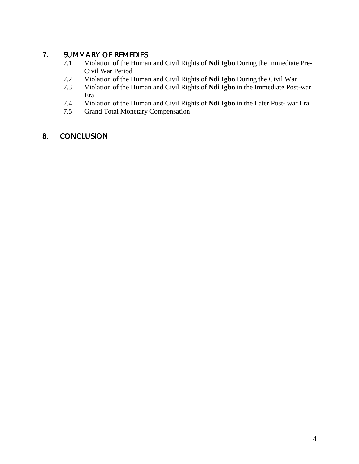# 7. SUMMARY OF REMEDIES

- 7.1 Violation of the Human and Civil Rights of **Ndi Igbo** During the Immediate Pre-Civil War Period
- 7.2 Violation of the Human and Civil Rights of **Ndi Igbo** During the Civil War
- 7.3 Violation of the Human and Civil Rights of **Ndi Igbo** in the Immediate Post-war Era
- 7.4 Violation of the Human and Civil Rights of **Ndi Igbo** in the Later Post- war Era
- Grand Total Monetary Compensation

# 8. CONCLUSION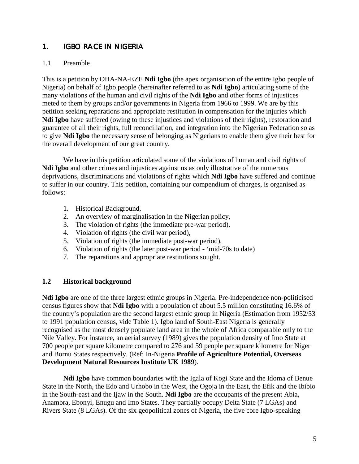# 1. **IGBO RACE IN NIGERIA**

#### 1.1 Preamble

This is a petition by OHA-NA-EZE **Ndi Igbo** (the apex organisation of the entire Igbo people of Nigeria) on behalf of Igbo people (hereinafter referred to as **Ndi Igbo**) articulating some of the many violations of the human and civil rights of the **Ndi Igbo** and other forms of injustices meted to them by groups and/or governments in Nigeria from 1966 to 1999. We are by this petition seeking reparations and appropriate restitution in compensation for the injuries which **Ndi Igbo** have suffered (owing to these injustices and violations of their rights), restoration and guarantee of all their rights, full reconciliation, and integration into the Nigerian Federation so as to give **Ndi Igbo** the necessary sense of belonging as Nigerians to enable them give their best for the overall development of our great country.

We have in this petition articulated some of the violations of human and civil rights of **Ndi Igbo** and other crimes and injustices against us as only illustrative of the numerous deprivations, discriminations and violations of rights which **Ndi Igbo** have suffered and continue to suffer in our country. This petition, containing our compendium of charges, is organised as follows:

- 1. Historical Background,
- 2. An overview of marginalisation in the Nigerian policy,
- 3. The violation of rights (the immediate pre-war period),
- 4. Violation of rights (the civil war period),
- 5. Violation of rights (the immediate post-war period),
- 6. Violation of rights (the later post-war period 'mid-70s to date)
- 7. The reparations and appropriate restitutions sought.

#### **1.2 Historical background**

**Ndi Igbo** are one of the three largest ethnic groups in Nigeria. Pre-independence non-politicised census figures show that **Ndi Igbo** with a population of about 5.5 million constituting 16.6% of the country's population are the second largest ethnic group in Nigeria (Estimation from 1952/53 to 1991 population census, vide Table 1). Igbo land of South-East Nigeria is generally recognised as the most densely populate land area in the whole of Africa comparable only to the Nile Valley. For instance, an aerial survey (1989) gives the population density of Imo State at 700 people per square kilometre compared to 276 and 59 people per square kilometre for Niger and Bornu States respectively. (Ref: In-Nigeria **Profile of Agriculture Potential, Overseas Development Natural Resources Institute UK 1989**).

**Ndi Igbo** have common boundaries with the Igala of Kogi State and the Idoma of Benue State in the North, the Edo and Urhobo in the West, the Ogoja in the East, the Efik and the Ibibio in the South-east and the Ijaw in the South. **Ndi Igbo** are the occupants of the present Abia, Anambra, Ebonyi, Enugu and Imo States. They partially occupy Delta State (7 LGAs) and Rivers State (8 LGAs). Of the six geopolitical zones of Nigeria, the five core Igbo-speaking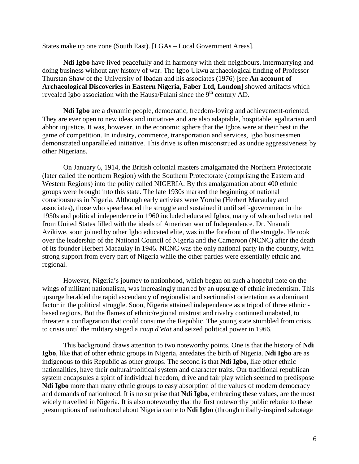States make up one zone (South East). [LGAs – Local Government Areas].

**Ndi Igbo** have lived peacefully and in harmony with their neighbours, intermarrying and doing business without any history of war. The Igbo Ukwu archaeological finding of Professor Thurstan Shaw of the University of Ibadan and his associates (1976) [see **An account of Archaeological Discoveries in Eastern Nigeria, Faber Ltd, London**] showed artifacts which revealed Igbo association with the Hausa/Fulani since the 9<sup>th</sup> century AD.

**Ndi Igbo** are a dynamic people, democratic, freedom-loving and achievement-oriented. They are ever open to new ideas and initiatives and are also adaptable, hospitable, egalitarian and abhor injustice. It was, however, in the economic sphere that the Igbos were at their best in the game of competition. In industry, commerce, transportation and services, Igbo businessmen demonstrated unparalleled initiative. This drive is often misconstrued as undue aggressiveness by other Nigerians.

On January 6, 1914, the British colonial masters amalgamated the Northern Protectorate (later called the northern Region) with the Southern Protectorate (comprising the Eastern and Western Regions) into the polity called NIGERIA. By this amalgamation about 400 ethnic groups were brought into this state. The late 1930s marked the beginning of national consciousness in Nigeria. Although early activists were Yoruba (Herbert Macaulay and associates), those who spearheaded the struggle and sustained it until self-government in the 1950s and political independence in 1960 included educated Igbos, many of whom had returned from United States filled with the ideals of American war of Independence. Dr. Nnamdi Azikiwe, soon joined by other Igbo educated elite, was in the forefront of the struggle. He took over the leadership of the National Council of Nigeria and the Cameroon (NCNC) after the death of its founder Herbert Macaulay in 1946. NCNC was the only national party in the country, with strong support from every part of Nigeria while the other parties were essentially ethnic and regional.

However, Nigeria's journey to nationhood, which began on such a hopeful note on the wings of militant nationalism, was increasingly marred by an upsurge of ethnic irredentism. This upsurge heralded the rapid ascendancy of regionalist and sectionalist orientation as a dominant factor in the political struggle. Soon, Nigeria attained independence as a tripod of three ethnic based regions. But the flames of ethnic/regional mistrust and rivalry continued unabated, to threaten a conflagration that could consume the Republic. The young state stumbled from crisis to crisis until the military staged a *coup d'etat* and seized political power in 1966.

This background draws attention to two noteworthy points. One is that the history of **Ndi Igbo**, like that of other ethnic groups in Nigeria, antedates the birth of Nigeria. **Ndi Igbo** are as indigenous to this Republic as other groups. The second is that **Ndi Igbo**, like other ethnic nationalities, have their cultural/political system and character traits. Our traditional republican system encapsules a spirit of individual freedom, drive and fair play which seemed to predispose **Ndi Igbo** more than many ethnic groups to easy absorption of the values of modern democracy and demands of nationhood. It is no surprise that **Ndi Igbo**, embracing these values, are the most widely travelled in Nigeria. It is also noteworthy that the first noteworthy public rebuke to these presumptions of nationhood about Nigeria came to **Ndi Igbo** (through tribally-inspired sabotage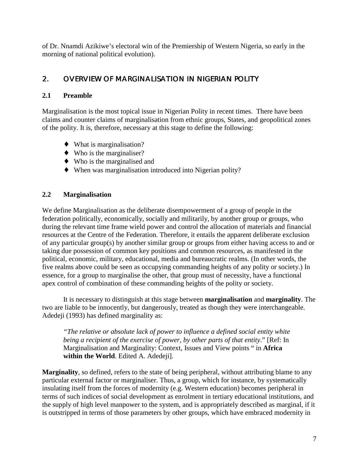of Dr. Nnamdi Azikiwe's electoral win of the Premiership of Western Nigeria, so early in the morning of national political evolution).

# 2. OVERVIEW OF MARGINALISATION IN NIGERIAN POLITY

# **2.1 Preamble**

Marginalisation is the most topical issue in Nigerian Polity in recent times. There have been claims and counter claims of marginalisation from ethnic groups, States, and geopolitical zones of the polity. It is, therefore, necessary at this stage to define the following:

- ♦ What is marginalisation?
- $\blacklozenge$  Who is the marginaliser?
- $\bullet$  Who is the marginalised and
- ♦ When was marginalisation introduced into Nigerian polity?

# **2.2 Marginalisation**

We define Marginalisation as the deliberate disempowerment of a group of people in the federation politically, economically, socially and militarily, by another group or groups, who during the relevant time frame wield power and control the allocation of materials and financial resources at the Centre of the Federation. Therefore, it entails the apparent deliberate exclusion of any particular group(s) by another similar group or groups from either having access to and or taking due possession of common key positions and common resources, as manifested in the political, economic, military, educational, media and bureaucratic realms. (In other words, the five realms above could be seen as occupying commanding heights of any polity or society.) In essence, for a group to marginalise the other, that group must of necessity, have a functional apex control of combination of these commanding heights of the polity or society.

It is necessary to distinguish at this stage between **marginalisation** and **marginality**. The two are liable to be innocently, but dangerously, treated as though they were interchangeable. Adedeji (1993) has defined marginality as:

*"The relative or absolute lack of power to influence a defined social entity white being a recipient of the exercise of power, by other parts of that entity*." [Ref: In Marginalisation and Marginality: Context, Issues and View points " in **Africa within the World**. Edited A. Adedeji].

**Marginality**, so defined, refers to the state of being peripheral, without attributing blame to any particular external factor or marginaliser. Thus, a group, which for instance, by systematically insulating itself from the forces of modernity (e.g. Western education) becomes peripheral in terms of such indices of social development as enrolment in tertiary educational institutions, and the supply of high level manpower to the system, and is appropriately described as marginal, if it is outstripped in terms of those parameters by other groups, which have embraced modernity in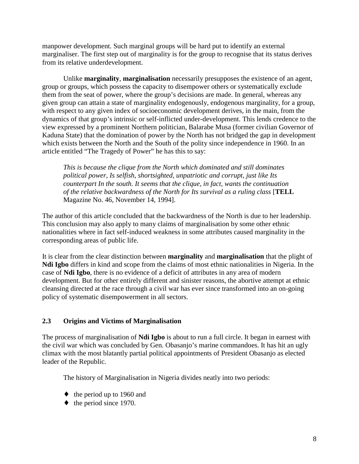manpower development. Such marginal groups will be hard put to identify an external marginaliser. The first step out of marginality is for the group to recognise that its status derives from its relative underdevelopment.

Unlike **marginality**, **marginalisation** necessarily presupposes the existence of an agent, group or groups, which possess the capacity to disempower others or systematically exclude them from the seat of power, where the group's decisions are made. In general, whereas any given group can attain a state of marginality endogenously, endogenous marginality, for a group, with respect to any given index of socioeconomic development derives, in the main, from the dynamics of that group's intrinsic or self-inflicted under-development. This lends credence to the view expressed by a prominent Northern politician, Balarabe Musa (former civilian Governor of Kaduna State) that the domination of power by the North has not bridged the gap in development which exists between the North and the South of the polity since independence in 1960. In an article entitled "The Tragedy of Power" he has this to say:

*This is because the clique from the North which dominated and still dominates political power, Is selfish, shortsighted, unpatriotic and corrupt, just like Its counterpart In the south. It seems that the clique, in fact, wants the continuation of the relative backwardness of the North for Its survival as a ruling class* [**TELL** Magazine No. 46, November 14, 1994].

The author of this article concluded that the backwardness of the North is due to her leadership. This conclusion may also apply to many claims of marginalisation by some other ethnic nationalities where in fact self-induced weakness in some attributes caused marginality in the corresponding areas of public life.

It is clear from the clear distinction between **marginality** and **marginalisation** that the plight of **Ndi Igbo** differs in kind and scope from the claims of most ethnic nationalities in Nigeria. In the case of **Ndi Igbo**, there is no evidence of a deficit of attributes in any area of modern development. But for other entirely different and sinister reasons, the abortive attempt at ethnic cleansing directed at the race through a civil war has ever since transformed into an on-going policy of systematic disempowerment in all sectors.

# **2.3 Origins and Victims of Marginalisation**

The process of marginalisation of **Ndi Igbo** is about to run a full circle. It began in earnest with the civil war which was concluded by Gen. Obasanjo's marine commandoes. It has hit an ugly climax with the most blatantly partial political appointments of President Obasanjo as elected leader of the Republic.

The history of Marginalisation in Nigeria divides neatly into two periods:

- $\bullet$  the period up to 1960 and
- $\leftrightarrow$  the period since 1970.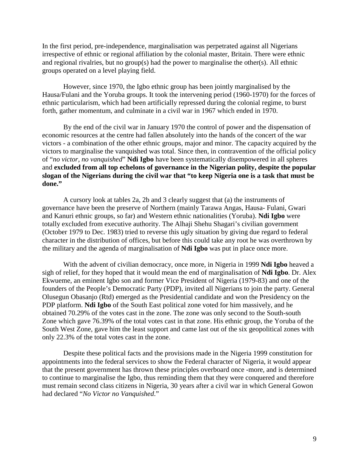In the first period, pre-independence, marginalisation was perpetrated against all Nigerians irrespective of ethnic or regional affiliation by the colonial master, Britain. There were ethnic and regional rivalries, but no group(s) had the power to marginalise the other(s). All ethnic groups operated on a level playing field.

However, since 1970, the Igbo ethnic group has been jointly marginalised by the Hausa/Fulani and the Yoruba groups. It took the intervening period (1960-1970) for the forces of ethnic particularism, which had been artificially repressed during the colonial regime, to burst forth, gather momentum, and culminate in a civil war in 1967 which ended in 1970.

By the end of the civil war in January 1970 the control of power and the dispensation of economic resources at the centre had fallen absolutely into the hands of the concert of the war victors - a combination of the other ethnic groups, major and minor. The capacity acquired by the victors to marginalise the vanquished was total. Since then, in contravention of the official policy of "*no victor, no vanquished*" **Ndi Igbo** have been systematically disempowered in all spheres and **excluded from all top echelons of governance in the Nigerian polity, despite the popular slogan of the Nigerians during the civil war that "to keep Nigeria one is a task that must be done."**

A cursory look at tables 2a, 2b and 3 clearly suggest that (a) the instruments of governance have been the preserve of Northern (mainly Tarawa Angas, Hausa- Fulani, Gwari and Kanuri ethnic groups, so far) and Western ethnic nationalities (Yoruba). **Ndi Igbo** were totally excluded from executive authority. The Alhaji Shehu Shagari's civilian government (October 1979 to Dec. 1983) tried to reverse this ugly situation by giving due regard to federal character in the distribution of offices, but before this could take any root he was overthrown by the military and the agenda of marginalisation of **Ndi Igbo** was put in place once more.

With the advent of civilian democracy, once more, in Nigeria in 1999 **Ndi Igbo** heaved a sigh of relief, for they hoped that it would mean the end of marginalisation of **Ndi Igbo**. Dr. Alex Ekwueme, an eminent Igbo son and former Vice President of Nigeria (1979-83) and one of the founders of the People's Democratic Party (PDP), invited all Nigerians to join the party. General Olusegun Obasanjo (Rtd) emerged as the Presidential candidate and won the Presidency on the PDP platform. **Ndi Igbo** of the South East political zone voted for him massively, and he obtained 70.29% of the votes cast in the zone. The zone was only second to the South-south Zone which gave 76.39% of the total votes cast in that zone. His ethnic group, the Yoruba of the South West Zone, gave him the least support and came last out of the six geopolitical zones with only 22.3% of the total votes cast in the zone.

Despite these political facts and the provisions made in the Nigeria 1999 constitution for appointments into the federal services to show the Federal character of Nigeria, it would appear that the present government has thrown these principles overboard once -more, and is determined to continue to marginalise the Igbo, thus reminding them that they were conquered and therefore must remain second class citizens in Nigeria, 30 years after a civil war in which General Gowon had declared "*No Victor no Vanquished*."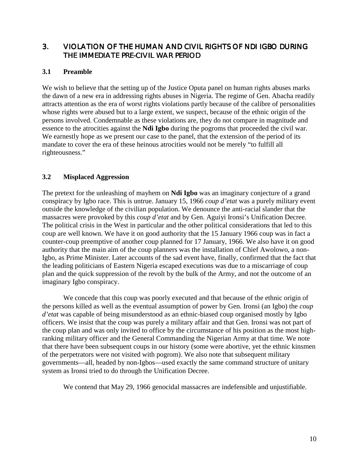### 3. VIOLATION OF THE HUMAN AND CIVIL RIGHTS OF NDI IGBO DURING THE IMMEDIATE PRE-CIVIL WAR PERIOD

#### **3.1 Preamble**

We wish to believe that the setting up of the Justice Oputa panel on human rights abuses marks the dawn of a new era in addressing rights abuses in Nigeria. The regime of Gen. Abacha readily attracts attention as the era of worst rights violations partly because of the calibre of personalities whose rights were abused but to a large extent, we suspect, because of the ethnic origin of the persons involved. Condemnable as these violations are, they do not compare in magnitude and essence to the atrocities against the **Ndi Igbo** during the pogroms that proceeded the civil war. We earnestly hope as we present our case to the panel, that the extension of the period of its mandate to cover the era of these heinous atrocities would not be merely "to fulfill all righteousness."

#### **3.2 Misplaced Aggression**

The pretext for the unleashing of mayhem on **Ndi Igbo** was an imaginary conjecture of a grand conspiracy by Igbo race. This is untrue. January 15, 1966 *coup d'etat* was a purely military event outside the knowledge of the civilian population. We denounce the anti-racial slander that the massacres were provoked by this *coup d'etat* and by Gen. Aguiyi Ironsi's Unification Decree. The political crisis in the West in particular and the other political considerations that led to this coup are well known. We have it on good authority that the 15 January 1966 coup was in fact a counter-coup preemptive of another coup planned for 17 January, 1966. We also have it on good authority that the main aim of the coup planners was the installation of Chief Awolowo, a non-Igbo, as Prime Minister. Later accounts of the sad event have, finally, confirmed that the fact that the leading politicians of Eastern Nigeria escaped executions was due to a miscarriage of coup plan and the quick suppression of the revolt by the bulk of the Army, and not the outcome of an imaginary Igbo conspiracy.

We concede that this coup was poorly executed and that because of the ethnic origin of the persons killed as well as the eventual assumption of power by Gen. Ironsi (an Igbo) the *coup d'etat* was capable of being misunderstood as an ethnic-biased coup organised mostly by Igbo officers. We insist that the coup was purely a military affair and that Gen. Ironsi was not part of the coup plan and was only invited to office by the circumstance of his position as the most highranking military officer and the General Commanding the Nigerian Army at that time. We note that there have been subsequent coups in our history (some were abortive, yet the ethnic kinsmen of the perpetrators were not visited with pogrom). We also note that subsequent military governments—all, headed by non-Igbos—used exactly the same command structure of unitary system as Ironsi tried to do through the Unification Decree.

We contend that May 29, 1966 genocidal massacres are indefensible and unjustifiable.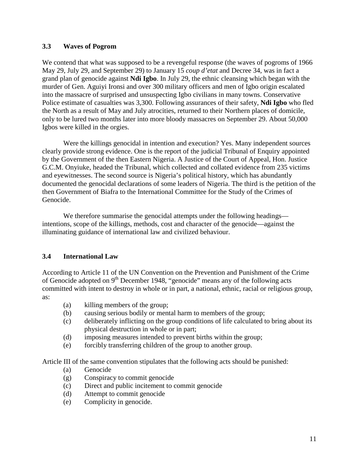#### **3.3 Waves of Pogrom**

We contend that what was supposed to be a revengeful response (the waves of pogroms of 1966 May 29, July 29, and September 29) to January 15 *coup d'etat* and Decree 34, was in fact a grand plan of genocide against **Ndi Igbo**. In July 29, the ethnic cleansing which began with the murder of Gen. Aguiyi Ironsi and over 300 military officers and men of Igbo origin escalated into the massacre of surprised and unsuspecting Igbo civilians in many towns. Conservative Police estimate of casualties was 3,300. Following assurances of their safety, **Ndi Igbo** who fled the North as a result of May and July atrocities, returned to their Northern places of domicile, only to be lured two months later into more bloody massacres on September 29. About 50,000 Igbos were killed in the orgies.

Were the killings genocidal in intention and execution? Yes. Many independent sources clearly provide strong evidence. One is the report of the judicial Tribunal of Enquiry appointed by the Government of the then Eastern Nigeria. A Justice of the Court of Appeal, Hon. Justice G.C.M. Onyiuke, headed the Tribunal, which collected and collated evidence from 235 victims and eyewitnesses. The second source is Nigeria's political history, which has abundantly documented the genocidal declarations of some leaders of Nigeria. The third is the petition of the then Government of Biafra to the International Committee for the Study of the Crimes of Genocide.

We therefore summarise the genocidal attempts under the following headings intentions, scope of the killings, methods, cost and character of the genocide—against the illuminating guidance of international law and civilized behaviour.

#### **3.4 International Law**

According to Article 11 of the UN Convention on the Prevention and Punishment of the Crime of Genocide adopted on  $9<sup>th</sup>$  December 1948, "genocide" means any of the following acts committed with intent to destroy in whole or in part, a national, ethnic, racial or religious group, as:

- (a) killing members of the group;
- (b) causing serious bodily or mental harm to members of the group;
- (c) deliberately inflicting on the group conditions of life calculated to bring about its physical destruction in whole or in part;
- (d) imposing measures intended to prevent births within the group;
- (e) forcibly transferring children of the group to another group.

Article III of the same convention stipulates that the following acts should be punished:

- (a) Genocide
- (g) Conspiracy to commit genocide
- (c) Direct and public incitement to commit genocide
- (d) Attempt to commit genocide
- (e) Complicity in genocide.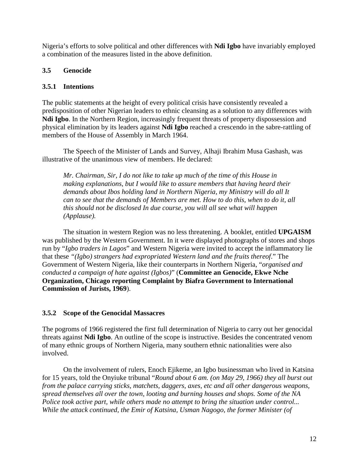Nigeria's efforts to solve political and other differences with **Ndi Igbo** have invariably employed a combination of the measures listed in the above definition.

# **3.5 Genocide**

# **3.5.1 Intentions**

The public statements at the height of every political crisis have consistently revealed a predisposition of other Nigerian leaders to ethnic cleansing as a solution to any differences with **Ndi Igbo**. In the Northern Region, increasingly frequent threats of property dispossession and physical elimination by its leaders against **Ndi Igbo** reached a crescendo in the sabre-rattling of members of the House of Assembly in March 1964.

The Speech of the Minister of Lands and Survey, Alhaji Ibrahim Musa Gashash, was illustrative of the unanimous view of members. He declared:

*Mr. Chairman, Sir, I do not like to take up much of the time of this House in making explanations, but I would like to assure members that having heard their demands about Ibos holding land in Northern Nigeria, my Ministry will do all It can to see that the demands of Members are met. How to do this, when to do it, all this should not be disclosed In due course, you will all see what will happen (Applause).*

The situation in western Region was no less threatening. A booklet, entitled **UPGAISM** was published by the Western Government. In it were displayed photographs of stores and shops run by "*Igbo traders in Lagos*" and Western Nigeria were invited to accept the inflammatory lie that these *"(Igbo) strangers had expropriated Western land and the fruits thereof*." The Government of Western Nigeria, like their counterparts in Northern Nigeria, "*organised and conducted a campaign of hate against (Igbos)*" (**Committee an Genocide, Ekwe Nche Organization, Chicago reporting Complaint by Biafra Government to International Commission of Jurists, 1969**).

# **3.5.2 Scope of the Genocidal Massacres**

The pogroms of 1966 registered the first full determination of Nigeria to carry out her genocidal threats against **Ndi Igbo**. An outline of the scope is instructive. Besides the concentrated venom of many ethnic groups of Northern Nigeria, many southern ethnic nationalities were also involved.

On the involvement of rulers, Enoch Ejikeme, an Igbo businessman who lived in Katsina for 15 years, told the Onyiuke tribunal "*Round about 6 am. (on May 29, 1966) they all burst out from the palace carrying sticks, matchets, daggers, axes, etc and all other dangerous weapons, spread themselves all over the town, looting and burning houses and shops. Some of the NA Police took active part, while others made no attempt to bring the situation under control... While the attack continued, the Emir of Katsina, Usman Nagogo, the former Minister (of*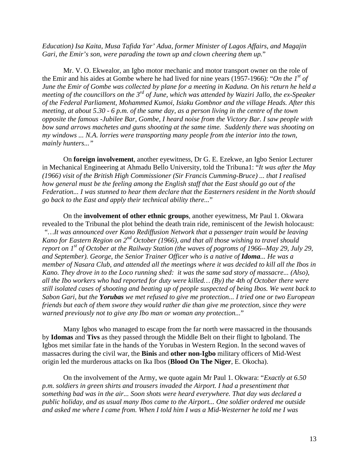*Education) Isa Kaita, Musa Tafida Yar' Adua, former Minister of Lagos Affairs, and Magajin Gari, the Emir's son, were parading the town up and clown cheering them up.*"

Mr. V. O. Ekwealor, an Igbo motor mechanic and motor transport owner on the role of the Emir and his aides at Gombe where he had lived for nine years (1957-1966): "*On the 1st of June the Emir of Gombe was collected by plane for a meeting in Kaduna. On his return he held a meeting of the councillors on the 3rd of June, which was attended by Waziri Jallo, the ex-Speaker of the Federal Parliament, Mohammed Kumoi, Isiaku Gombnor and the village Heads. After this meeting, at about 5.30 - 6 p.m. of the same day, as a person living in the centre of the town opposite the famous -Jubilee Bar, Gombe, I heard noise from the Victory Bar. I saw people with bow sand arrows machetes and guns shooting at the same time. Suddenly there was shooting on my windows ... N.A. lorries were transporting many people from the interior into the town, mainly hunters..."*

On **foreign involvement**, another eyewitness, Dr G. E. Ezekwe, an Igbo Senior Lecturer in Mechanical Engineering at Ahmadu Bello University, told the Tribuna1: "*It was after the May (1966) visit of the British High Commissioner (Sir Francis Cumming-Bruce) ... that I realised how general must be the feeling among the English staff that the East should go out of the Federation... I was stunned to hear them declare that the Easterners resident in the North should go back to the East and apply their technical ability there...*"

On the **involvement of other ethnic groups**, another eyewitness, Mr Paul 1. Okwara revealed to the Tribunal the plot behind the death train ride, reminiscent of the Jewish holocaust: *"…It was announced over Kano Rediffusion Network that a passenger train would be leaving Kano for Eastern Region on 2nd October (1966), and that all those wishing to travel should report on 1<sup>st</sup> of October at the Railway Station (the waves of pogroms of 1966--May 29, July 29, and September). George, the Senior Trainer Officer who is a native of <i>Idoma... He was a member of Nasara Club, and attended all the meetings where it was decided to kill all the Ibos in Kano. They drove in to the Loco running shed: it was the same sad story of massacre... (Also), all the Ibo workers who had reported for duty were killed… (By) the 4th of October there were still isolated cases of shooting and beating up of people suspected of being Ibos. We went back to Sabon Gari, but the Yorubas we met refused to give me protection... I tried one or two European friends but each of them swore they would rather die than give me protection, since they were warned previously not to give any Ibo man or woman any protection...*"

Many Igbos who managed to escape from the far north were massacred in the thousands by **Idomas** and **Tivs** as they passed through the Middle Belt on their flight to Igboland. The Igbos met similar fate in the hands of the Yorubas in Western Region. In the second waves of massacres during the civil war, the **Binis** and **other non-Igbo** military officers of Mid-West origin led the murderous attacks on Ika Ibos (**Blood On The Niger**, E. Okocha).

On the involvement of the Army, we quote again Mr Paul 1. Okwara: "*Exactly at 6.50 p.m. soldiers in green shirts and trousers invaded the Airport. I had a presentiment that something bad was in the air... Soon shots were heard everywhere. That day was declared a public holiday, and as usual many Ibos came to the Airport... One soldier ordered me outside and asked me where I came from. When I told him I was a Mid-Westerner he told me I was*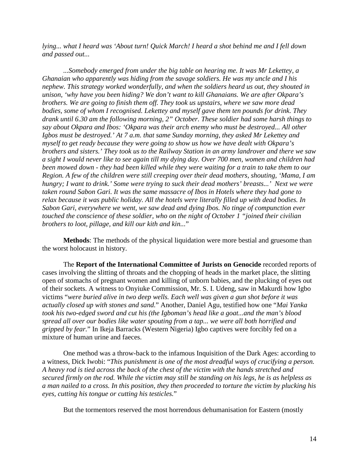*lying... what I heard was 'About turn! Quick March! I heard a shot behind me and I fell down and passed out...*

*...Somebody emerged from under the big table on hearing me. It was Mr Lekettey, a Ghanaian who apparently was hiding from the savage soldiers. He was my uncle and I his nephew. This strategy worked wonderfully, and when the soldiers heard us out, they shouted in unison, 'why have you been hiding? We don't want to kill Ghanaians. We are after Okpara's brothers. We are going to finish them off. They took us upstairs, where we saw more dead bodies, some of whom I recognised. Lekettey and myself gave them ten pounds for drink. They drank until 6.30 am the following morning, 2" October. These soldier had some harsh things to say about Okpara and Ibos: 'Okpara was their arch enemy who must be destroyed... All other Igbos must be destroyed.' At 7 a.m. that same Sunday morning, they asked Mr Lekettey and myself to get ready because they were going to show us how we have dealt with Okpara's brothers and sisters.' They took us to the Railway Station in an army landrover and there we saw a sight I would never like to see again till my dying day. Over 700 men, women and children had been mowed down - they had been killed while they were waiting for a train to take them to our Region. A few of the children were still creeping over their dead mothers, shouting, 'Mama, I am hungry; I want to drink.' Some were trying to suck their dead mothers' breasts...' Next we were taken round Sabon Gari. It was the same massacre of Ibos in Hotels where they had gone to relax because it was public holiday. All the hotels were literally filled up with dead bodies. In Sabon Gari, everywhere we went, we saw dead and dying Ibos. No tinge of compunction ever touched the conscience of these soldier, who on the night of October 1 "joined their civilian brothers to loot, pillage, and kill our kith and kin...*"

**Methods**: The methods of the physical liquidation were more bestial and gruesome than the worst holocaust in history.

The **Report of the International Committee of Jurists on Genocide** recorded reports of cases involving the slitting of throats and the chopping of heads in the market place, the slitting open of stomachs of pregnant women and killing of unborn babies, and the plucking of eyes out of their sockets. A witness to Onyiuke Commission, Mr. S. I. Udeng, saw in Makurdi how Igbo victims "*were buried alive in two deep wells. Each well was given a gun shot before it was actually closed up with stones and sand.*" Another, Daniel Agu, testified how one "*Mai Yanka took his two-edged sword and cut his (the Igboman's head like a goat...and the man's blood spread all over our bodies like water spouting from a tap... we were all both horrified and gripped by fear.*" In Ikeja Barracks (Western Nigeria) Igbo captives were forcibly fed on a mixture of human urine and faeces.

One method was a throw-back to the infamous Inquisition of the Dark Ages: according to a witness, Dick Iwobi: "*This punishment is one of the most dreadful ways of crucifying a person. A heavy rod is tied across the back of the chest of the victim with the hands stretched and secured firmly on the rod. While the victim may still be standing on his legs, he is as helpless as a man nailed to a cross. In this position, they then proceeded to torture the victim by plucking his eyes, cutting his tongue or cutting his testicles.*"

But the tormentors reserved the most horrendous dehumanisation for Eastern (mostly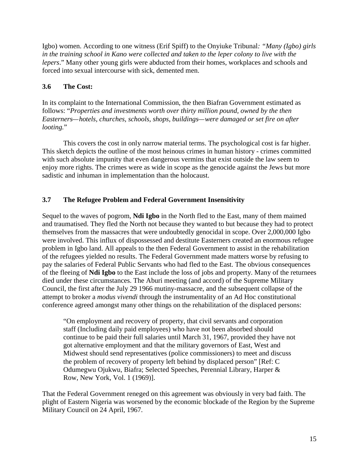Igbo) women. According to one witness (Erif Spiff) to the Onyiuke Tribunal*: "Many (Igbo) girls in the training school in Kano were collected and taken to the leper colony to live with the lepers*." Many other young girls were abducted from their homes, workplaces and schools and forced into sexual intercourse with sick, demented men.

#### **3.6 The Cost:**

In its complaint to the International Commission, the then Biafran Government estimated as follows: "*Properties and investments worth over thirty million pound, owned by the then Easterners—hotels, churches, schools, shops, buildings—were damaged or set fire on after looting.*"

This covers the cost in only narrow material terms. The psychological cost is far higher. This sketch depicts the outline of the most heinous crimes in human history - crimes committed with such absolute impunity that even dangerous vermins that exist outside the law seem to enjoy more rights. The crimes were as wide in scope as the genocide against the Jews but more sadistic and inhuman in implementation than the holocaust.

#### **3.7 The Refugee Problem and Federal Government Insensitivity**

Sequel to the waves of pogrom, **Ndi Igbo** in the North fled to the East, many of them maimed and traumatised. They fled the North not because they wanted to but because they had to protect themselves from the massacres that were undoubtedly genocidal in scope. Over 2,000,000 Igbo were involved. This influx of dispossessed and destitute Easterners created an enormous refugee problem in Igbo land. All appeals to the then Federal Government to assist in the rehabilitation of the refugees yielded no results. The Federal Government made matters worse by refusing to pay the salaries of Federal Public Servants who had fled to the East. The obvious consequences of the fleeing of **Ndi Igbo** to the East include the loss of jobs and property. Many of the returnees died under these circumstances. The Aburi meeting (and accord) of the Supreme Military Council, the first after the July 29 1966 mutiny-massacre, and the subsequent collapse of the attempt to broker a *modus vivendi* through the instrumentality of an Ad Hoc constitutional conference agreed amongst many other things on the rehabilitation of the displaced persons:

"On employment and recovery of property, that civil servants and corporation staff (Including daily paid employees) who have not been absorbed should continue to be paid their full salaries until March 31, 1967, provided they have not got alternative employment and that the military governors of East, West and Midwest should send representatives (police commissioners) to meet and discuss the problem of recovery of property left behind by displaced person" [Ref: C Odumegwu Ojukwu, Biafra; Selected Speeches, Perennial Library, Harper & Row, New York, Vol. 1 (1969)].

That the Federal Government reneged on this agreement was obviously in very bad faith. The plight of Eastern Nigeria was worsened by the economic blockade of the Region by the Supreme Military Council on 24 April, 1967.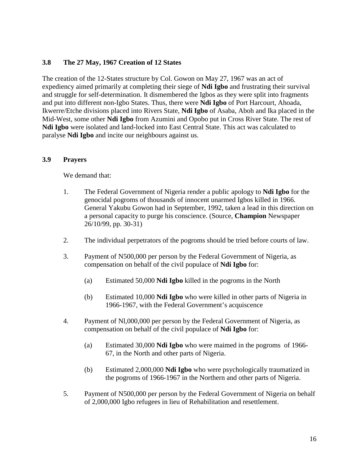#### **3.8 The 27 May, 1967 Creation of 12 States**

The creation of the 12-States structure by Col. Gowon on May 27, 1967 was an act of expediency aimed primarily at completing their siege of **Ndi Igbo** and frustrating their survival and struggle for self-determination. It dismembered the Igbos as they were split into fragments and put into different non-Igbo States. Thus, there were **Ndi Igbo** of Port Harcourt, Ahoada, Ikwerre/Etche divisions placed into Rivers State, **Ndi Igbo** of Asaba, Aboh and Ika placed in the Mid-West, some other **Ndi Igbo** from Azumini and Opobo put in Cross River State. The rest of **Ndi Igbo** were isolated and land-locked into East Central State. This act was calculated to paralyse **Ndi Igbo** and incite our neighbours against us.

#### **3.9 Prayers**

We demand that:

- 1. The Federal Government of Nigeria render a public apology to **Ndi Igbo** for the genocidal pogroms of thousands of innocent unarmed Igbos killed in 1966. General Yakubu Gowon had in September, 1992, taken a lead in this direction on a personal capacity to purge his conscience. (Source, **Champion** Newspaper 26/10/99, pp. 30-31)
- 2. The individual perpetrators of the pogroms should be tried before courts of law.
- 3. Payment of N500,000 per person by the Federal Government of Nigeria, as compensation on behalf of the civil populace of **Ndi Igbo** for:
	- (a) Estimated 50,000 **Ndi Igbo** killed in the pogroms in the North
	- (b) Estimated 10,000 **Ndi Igbo** who were killed in other parts of Nigeria in 1966-1967, with the Federal Government's acquiscence
- 4. Payment of Nl,000,000 per person by the Federal Government of Nigeria, as compensation on behalf of the civil populace of **Ndi Igbo** for:
	- (a) Estimated 30,000 **Ndi Igbo** who were maimed in the pogroms of 1966- 67, in the North and other parts of Nigeria.
	- (b) Estimated 2,000,000 **Ndi Igbo** who were psychologically traumatized in the pogroms of 1966-1967 in the Northern and other parts of Nigeria.
- 5. Payment of N500,000 per person by the Federal Government of Nigeria on behalf of 2,000,000 Igbo refugees in lieu of Rehabilitation and resettlement.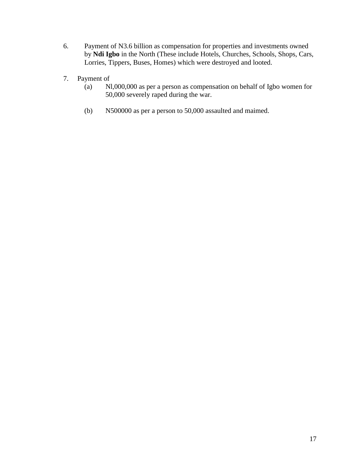- 6. Payment of N3.6 billion as compensation for properties and investments owned by **Ndi Igbo** in the North (These include Hotels, Churches, Schools, Shops, Cars, Lorries, Tippers, Buses, Homes) which were destroyed and looted.
- 7. Payment of
	- (a) Nl,000,000 as per a person as compensation on behalf of Igbo women for 50,000 severely raped during the war.
	- (b) N500000 as per a person to 50,000 assaulted and maimed.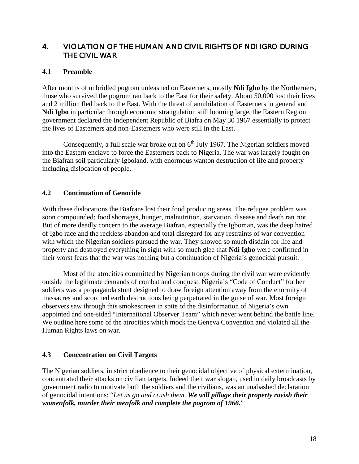# 4. VIOLATION OF THE HUMAN AND CIVIL RIGHTS OF NDI IGRO DURING THE CIVIL WAR

#### **4.1 Preamble**

After months of unbridled pogrom unleashed on Easterners, mostly **Ndi Igbo** by the Northerners, those who survived the pogrom ran back to the East for their safety. About 50,000 lost their lives and 2 million fled back to the East. With the threat of annihilation of Easterners in general and **Ndi Igbo** in particular through economic strangulation still looming large, the Eastern Region government declared the Independent Republic of Biafra on May 30 1967 essentially to protect the lives of Easterners and non-Easterners who were still in the East.

Consequently, a full scale war broke out on  $6<sup>th</sup>$  July 1967. The Nigerian soldiers moved into the Eastern enclave to force the Easterners back to Nigeria. The war was largely fought on the Biafran soil particularly Igboland, with enormous wanton destruction of life and property including dislocation of people.

#### **4.2 Continuation of Genocide**

With these dislocations the Biafrans lost their food producing areas. The refugee problem was soon compounded: food shortages, hunger, malnutrition, starvation, disease and death ran riot. But of more deadly concern to the average Biafran, especially the Igboman, was the deep hatred of Igbo race and the reckless abandon and total disregard for any restraints of war convention with which the Nigerian soldiers pursued the war. They showed so much disdain for life and property and destroyed everything in sight with so much glee that **Ndi Igbo** were confirmed in their worst fears that the war was nothing but a continuation of Nigeria's genocidal pursuit.

Most of the atrocities committed by Nigerian troops during the civil war were evidently outside the legitimate demands of combat and conquest. Nigeria's "Code of Conduct" for her soldiers was a propaganda stunt designed to draw foreign attention away from the enormity of massacres and scorched earth destructions being perpetrated in the guise of war. Most foreign observers saw through this smokescreen in spite of the disinformation of Nigeria's own appointed and one-sided "International Observer Team" which never went behind the battle line. We outline here some of the atrocities which mock the Geneva Convention and violated all the Human Rights laws on war.

#### **4.3 Concentration on Civil Targets**

The Nigerian soldiers, in strict obedience to their genocidal objective of physical extermination, concentrated their attacks on civilian targets. Indeed their war slogan, used in daily broadcasts by government radio to motivate both the soldiers and the civilians, was an unabashed declaration of genocidal intentions: "*Let us go and crush them. We will pillage their property ravish their womenfolk, murder their menfolk and complete the pogrom of 1966.*"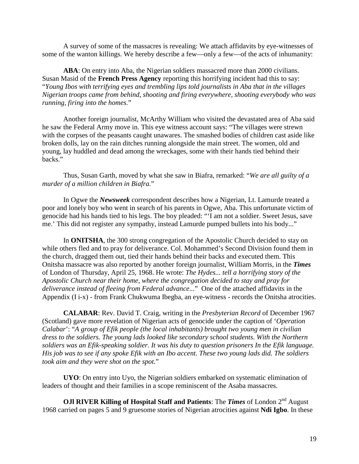A survey of some of the massacres is revealing: We attach affidavits by eye-witnesses of some of the wanton killings. We hereby describe a few—only a few—of the acts of inhumanity:

**ABA**: On entry into Aba, the Nigerian soldiers massacred more than 2000 civilians. Susan Masid of the **French Press Agency** reporting this horrifying incident had this to say: "*Young Ibos with terrifying eyes and trembling lips told journalists in Aba that in the villages Nigerian troops came from behind, shooting and firing everywhere, shooting everybody who was running, firing into the homes.*"

Another foreign journalist, McArthy William who visited the devastated area of Aba said he saw the Federal Army move in. This eye witness account says: "The villages were strewn with the corpses of the peasants caught unawares. The smashed bodies of children cast aside like broken dolls, lay on the rain ditches running alongside the main street. The women, old and young, lay huddled and dead among the wreckages, some with their hands tied behind their backs."

Thus, Susan Garth, moved by what she saw in Biafra, remarked: "*We are all guilty of a murder of a million children in Biafra.*"

In Ogwe the *Newsweek* correspondent describes how a Nigerian, Lt. Lamurde treated a poor and lonely boy who went in search of his parents in Ogwe, Aba. This unfortunate victim of genocide had his hands tied to his legs. The boy pleaded: "'I am not a soldier. Sweet Jesus, save me.' This did not register any sympathy, instead Lamurde pumped bullets into his body..."

In **ONITSHA**, the 300 strong congregation of the Apostolic Church decided to stay on while others fled and to pray for deliverance. Col. Mohammed's Second Division found them in the church, dragged them out, tied their hands behind their backs and executed them. This Onitsha massacre was also reported by another foreign journalist, William Morris, in the *Times* of London of Thursday, April 25, 1968. He wrote: *The Hydes... tell a horrifying story of the Apostolic Church near their home, where the congregation decided to stay and pray for deliverance instead of fleeing from Federal advance...*" One of the attached affidavits in the Appendix (I i-x) - from Frank Chukwuma Ibegba, an eye-witness - records the Onitsha atrocities.

**CALABAR**: Rev. David T. Craig, writing in the *Presbyterian Record* of December 1967 (Scotland) gave more revelation of Nigerian acts of genocide under the caption of '*Operation Calabar*': "*A group of Efik people (the local inhabitants) brought two young men in civilian dress to the soldiers. The young lads looked like secondary school students. With the Northern soldiers was an Efik-speaking soldier. It was his duty to question prisoners In the Efik language. His job was to see if any spoke Efik with an Ibo accent. These two young lads did. The soldiers took aim and they were shot on the spot.*"

**UYO**: On entry into Uyo, the Nigerian soldiers embarked on systematic elimination of leaders of thought and their families in a scope reminiscent of the Asaba massacres.

**OJI RIVER Killing of Hospital Staff and Patients:** The *Times* of London 2<sup>nd</sup> August 1968 carried on pages 5 and 9 gruesome stories of Nigerian atrocities against **Ndi Igbo**. In these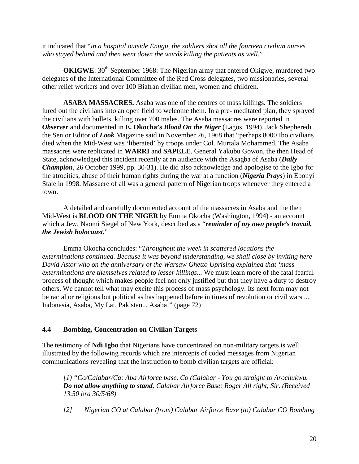it indicated that "*in a hospital outside Enugu, the soldiers shot all the fourteen civilian nurses who stayed behind and then went down the wards killing the patients as well.*"

**OKIGWE**: 30<sup>th</sup> September 1968: The Nigerian army that entered Okigwe, murdered two delegates of the International Committee of the Red Cross delegates, two missionaries, several other relief workers and over 100 Biafran civilian men, women and children.

**ASABA MASSACRES.** Asaba was one of the centres of mass killings. The soldiers lured out the civilians into an open field to welcome them. In a pre- meditated plan, they sprayed the civilians with bullets, killing over 700 males. The Asaba massacres were reported in *Observer* and documented in **E. Okocha's** *Blood On the Niger* (Lagos, 1994). Jack Shepheredi the Senior Editor of *Look* Magazine said in November 26, 1968 that "perhaps 8000 Ibo civilians died when the Mid-West was 'liberated' by troops under Col. Murtala Mohammed. The Asaba massacres were replicated in **WARRI** and **SAPELE**. General Yakubu Gowon, the then Head of State, acknowledged this incident recently at an audience with the Asagba of Asaba (*Daily Champion*, 26 October 1999, pp. 30-31). He did also acknowledge and apologise to the Igbo for the atrocities, abuse of their human rights during the war at a function (*Nigeria Prays*) in Ebonyi State in 1998. Massacre of all was a general pattern of Nigerian troops whenever they entered a town.

A detailed and carefully documented account of the massacres in Asaba and the then Mid-West is **BLOOD ON THE NIGER** by Emma Okocha (Washington, 1994) - an account which a Jew, Naomi Siegel of New York, described as a "*reminder of my own people's travail, the Jewish holocaust.*"

Emma Okocha concludes: "*Throughout the week in scattered locations the exterminations continued. Because it was beyond understanding, we shall close by inviting here David Astor who on the anniversary of the Warsaw Ghetto Uprising explained that 'mass exterminations are themselves related to lesser killings...* We must learn more of the fatal fearful process of thought which makes people feel not only justified but that they have a duty to destroy others. We cannot tell what may excite this process of mass psychology. Its next form may not be racial or religious but political as has happened before in times of revolution or civil wars ... Indonesia, Asaba, My Lai, Pakistan... Asaba!" (page 72)

#### **4.4 Bombing, Concentration on Civilian Targets**

The testimony of **Ndi Igbo** that Nigerians have concentrated on non-military targets is well illustrated by the following records which are intercepts of coded messages from Nigerian communications revealing that the instruction to bomb civilian targets are official:

*[1) "Co/Calabar/Ca: Aba Airforce base. Co (Calabar - You go straight to Arochukwu. Do not allow anything to stand. Calabar Airforce Base: Roger All right, Sir. (Received 13.50 bra 30/5/68)*

*[2] Nigerian CO at Calabar (from) Calabar Airforce Base (to) Calabar CO Bombing*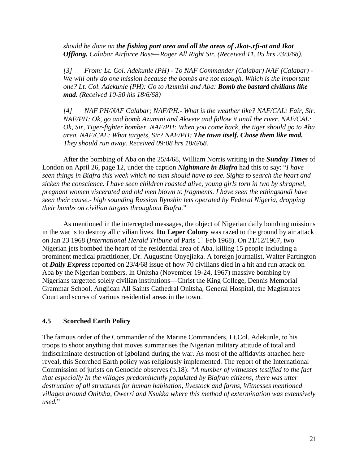*should be done on the fishing port area and all the areas of .Ikot-.rfi-at and Ikot Offiong. Calabar Airforce Base—Roger All Right Sir. (Received 11. 05 hrs 23/3/68).*

*[3] From: Lt. Col. Adekunle (PH) - To NAF Commander (Calabar) NAF (Calabar) - We will only do one mission because the bombs are not enough. Which is the important one? Lt. Col. Adekunle (PH): Go to Azumini and Aba: Bomb the bastard civilians like mad. (Received 10-30 his 18/6/68)*

*[4] NAF PH/NAF Calabar; NAF/PH.- What is the weather like? NAF/CAL: Fair, Sir. NAF/PH: Ok, go and bomb Azumini and Akwete and follow it until the river. NAF/CAL: Ok, Sir, Tiger-fighter bomber. NAF/PH: When you come back, the tiger should go to Aba area. NAF/CAL: What targets, Sir? NAF/PH: The town itself. Chase them like mad. They should run away. Received 09:08 hrs 18/6/68.*

After the bombing of Aba on the 25/4/68, William Norris writing in the *Sunday Times* of London on April 26, page 12, under the caption *Nightmare in Biafra* had this to say: "*I have seen things in Biafra this week which no man should have to see. Sights to search the heart and sicken the conscience. I have seen children roasted alive, young girls torn in two by shrapnel, pregnant women viscerated and old men blown to fragments. I have seen the ethingsandi have seen their cause.- high sounding Russian Ilynshin lets operated by Federal Nigeria, dropping their bombs on civilian targets throughout Biafra.*"

As mentioned in the intercepted messages, the object of Nigerian daily bombing missions in the war is to destroy all civilian lives. **Itu Leper Colony** was razed to the ground by air attack on Jan 23 1968 (*International Herald Tribune* of Paris 1<sup>st</sup> Feb 1968). On 21/12/1967, two Nigerian jets bombed the heart of the residential area of Aba, killing 15 people including a prominent medical practitioner, Dr. Augustine Onyejiaka. A foreign journalist, Walter Partington of *Daily Express* reported on 23/4/68 issue of how 70 civilians died in a hit and run attack on Aba by the Nigerian bombers. In Onitsha (November 19-24, 1967) massive bombing by Nigerians targetted solely civilian institutions—Christ the King College, Dennis Memorial Grammar School, Anglican All Saints Cathedral Onitsha, General Hospital, the Magistrates Court and scores of various residential areas in the town.

#### **4.5 Scorched Earth Policy**

The famous order of the Commander of the Marine Commanders, Lt.Col. Adekunle, to his troops to shoot anything that moves summarises the Nigerian military attitude of total and indiscriminate destruction of Igboland during the war. As most of the affidavits attached here reveal, this Scorched Earth policy was religiously implemented. The report of the International Commission of jurists on Genocide observes (p.18): *"A number of witnesses testified to the fact that especially In the villages predominantly populated by Biafran citizens, there was utter destruction of all structures for human habitation, livestock and farms, Witnesses mentioned villages around Onitsha, Owerri and Nsukka where this method of extermination was extensively used.*"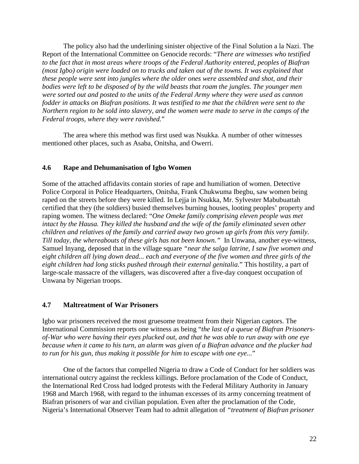The policy also had the underlining sinister objective of the Final Solution a la Nazi. The Report of the International Committee on Genocide records: "*There are witnesses who testified to the fact that in most areas where troops of the Federal Authority entered, peoples of Biafran (most Igbo) origin were loaded on to trucks and taken out of the towns. It was explained that these people were sent into jungles where the older ones were assembled and shot, and their bodies were left to be disposed of by the wild beasts that roam the jungles. The younger men were sorted out and posted to the units of the Federal Army where they were used as cannon fodder in attacks on Biafran positions. It was testified to me that the children were sent to the Northern region to be sold into slavery, and the women were made to serve in the camps of the Federal troops, where they were ravished.*"

The area where this method was first used was Nsukka. A number of other witnesses mentioned other places, such as Asaba, Onitsha, and Owerri.

#### **4.6 Rape and Dehumanisation of Igbo Women**

Some of the attached affidavits contain stories of rape and humiliation of women. Detective Police Corporal in Police Headquarters, Onitsha, Frank Chukwuma Ibegbu, saw women being raped on the streets before they were killed. In Lejja in Nsukka, Mr. Sylvester Mabubuattah certified that they (the soldiers) busied themselves burning houses, looting peoples' property and raping women. The witness declared: "*One Omeke family comprising eleven people was met intact by the Hausa. They killed the husband and the wife of the family eliminated seven other children and relatives of the family and carried away two grown up girls from this very family. Till today, the whereabouts of these girls has not been known."* In Unwana, another eye-witness, Samuel Inyang, deposed that in the village square *"near the salga latrine, I saw five women and eight children all lying down dead... each and everyone of the five women and three girls of the eight children had long sticks pushed through their external genitalia.*" This hostility, a part of large-scale massacre of the villagers, was discovered after a five-day conquest occupation of Unwana by Nigerian troops.

#### **4.7 Maltreatment of War Prisoners**

Igbo war prisoners received the most gruesome treatment from their Nigerian captors. The International Commission reports one witness as being "*the last of a queue of Biafran Prisonersof-War who were having their eyes plucked out, and that he was able to run away with one eye because when it came to his turn, an alarm was given of a Biafran advance and the plucker had to run for his gun, thus making it possible for him to escape with one eye...*"

One of the factors that compelled Nigeria to draw a Code of Conduct for her soldiers was international outcry against the reckless killings. Before proclamation of the Code of Conduct, the International Red Cross had lodged protests with the Federal Military Authority in January 1968 and March 1968, with regard to the inhuman excesses of its army concerning treatment of Biafran prisoners of war and civilian population. Even after the proclamation of the Code, Nigeria's International Observer Team had to admit allegation of *"treatment of Biafran prisoner*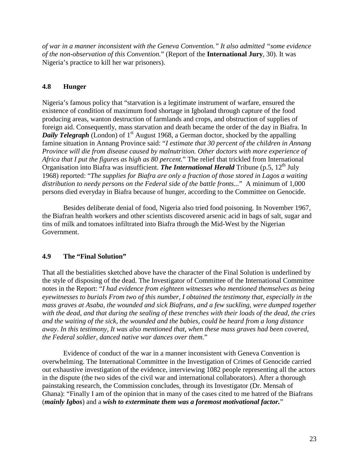*of war in a manner inconsistent with the Geneva Convention." It also admitted "some evidence of the non-observation of this Convention.*" (Report of the **International Jury**, 30). It was Nigeria's practice to kill her war prisoners).

#### **4.8 Hunger**

Nigeria's famous policy that "starvation is a legitimate instrument of warfare, ensured the existence of condition of maximum food shortage in Igboland through capture of the food producing areas, wanton destruction of farmlands and crops, and obstruction of supplies of foreign aid. Consequently, mass starvation and death became the order of the day in Biafra. In *Daily Telegraph* (London) of 1<sup>st</sup> August 1968, a German doctor, shocked by the appalling famine situation in Annang Province said: "*I estimate that 30 percent of the children in Annang Province will die from disease caused by malnutrition. Other doctors with more experience of Africa that I put the figures as high as 80 percent.*" The relief that trickled from International Organisation into Biafra was insufficient. *The International Herald* Tribune (p.5, 12<sup>th</sup> July 1968) reported: "*The supplies for Biafra are only a fraction of those stored in Lagos a waiting distribution to needy persons on the Federal side of the battle fronts...*" A minimum of 1,000 persons died everyday in Biafra because of hunger, according to the Committee on Genocide.

Besides deliberate denial of food, Nigeria also tried food poisoning. In November 1967, the Biafran health workers and other scientists discovered arsenic acid in bags of salt, sugar and tins of milk and tomatoes infiltrated into Biafra through the Mid-West by the Nigerian Government.

#### **4.9 The "Final Solution"**

That all the bestialities sketched above have the character of the Final Solution is underlined by the style of disposing of the dead. The Investigator of Committee of the International Committee notes in the Report: "*I had evidence from eighteen witnesses who mentioned themselves as being eyewitnesses to burials From two of this number, I obtained the testimony that, especially in the mass graves at Asaba, the wounded and sick Biafrans, and a few suckling, were dumped together with the dead, and that during the sealing of these trenches with their loads of the dead, the cries and the waiting of the sick, the wounded and the babies, could be heard from a long distance away. In this testimony, It was also mentioned that, when these mass graves had been covered, the Federal soldier, danced native war dances over them.*"

Evidence of conduct of the war in a manner inconsistent with Geneva Convention is overwhelming. The International Committee in the Investigation of Crimes of Genocide carried out exhaustive investigation of the evidence, interviewing 1082 people representing all the actors in the dispute (the two sides of the civil war and international collaborators). After a thorough painstaking research, the Commission concludes, through its Investigator (Dr. Mensah of Ghana): "Finally I am of the opinion that in many of the cases cited to me hatred of the Biafrans (*mainly Igbos*) and a *wish to exterminate them was a foremost motivational factor.*"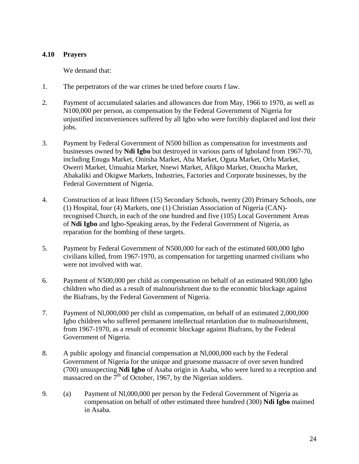#### **4.10 Prayers**

We demand that:

- 1. The perpetrators of the war crimes be tried before courts f law.
- 2. Payment of accumulated salaries and allowances due from May, 1966 to 1970, as well as N100,000 per person, as compensation by the Federal Government of Nigeria for unjustified inconveniences suffered by all Igbo who were forcibly displaced and lost their jobs.
- 3. Payment by Federal Government of N500 billion as compensation for investments and businesses owned by **Ndi Igbo** but destroyed in various parts of Igboland from 1967-70, including Enugu Market, Onitsha Market, Aba Market, Oguta Market, Orlu Market, Owerri Market, Umuahia Market, Nnewi Market, Afikpo Market, Otuocha Market, Abakaliki and Okigwe Markets, Industries, Factories and Corporate businesses, by the Federal Government of Nigeria.
- 4. Construction of at least fifteen (15) Secondary Schools, twenty (20) Primary Schools, one (1) Hospital, four (4) Markets, one (1) Christian Association of Nigeria (CAN) recognised Church, in each of the one hundred and five (105) Local Government Areas of **Ndi Igbo** and Igbo-Speaking areas, by the Federal Government of Nigeria, as reparation for the bombing of these targets.
- 5. Payment by Federal Government of N500,000 for each of the estimated 600,000 Igbo civilians killed, from 1967-1970, as compensation for targetting unarmed civilians who were not involved with war.
- 6. Payment of N500,000 per child as compensation on behalf of an estimated 900,000 Igbo children who died as a result of malnourishrnent due to the economic blockage against the Biafrans, by the Federal Government of Nigeria.
- 7. Payment of Nl,000,000 per child as compensation, on behalf of an estimated 2,000,000 Igbo children who suffered permanent intellectual retardation due to malnuourishment, from 1967-1970, as a result of economic blockage against Biafrans, by the Federal Government of Nigeria.
- 8. A public apology and financial compensation at Nl,000,000 each by the Federal Government of Nigeria for the unique and gruesome massacre of over seven hundred (700) unsuspecting **Ndi Igbo** of Asaba origin in Asaba, who were lured to a reception and massacred on the  $7<sup>th</sup>$  of October, 1967, by the Nigerian soldiers.
- 9. (a) Payment of Nl,000,000 per person by the Federal Government of Nigeria as compensation on behalf of other estimated three hundred (300) **Ndi Igbo** maimed in Asaba.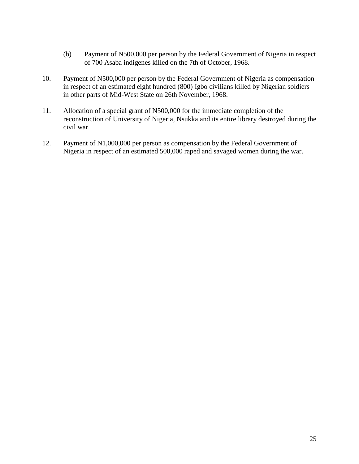- (b) Payment of N500,000 per person by the Federal Government of Nigeria in respect of 700 Asaba indigenes killed on the 7th of October, 1968.
- 10. Payment of N500,000 per person by the Federal Government of Nigeria as compensation in respect of an estimated eight hundred (800) Igbo civilians killed by Nigerian soldiers in other parts of Mid-West State on 26th November, 1968.
- 11. Allocation of a special grant of N500,000 for the immediate completion of the reconstruction of University of Nigeria, Nsukka and its entire library destroyed during the civil war.
- 12. Payment of N1,000,000 per person as compensation by the Federal Government of Nigeria in respect of an estimated 500,000 raped and savaged women during the war.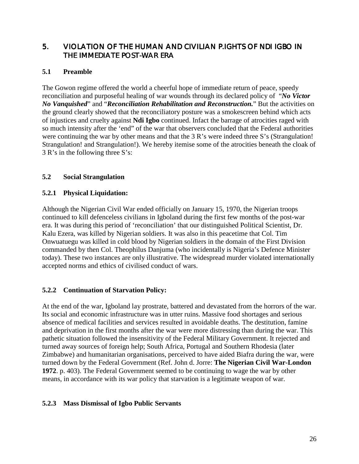# 5. VIOLATION OF THE HUMAN AND CIVILIAN P.IGHTS OF NDI IGBO IN THE IMMEDIATE POST-WAR ERA

#### **5.1 Preamble**

The Gowon regime offered the world a cheerful hope of immediate return of peace, speedy reconciliation and purposeful healing of war wounds through its declared policy of "*No Victor No Vanquished*" and "*Reconciliation Rehabilitation and Reconstruction.*" But the activities on the ground clearly showed that the reconciliatory posture was a smokescreen behind which acts of injustices and cruelty against **Ndi Igbo** continued. Infact the barrage of atrocities raged with so much intensity after the 'end" of the war that observers concluded that the Federal authorities were continuing the war by other means and that the 3 R's were indeed three S's (Strangulation! Strangulation! and Strangulation!). We hereby itemise some of the atrocities beneath the cloak of 3 R's in the following three S's:

#### **5.2 Social Strangulation**

#### **5.2.1 Physical Liquidation:**

Although the Nigerian Civil War ended officially on January 15, 1970, the Nigerian troops continued to kill defenceless civilians in Igboland during the first few months of the post-war era. It was during this period of 'reconciliation' that our distinguished Political Scientist, Dr. Kalu Ezera, was killed by Nigerian soldiers. It was also in this peacetime that Col. Tim Onwuatuegu was killed in cold blood by Nigerian soldiers in the domain of the First Division commanded by then Col. Theophilus Danjuma (who incidentally is Nigeria's Defence Minister today). These two instances are only illustrative. The widespread murder violated internationally accepted norms and ethics of civilised conduct of wars.

# **5.2.2 Continuation of Starvation Policy:**

At the end of the war, Igboland lay prostrate, battered and devastated from the horrors of the war. Its social and economic infrastructure was in utter ruins. Massive food shortages and serious absence of medical facilities and services resulted in avoidable deaths. The destitution, famine and deprivation in the first months after the war were more distressing than during the war. This pathetic situation followed the insensitivity of the Federal Military Government. It rejected and turned away sources of foreign help; South Africa, Portugal and Southern Rhodesia (later Zimbabwe) and humanitarian organisations, perceived to have aided Biafra during the war, were turned down by the Federal Government (Ref. John d. Jorre: **The Nigerian Civil War-London 1972**. p. 403). The Federal Government seemed to be continuing to wage the war by other means, in accordance with its war policy that starvation is a legitimate weapon of war.

#### **5.2.3 Mass Dismissal of Igbo Public Servants**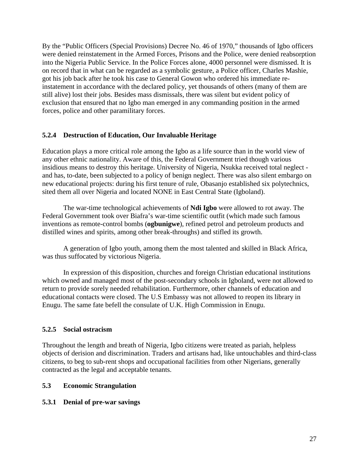By the "Public Officers (Special Provisions) Decree No. 46 of 1970," thousands of Igbo officers were denied reinstatement in the Armed Forces, Prisons and the Police, were denied reabsorption into the Nigeria Public Service. In the Police Forces alone, 4000 personnel were dismissed. It is on record that in what can be regarded as a symbolic gesture, a Police officer, Charles Mashie, got his job back after he took his case to General Gowon who ordered his immediate reinstatement in accordance with the declared policy, yet thousands of others (many of them are still alive) lost their jobs. Besides mass dismissals, there was silent but evident policy of exclusion that ensured that no Igbo man emerged in any commanding position in the armed forces, police and other paramilitary forces.

#### **5.2.4 Destruction of Education, Our Invaluable Heritage**

Education plays a more critical role among the Igbo as a life source than in the world view of any other ethnic nationality. Aware of this, the Federal Government tried though various insidious means to destroy this heritage. University of Nigeria, Nsukka received total neglect and has, to-date, been subjected to a policy of benign neglect. There was also silent embargo on new educational projects: during his first tenure of rule, Obasanjo established six polytechnics, sited them all over Nigeria and located NONE in East Central State (Igboland).

The war-time technological achievements of **Ndi Igbo** were allowed to rot away. The Federal Government took over Biafra's war-time scientific outfit (which made such famous inventions as remote-control bombs (**ogbunigwe**), refined petrol and petroleum products and distilled wines and spirits, among other break-throughs) and stifled its growth.

A generation of Igbo youth, among them the most talented and skilled in Black Africa, was thus suffocated by victorious Nigeria.

In expression of this disposition, churches and foreign Christian educational institutions which owned and managed most of the post-secondary schools in Igboland, were not allowed to return to provide sorely needed rehabilitation. Furthermore, other channels of education and educational contacts were closed. The U.S Embassy was not allowed to reopen its library in Enugu. The same fate befell the consulate of U.K. High Commission in Enugu.

#### **5.2.5 Social ostracism**

Throughout the length and breath of Nigeria, Igbo citizens were treated as pariah, helpless objects of derision and discrimination. Traders and artisans had, like untouchables and third-class citizens, to beg to sub-rent shops and occupational facilities from other Nigerians, generally contracted as the legal and acceptable tenants.

#### **5.3 Economic Strangulation**

#### **5.3.1 Denial of pre-war savings**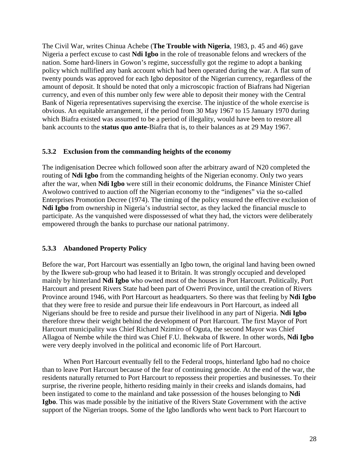The Civil War, writes Chinua Achebe (**The Trouble with Nigeria**, 1983, p. 45 and 46) gave Nigeria a perfect excuse to cast **Ndi Igbo** in the role of treasonable felons and wreckers of the nation. Some hard-liners in Gowon's regime, successfully got the regime to adopt a banking policy which nullified any bank account which had been operated during the war. A flat sum of twenty pounds was approved for each Igbo depositor of the Nigerian currency, regardless of the amount of deposit. It should be noted that only a microscopic fraction of Biafrans had Nigerian currency, and even of this number only few were able to deposit their money with the Central Bank of Nigeria representatives supervising the exercise. The injustice of the whole exercise is obvious. An equitable arrangement, if the period from 30 May 1967 to 15 January 1970 during which Biafra existed was assumed to be a period of illegality, would have been to restore all bank accounts to the **status quo ante**-Biafra that is, to their balances as at 29 May 1967.

#### **5.3.2 Exclusion from the commanding heights of the economy**

The indigenisation Decree which followed soon after the arbitrary award of N20 completed the routing of **Ndi Igbo** from the commanding heights of the Nigerian economy. Only two years after the war, when **Ndi Igbo** were still in their economic doldrums, the Finance Minister Chief Awolowo contrived to auction off the Nigerian economy to the "indigenes" via the so-called Enterprises Promotion Decree (1974). The timing of the policy ensured the effective exclusion of **Ndi Igbo** from ownership in Nigeria's industrial sector, as they lacked the financial muscle to participate. As the vanquished were dispossessed of what they had, the victors were deliberately empowered through the banks to purchase our national patrimony.

#### **5.3.3 Abandoned Property Policy**

Before the war, Port Harcourt was essentially an Igbo town, the original land having been owned by the Ikwere sub-group who had leased it to Britain. It was strongly occupied and developed mainly by hinterland **Ndi Igbo** who owned most of the houses in Port Harcourt. Politically, Port Harcourt and present Rivers State had been part of Owerri Province, until the creation of Rivers Province around 1946, with Port Harcourt as headquarters. So there was that feeling by **Ndi Igbo** that they were free to reside and pursue their life endeavours in Port Harcourt, as indeed all Nigerians should be free to reside and pursue their livelihood in any part of Nigeria. **Ndi Igbo** therefore threw their weight behind the development of Port Harcourt. The first Mayor of Port Harcourt municipality was Chief Richard Nzimiro of Oguta, the second Mayor was Chief Allagoa of Nembe while the third was Chief F.U. Ihekwaba of Ikwere. In other words, **Ndi Igbo** were very deeply involved in the political and economic life of Port Harcourt.

When Port Harcourt eventually fell to the Federal troops, hinterland Igbo had no choice than to leave Port Harcourt because of the fear of continuing genocide. At the end of the war, the residents naturally returned to Port Harcourt to repossess their properties and businesses. To their surprise, the riverine people, hitherto residing mainly in their creeks and islands domains, had been instigated to come to the mainland and take possession of the houses belonging to **Ndi Igbo**. This was made possible by the initiative of the Rivers State Government with the active support of the Nigerian troops. Some of the Igbo landlords who went back to Port Harcourt to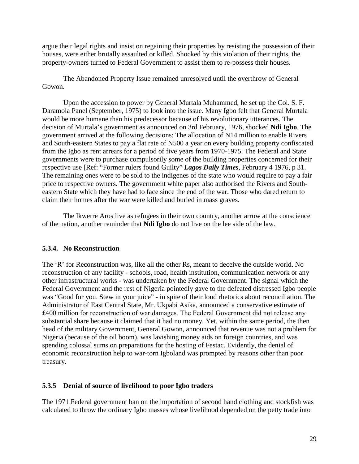argue their legal rights and insist on regaining their properties by resisting the possession of their houses, were either brutally assaulted or killed. Shocked by this violation of their rights, the property-owners turned to Federal Government to assist them to re-possess their houses.

The Abandoned Property Issue remained unresolved until the overthrow of General Gowon.

Upon the accession to power by General Murtala Muhammed, he set up the Col. S. F. Daramola Panel (September, 1975) to look into the issue. Many Igbo felt that General Murtala would be more humane than his predecessor because of his revolutionary utterances. The decision of Murtala's government as announced on 3rd February, 1976, shocked **Ndi Igbo**. The government arrived at the following decisions: The allocation of N14 million to enable Rivers and South-eastern States to pay a flat rate of N500 a year on every building property confiscated from the Igbo as rent arrears for a period of five years from 1970-1975. The Federal and State governments were to purchase compulsorily some of the building properties concerned for their respective use [Ref: "Former rulers found Guilty" *Lagos Daily Times*, February 4 1976, p 31. The remaining ones were to be sold to the indigenes of the state who would require to pay a fair price to respective owners. The government white paper also authorised the Rivers and Southeastern State which they have had to face since the end of the war. Those who dared return to claim their homes after the war were killed and buried in mass graves.

The Ikwerre Aros live as refugees in their own country, another arrow at the conscience of the nation, another reminder that **Ndi Igbo** do not live on the lee side of the law.

#### **5.3.4. No Reconstruction**

The 'R' for Reconstruction was, like all the other Rs, meant to deceive the outside world. No reconstruction of any facility - schools, road, health institution, communication network or any other infrastructural works - was undertaken by the Federal Government. The signal which the Federal Government and the rest of Nigeria pointedly gave to the defeated distressed Igbo people was "Good for you. Stew in your juice" - in spite of their loud rhetorics about reconciliation. The Administrator of East Central State, Mr. Ukpabi Asika, announced a conservative estimate of ₤400 million for reconstruction of war damages. The Federal Government did not release any substantial share because it claimed that it had no money. Yet, within the same period, the then head of the military Government, General Gowon, announced that revenue was not a problem for Nigeria (because of the oil boom), was lavishing money aids on foreign countries, and was spending colossal sums on preparations for the hosting of Festac. Evidently, the denial of economic reconstruction help to war-torn Igboland was prompted by reasons other than poor treasury.

#### **5.3.5 Denial of source of livelihood to poor Igbo traders**

The 1971 Federal government ban on the importation of second hand clothing and stockfish was calculated to throw the ordinary Igbo masses whose livelihood depended on the petty trade into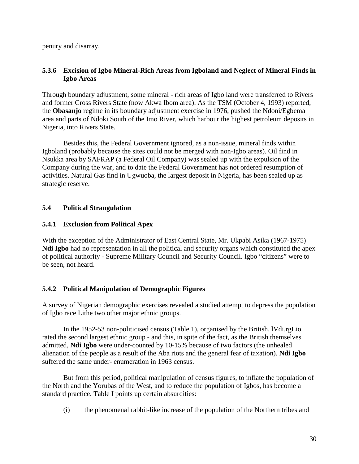penury and disarray.

#### **5.3.6 Excision of Igbo Mineral-Rich Areas from Igboland and Neglect of Mineral Finds in Igbo Areas**

Through boundary adjustment, some mineral - rich areas of Igbo land were transferred to Rivers and former Cross Rivers State (now Akwa Ibom area). As the TSM (October 4, 1993) reported, the **Obasanjo** regime in its boundary adjustment exercise in 1976, pushed the Ndoni/Egbema area and parts of Ndoki South of the Imo River, which harbour the highest petroleum deposits in Nigeria, into Rivers State.

Besides this, the Federal Government ignored, as a non-issue, mineral finds within Igboland (probably because the sites could not be merged with non-Igbo areas). Oil find in Nsukka area by SAFRAP (a Federal Oil Company) was sealed up with the expulsion of the Company during the war, and to date the Federal Government has not ordered resumption of activities. Natural Gas find in Ugwuoba, the largest deposit in Nigeria, has been sealed up as strategic reserve.

#### **5.4 Political Strangulation**

#### **5.4.1 Exclusion from Political Apex**

With the exception of the Administrator of East Central State, Mr. Ukpabi Asika (1967-1975) **Ndi Igbo** had no representation in all the political and security organs which constituted the apex of political authority - Supreme Military Council and Security Council. Igbo "citizens" were to be seen, not heard.

# **5.4.2 Political Manipulation of Demographic Figures**

A survey of Nigerian demographic exercises revealed a studied attempt to depress the population of Igbo race Lithe two other major ethnic groups.

In the 1952-53 non-politicised census (Table 1), organised by the British, lVdi.rgLio rated the second largest ethnic group - and this, in spite of the fact, as the British themselves admitted, **Ndi Igbo** were under-counted by 10-15% because of two factors (the unhealed alienation of the people as a result of the Aba riots and the general fear of taxation). **Ndi Igbo** suffered the same under- enumeration in 1963 census.

But from this period, political manipulation of census figures, to inflate the population of the North and the Yorubas of the West, and to reduce the population of Igbos, has become a standard practice. Table I points up certain absurdities:

(i) the phenomenal rabbit-like increase of the population of the Northern tribes and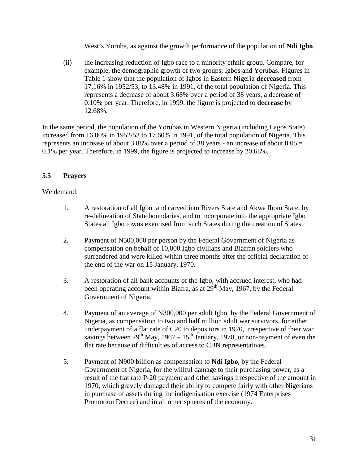West's Yoruba, as against the growth performance of the population of **Ndi Igbo**.

(ii) the increasing reduction of Igbo race to a minority ethnic group. Compare, for example, the demographic growth of two groups, Igbos and Yorubas. Figures in Table 1 show that the population of Igbos in Eastern Nigeria **decreased** from 17.16% in 1952/53, to 13.48% in 1991, of the total population of Nigeria. This represents a decrease of about 3.68% over a period of 38 years, a decrease of 0.10% per year. Therefore, in 1999, the figure is projected to **decrease** by 12.68%.

In the same period, the population of the Yorubas in Western Nigeria (including Lagos State) increased from 16.00% in 1952/53 to 17.60% in 1991, of the total population of Nigeria. This represents an increase of about 3.88% over a period of 38 years - an increase of about  $0.05 =$ 0.1% per year. Therefore, in 1999, the figure is projected to increase by 20.68%.

#### **5.5 Prayers**

We demand:

- 1. A restoration of all Igbo land carved into Rivers State and Akwa Ibom State, by re-delineation of State boundaries, and to incorporate into the appropriate Igbo States all Igbo towns exercised from such States during the creation of States.
- 2. Payment of N500,000 per person by the Federal Government of Nigeria as compensation on behalf of 10,000 Igbo civilians and Biafran soldiers who surrendered and were killed within three months after the official declaration of the end of the war on 15 January, 1970.
- 3. A restoration of all bank accounts of the Igbo, with accrued interest, who had been operating account within Biafra, as at  $29<sup>th</sup>$  May, 1967, by the Federal Government of Nigeria.
- 4. Payment of an average of N300,000 per adult Igbo, by the Federal Government of Nigeria, as compensation to two and half million adult war survivors, for either underpayment of a flat rate of C20 to depositors in 1970, irrespective of their war savings between  $29^{th}$  May,  $1967 - 15^{th}$  January, 1970, or non-payment of even the flat rate because of difficulties of access to CBN representatives.
- 5. Payment of N900 billion as compensation to **Ndi Igbo**, by the Federal Government of Nigeria, for the willful damage to their purchasing power, as a result of the flat rate P-20 payment and other savings irrespective of the amount in 1970, which gravely damaged their ability to compete fairly with other Nigerians in purchase of assets during the indigenisation exercise (1974 Enterprises Promotion Decree) and in all other spheres of the economy.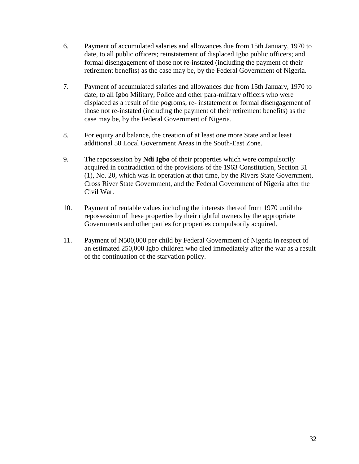- 6. Payment of accumulated salaries and allowances due from 15th January, 1970 to date, to all public officers; reinstatement of displaced Igbo public officers; and formal disengagement of those not re-instated (including the payment of their retirement benefits) as the case may be, by the Federal Government of Nigeria.
- 7. Payment of accumulated salaries and allowances due from 15th January, 1970 to date, to all Igbo Military, Police and other para-military officers who were displaced as a result of the pogroms; re- instatement or formal disengagement of those not re-instated (including the payment of their retirement benefits) as the case may be, by the Federal Government of Nigeria.
- 8. For equity and balance, the creation of at least one more State and at least additional 50 Local Government Areas in the South-East Zone.
- 9. The repossession by **Ndi Igbo** of their properties which were compulsorily acquired in contradiction of the provisions of the 1963 Constitution, Section 31 (1), No. 20, which was in operation at that time, by the Rivers State Government, Cross River State Government, and the Federal Government of Nigeria after the Civil War.
- 10. Payment of rentable values including the interests thereof from 1970 until the repossession of these properties by their rightful owners by the appropriate Governments and other parties for properties compulsorily acquired.
- 11. Payment of N500,000 per child by Federal Government of Nigeria in respect of an estimated 250,000 Igbo children who died immediately after the war as a result of the continuation of the starvation policy.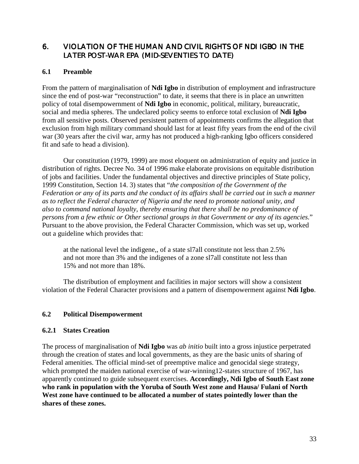# 6. VIOLATION OF THE HUMAN AND CIVIL RIGHTS OF NDI IGBO IN THE LATER POST-WAR EPA (MID-SEVENTIES TO DATE)

#### **6.1 Preamble**

From the pattern of marginalisation of **Ndi Igbo** in distribution of employment and infrastructure since the end of post-war "reconstruction" to date, it seems that there is in place an unwritten policy of total disempowernment of **Ndi Igbo** in economic, political, military, bureaucratic, social and media spheres. The undeclared policy seems to enforce total exclusion of **Ndi Igbo** from all sensitive posts. Observed persistent pattern of appointments confirms the allegation that exclusion from high military command should last for at least fifty years from the end of the civil war (30 years after the civil war, army has not produced a high-ranking Igbo officers considered fit and safe to head a division).

Our constitution (1979, 1999) are most eloquent on administration of equity and justice in distribution of rights. Decree No. 34 of 1996 make elaborate provisions on equitable distribution of jobs and facilities. Under the fundamental objectives and directive principles of State policy, 1999 Constitution, Section 14. 3) states that "*the composition of the Government of the Federation or any of its parts and the conduct of its affairs shall be carried out in such a manner as to reflect the Federal character of Nigeria and the need to promote national unity, and also to command national loyalty, thereby ensuring that there shall be no predominance of persons from a few ethnic or Other sectional groups in that Government or any of its agencies.*" Pursuant to the above provision, the Federal Character Commission, which was set up, worked out a guideline which provides that:

at the national level the indigene,, of a state sl7all constitute not less than 2.5% and not more than 3% and the indigenes of a zone sl7all constitute not less than 15% and not more than 18%.

The distribution of employment and facilities in major sectors will show a consistent violation of the Federal Character provisions and a pattern of disempowerment against **Ndi Igbo**.

#### **6.2 Political Disempowerment**

#### **6.2.1 States Creation**

The process of marginalisation of **Ndi Igbo** was *ab initio* built into a gross injustice perpetrated through the creation of states and local governments, as they are the basic units of sharing of Federal amenities. The official mind-set of preemptive malice and genocidal siege strategy, which prompted the maiden national exercise of war-winning12-states structure of 1967, has apparently continued to guide subsequent exercises. **Accordingly, Ndi Igbo of South East zone who rank in population with the Yoruba of South West zone and Hausa/ Fulani of North West zone have continued to be allocated a number of states pointedly lower than the shares of these zones.**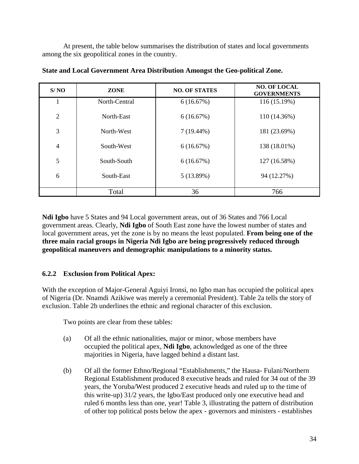At present, the table below summarises the distribution of states and local governments among the six geopolitical zones in the country.

| S/NO           | ZONE          | <b>NO. OF STATES</b> | <b>NO. OF LOCAL</b><br><b>GOVERNMENTS</b> |
|----------------|---------------|----------------------|-------------------------------------------|
|                | North-Central | 6(16.67%)            | 116 (15.19%)                              |
| 2              | North-East    | 6(16.67%)            | 110 (14.36%)                              |
| 3              | North-West    | $7(19.44\%)$         | 181 (23.69%)                              |
| $\overline{4}$ | South-West    | 6(16.67%)            | 138 (18.01%)                              |
| 5              | South-South   | 6(16.67%)            | 127 (16.58%)                              |
| 6              | South-East    | 5(13.89%)            | 94 (12.27%)                               |
|                | Total         | 36                   | 766                                       |

**State and Local Government Area Distribution Amongst the Geo-political Zone.**

**Ndi Igbo** have 5 States and 94 Local government areas, out of 36 States and 766 Local government areas. Clearly, **Ndi Igbo** of South East zone have the lowest number of states and local government areas, yet the zone is by no means the least populated. **From being one of the three main racial groups in Nigeria Ndi Igbo are being progressively reduced through geopolitical maneuvers and demographic manipulations to a minority status.**

# **6.2.2 Exclusion from Political Apex:**

With the exception of Major-General Aguiyi Ironsi, no Igbo man has occupied the political apex of Nigeria (Dr. Nnamdi Azikiwe was merely a ceremonial President). Table 2a tells the story of exclusion. Table 2b underlines the ethnic and regional character of this exclusion.

Two points are clear from these tables:

- (a) Of all the ethnic nationalities, major or minor, whose members have occupied the political apex, **Ndi Igbo**, acknowledged as one of the three majorities in Nigeria, have lagged behind a distant last.
- (b) Of all the former Ethno/Regional "Establishments," the Hausa- Fulani/Northern Regional Establishment produced 8 executive heads and ruled for 34 out of the 39 years, the Yoruba/West produced 2 executive heads and ruled up to the time of this write-up) 31/2 years, the Igbo/East produced only one executive head and ruled 6 months less than one, year! Table 3, illustrating the pattern of distribution of other top political posts below the apex - governors and ministers - establishes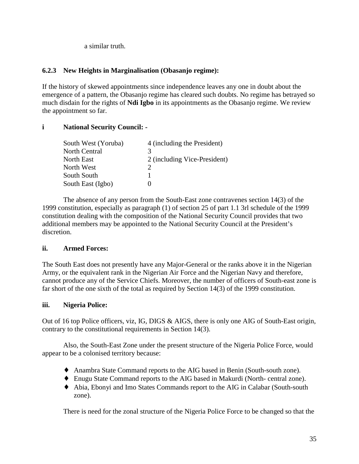a similar truth.

#### **6.2.3 New Heights in Marginalisation (Obasanjo regime):**

If the history of skewed appointments since independence leaves any one in doubt about the emergence of a pattern, the Obasanjo regime has cleared such doubts. No regime has betrayed so much disdain for the rights of **Ndi Igbo** in its appointments as the Obasanjo regime. We review the appointment so far.

#### **i National Security Council: -**

| 4 (including the President)  |
|------------------------------|
| 3                            |
| 2 (including Vice-President) |
|                              |
|                              |
|                              |
|                              |

The absence of any person from the South-East zone contravenes section 14(3) of the 1999 constitution, especially as paragraph (1) of section 25 of part 1.1 3rl schedule of the 1999 constitution dealing with the composition of the National Security Council provides that two additional members may be appointed to the National Security Council at the President's discretion.

#### **ii. Armed Forces:**

The South East does not presently have any Major-General or the ranks above it in the Nigerian Army, or the equivalent rank in the Nigerian Air Force and the Nigerian Navy and therefore, cannot produce any of the Service Chiefs. Moreover, the number of officers of South-east zone is far short of the one sixth of the total as required by Section 14(3) of the 1999 constitution.

#### **iii. Nigeria Police:**

Out of 16 top Police officers, viz, IG, DIGS & AIGS, there is only one AIG of South-East origin, contrary to the constitutional requirements in Section 14(3).

Also, the South-East Zone under the present structure of the Nigeria Police Force, would appear to be a colonised territory because:

- ♦ Anambra State Command reports to the AIG based in Benin (South-south zone).
- ♦ Enugu State Command reports to the AIG based in Makurdi (North- central zone).
- ♦ Abia, Ebonyi and Imo States Commands report to the AIG in Calabar (South-south zone).

There is need for the zonal structure of the Nigeria Police Force to be changed so that the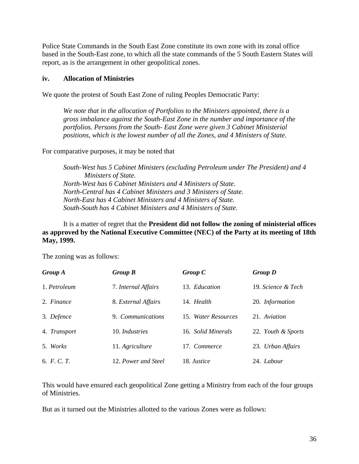Police State Commands in the South East Zone constitute its own zone with its zonal office based in the South-East zone, to which all the state commands of the 5 South Eastern States will report, as is the arrangement in other geopolitical zones.

#### **iv. Allocation of Ministries**

We quote the protest of South East Zone of ruling Peoples Democratic Party:

*We note that in the allocation of Portfolios to the Ministers appointed, there is a gross imbalance against the South-East Zone in the number and importance of the portfolios. Persons from the South- East Zone were given 3 Cabinet Ministerial positions, which is the lowest number of all the Zones, and 4 Ministers of State.*

For comparative purposes, it may be noted that

*South-West has 5 Cabinet Ministers (excluding Petroleum under The President) and 4 Ministers of State. North-West has 6 Cabinet Ministers and 4 Ministers of State. North-Central has 4 Cabinet Ministers and 3 Ministers of State. North-East has 4 Cabinet Ministers and 4 Ministers of State. South-South has 4 Cabinet Ministers and 4 Ministers of State.*

It is a matter of regret that the **President did not follow the zoning of ministerial offices as approved by the National Executive Committee (NEC) of the Party at its meeting of 18th May, 1999.**

The zoning was as follows:

| <b>Group A</b>     | Group B             | Group C             | <b>Group D</b>     |
|--------------------|---------------------|---------------------|--------------------|
| 1. Petroleum       | 7. Internal Affairs | 13. Education       | 19. Science & Tech |
| 2. Finance         | 8. External Affairs | 14. Health          | 20. Information    |
| 3. Defence         | 9. Communications   | 15. Water Resources | 21. Aviation       |
| 4. Transport       | 10. Industries      | 16. Solid Minerals  | 22. Youth & Sports |
| 5. Works           | 11. Agriculture     | 17. Commerce        | 23. Urban Affairs  |
| 6. <i>F. C. T.</i> | 12. Power and Steel | 18. Justice         | 24. Labour         |

This would have ensured each geopolitical Zone getting a Ministry from each of the four groups of Ministries.

But as it turned out the Ministries allotted to the various Zones were as follows: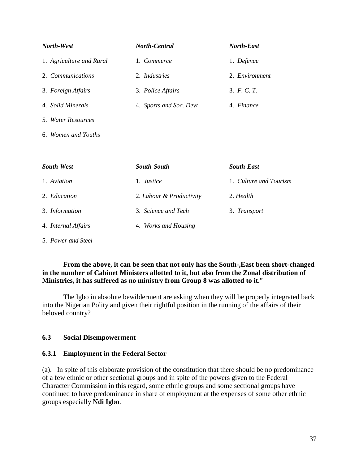| North-West               | <b>North-Central</b>    | <b>North-East</b> |
|--------------------------|-------------------------|-------------------|
| 1. Agriculture and Rural | 1. Commerce             | 1. Defence        |
| 2. Communications        | 2. Industries           | 2. Environment    |
| 3. Foreign Affairs       | 3. Police Affairs       | 3. F. C. T.       |
| 4. Solid Minerals        | 4. Sports and Soc. Devt | 4. Finance        |
| 5. Water Resources       |                         |                   |

6. *Women and Youths*

| South-West          | <b>South-South</b>       | <b>South-East</b>      |
|---------------------|--------------------------|------------------------|
| 1. Aviation         | 1. <i>Justice</i>        | 1. Culture and Tourism |
| 2. Education        | 2. Labour & Productivity | 2. Health              |
| 3. Information      | 3. Science and Tech      | 3. Transport           |
| 4. Internal Affairs | 4. Works and Housing     |                        |
| 5. Power and Steel  |                          |                        |

#### **From the above, it can be seen that not only has the South-,East been short-changed in the number of Cabinet Ministers allotted to it, but also from the Zonal distribution of Ministries, it has suffered as no ministry from Group 8 was allotted to it.**"

The Igbo in absolute bewilderment are asking when they will be properly integrated back into the Nigerian Polity and given their rightful position in the running of the affairs of their beloved country?

#### **6.3 Social Disempowerment**

#### **6.3.1 Employment in the Federal Sector**

(a). In spite of this elaborate provision of the constitution that there should be no predominance of a few ethnic or other sectional groups and in spite of the powers given to the Federal Character Commission in this regard, some ethnic groups and some sectional groups have continued to have predominance in share of employment at the expenses of some other ethnic groups especially **Ndi Igbo**.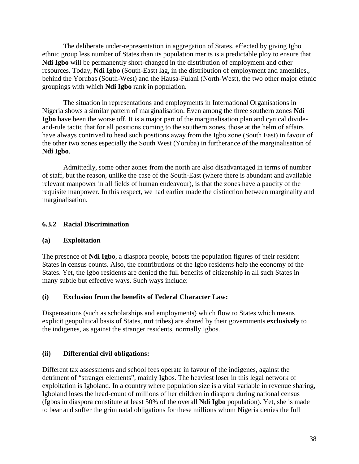The deliberate under-representation in aggregation of States, effected by giving Igbo ethnic group less number of States than its population merits is a predictable ploy to ensure that **Ndi Igbo** will be permanently short-changed in the distribution of employment and other resources. Today, **Ndi Igbo** (South-East) lag, in the distribution of employment and amenities., behind the Yorubas (South-West) and the Hausa-Fulani (North-West), the two other major ethnic groupings with which **Ndi Igbo** rank in population.

The situation in representations and employments in International Organisations in Nigeria shows a similar pattern of marginalisation. Even among the three southern zones **Ndi Igbo** have been the worse off. It is a major part of the marginalisation plan and cynical divideand-rule tactic that for all positions coming to the southern zones, those at the helm of affairs have always contrived to head such positions away from the Igbo zone (South East) in favour of the other two zones especially the South West (Yoruba) in furtherance of the marginalisation of **Ndi Igbo**.

Admittedly, some other zones from the north are also disadvantaged in terms of number of staff, but the reason, unlike the case of the South-East (where there is abundant and available relevant manpower in all fields of human endeavour), is that the zones have a paucity of the requisite manpower. In this respect, we had earlier made the distinction between marginality and marginalisation.

#### **6.3.2 Racial Discrimination**

#### **(a) Exploitation**

The presence of **Ndi Igbo**, a diaspora people, boosts the population figures of their resident States in census counts. Also, the contributions of the Igbo residents help the economy of the States. Yet, the Igbo residents are denied the full benefits of citizenship in all such States in many subtle but effective ways. Such ways include:

#### **(i) Exclusion from the benefits of Federal Character Law:**

Dispensations (such as scholarships and employments) which flow to States which means explicit geopolitical basis of States, **not** tribes) are shared by their governments **exclusively** to the indigenes, as against the stranger residents, normally Igbos.

#### **(ii) Differential civil obligations:**

Different tax assessments and school fees operate in favour of the indigenes, against the detriment of "stranger elements", mainly Igbos. The heaviest loser in this legal network of exploitation is Igboland. In a country where population size is a vital variable in revenue sharing, Igboland loses the head-count of millions of her children in diaspora during national census (Igbos in diaspora constitute at least 50% of the overall **Ndi Igbo** population). Yet, she is made to bear and suffer the grim natal obligations for these millions whom Nigeria denies the full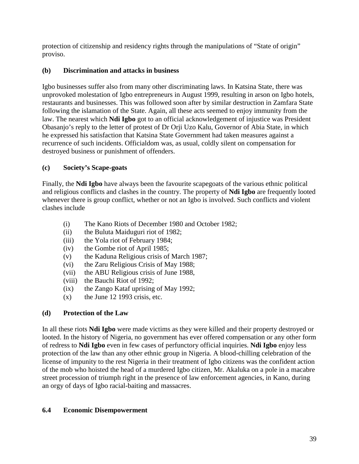protection of citizenship and residency rights through the manipulations of "State of origin" proviso.

## **(b) Discrimination and attacks in business**

Igbo businesses suffer also from many other discriminating laws. In Katsina State, there was unprovoked molestation of Igbo entrepreneurs in August 1999, resulting in arson on Igbo hotels, restaurants and businesses. This was followed soon after by similar destruction in Zamfara State following the islamation of the State. Again, all these acts seemed to enjoy immunity from the law. The nearest which **Ndi Igbo** got to an official acknowledgement of injustice was President Obasanjo's reply to the letter of protest of Dr Orji Uzo Kalu, Governor of Abia State, in which he expressed his satisfaction that Katsina State Government had taken measures against a recurrence of such incidents. Officialdom was, as usual, coldly silent on compensation for destroyed business or punishment of offenders.

## **(c) Society's Scape-goats**

Finally, the **Ndi Igbo** have always been the favourite scapegoats of the various ethnic political and religious conflicts and clashes in the country. The property of **Ndi Igbo** are frequently looted whenever there is group conflict, whether or not an Igbo is involved. Such conflicts and violent clashes include

- (i) The Kano Riots of December 1980 and October 1982;
- (ii) the Buluta Maiduguri riot of 1982;
- (iii) the Yola riot of February 1984;
- (iv) the Gombe riot of April 1985;
- (v) the Kaduna Religious crisis of March 1987;
- (vi) the Zaru Religious Crisis of May 1988;
- (vii) the ABU Religious crisis of June 1988,
- (viii) the Bauchi Riot of 1992;
- (ix) the Zango Kataf uprising of May 1992;
- $(x)$  the June 12 1993 crisis, etc.

# **(d) Protection of the Law**

In all these riots **Ndi Igbo** were made victims as they were killed and their property destroyed or looted. In the history of Nigeria, no government has ever offered compensation or any other form of redress to **Ndi Igbo** even in few cases of perfunctory official inquiries. **Ndi Igbo** enjoy less protection of the law than any other ethnic group in Nigeria. A blood-chilling celebration of the license of impunity to the rest Nigeria in their treatment of Igbo citizens was the confident action of the mob who hoisted the head of a murdered Igbo citizen, Mr. Akaluka on a pole in a macabre street procession of triumph right in the presence of law enforcement agencies, in Kano, during an orgy of days of Igbo racial-baiting and massacres.

### **6.4 Economic Disempowerment**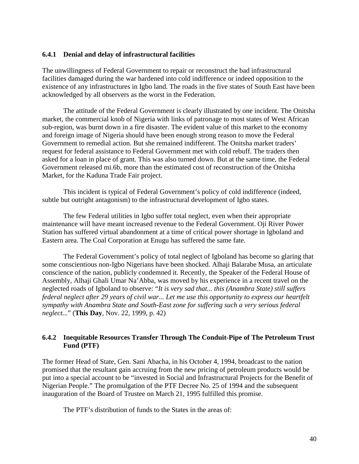#### **6.4.1 Denial and delay of infrastructural facilities**

The unwillingness of Federal Government to repair or reconstruct the bad infrastructural facilities damaged during the war hardened into cold indifference or indeed opposition to the existence of any infrastructures in Igbo land. The roads in the five states of South East have been acknowledged by all observers as the worst in the Federation.

The attitude of the Federal Government is clearly illustrated by one incident. The Onitsha market, the commercial knob of Nigeria with links of patronage to most states of West African sub-region, was burnt down in a fire disaster. The evident value of this market to the economy and foreign image of Nigeria should have been enough strong reason to move the Federal Government to remedial action. But she remained indifferent. The Onitsha market traders' request for federal assistance to Federal Government met with cold rebuff. The traders then asked for a loan in place of grant. This was also turned down. But at the same time, the Federal Government released mi.6b, more than the estimated cost of reconstruction of the Onitsha Market, for the Kaduna Trade Fair project.

This incident is typical of Federal Government's policy of cold indifference (indeed, subtle but outright antagonism) to the infrastructural development of Igbo states.

The few Federal utilities in Igbo suffer total neglect, even when their appropriate maintenance will have meant increased revenue to the Federal Government. Oji River Power Station has suffered virtual abandonment at a time of critical power shortage in Igboland and Eastern area. The Coal Corporation at Enugu has suffered the same fate.

The Federal Government's policy of total neglect of Igboland has become so glaring that some conscientious non-Igbo Nigerians have been shocked. Alhaji Balarabe Musa, an articulate conscience of the nation, publicly condemned it. Recently, the Speaker of the Federal House of Assembly, Alhaji Ghali Umar Na'Abba, was moved by his experience in a recent travel on the neglected roads of Igboland to observe: "*It is very sad that... this (Anambra State) still suffers federal neglect after 29 years of civil war... Let me use this opportunity to express our heartfelt sympathy with Anambra State and South-East zone for suffering such a very serious federal neglect...*" (**This Day**, Nov. 22, 1999, p. 42)

#### **6.4.2 Inequitable Resources Transfer Through The Conduit-Pipe of The Petroleum Trust Fund (PTF)**

The former Head of State, Gen. Sani Abacha, in his October 4, 1994, broadcast to the nation promised that the resultant gain accruing from the new pricing of petroleum products would be put into a special account to be "invested in Social and Infrastructural Projects for the Benefit of Nigerian People." The promulgation of the PTF Decree No. 25 of 1994 and the subsequent inauguration of the Board of Trustee on March 21, 1995 fulfilled this promise.

The PTF's distribution of funds to the States in the areas of: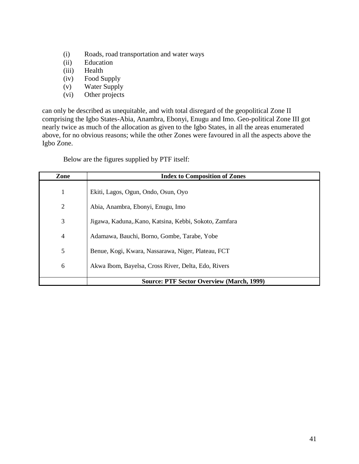- (i) Roads, road transportation and water ways
- (ii) Education
- (iii) Health
- (iv) Food Supply
- (v) Water Supply
- (vi) Other projects

can only be described as unequitable, and with total disregard of the geopolitical Zone II comprising the Igbo States-Abia, Anambra, Ebonyi, Enugu and Imo. Geo-political Zone III got nearly twice as much of the allocation as given to the Igbo States, in all the areas enumerated above, for no obvious reasons; while the other Zones were favoured in all the aspects above the Igbo Zone.

Below are the figures supplied by PTF itself:

| Zone           | <b>Index to Composition of Zones</b>                  |
|----------------|-------------------------------------------------------|
| $\mathbf{1}$   | Ekiti, Lagos, Ogun, Ondo, Osun, Oyo                   |
| $\overline{2}$ | Abia, Anambra, Ebonyi, Enugu, Imo                     |
| 3              | Jigawa, Kaduna, Kano, Katsina, Kebbi, Sokoto, Zamfara |
| $\overline{4}$ | Adamawa, Bauchi, Borno, Gombe, Tarabe, Yobe           |
| 5              | Benue, Kogi, Kwara, Nassarawa, Niger, Plateau, FCT    |
| 6              | Akwa Ibom, Bayelsa, Cross River, Delta, Edo, Rivers   |
|                | <b>Source: PTF Sector Overview (March, 1999)</b>      |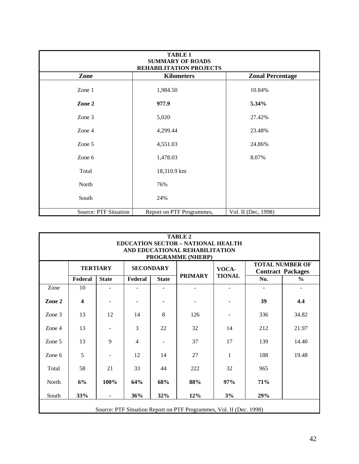| <b>TABLE 1</b><br><b>SUMMARY OF ROADS</b><br>REHABILITATION PROJECTS |                           |                         |  |  |  |  |
|----------------------------------------------------------------------|---------------------------|-------------------------|--|--|--|--|
| Zone                                                                 | <b>Kilometers</b>         | <b>Zonal Percentage</b> |  |  |  |  |
| Zone 1                                                               | 1,984.50                  | 10.84%                  |  |  |  |  |
| Zone 2                                                               | 977.9                     | 5.34%                   |  |  |  |  |
| Zone 3                                                               | 5,020                     | 27.42%                  |  |  |  |  |
| Zone 4                                                               | 4,299.44                  | 23.48%                  |  |  |  |  |
| Zone 5                                                               | 4,551.03                  | 24.86%                  |  |  |  |  |
| Zone 6                                                               | 1,478.03                  | 8.07%                   |  |  |  |  |
| Total                                                                | 18,310.9 km               |                         |  |  |  |  |
| North                                                                | 76%                       |                         |  |  |  |  |
| South                                                                | 24%                       |                         |  |  |  |  |
| Source: PTF Situation                                                | Report on PTF Programmes, | Vol. II (Dec, 1998)     |  |  |  |  |

| <b>TABLE 2</b><br><b>EDUCATION SECTOR - NATIONAL HEALTH</b><br>AND EDUCATIONAL REHABILITATION<br>PROGRAMME (NHERP) |                                       |                 |                  |              |                |               |                                                    |               |  |
|--------------------------------------------------------------------------------------------------------------------|---------------------------------------|-----------------|------------------|--------------|----------------|---------------|----------------------------------------------------|---------------|--|
|                                                                                                                    |                                       | <b>TERTIARY</b> | <b>SECONDARY</b> |              |                | VOCA-         | <b>TOTAL NUMBER OF</b><br><b>Contract Packages</b> |               |  |
|                                                                                                                    | Federal                               | <b>State</b>    | Federal          | <b>State</b> | <b>PRIMARY</b> | <b>TIONAL</b> | No.                                                | $\frac{0}{0}$ |  |
| Zone                                                                                                               | 10                                    |                 |                  |              |                |               |                                                    |               |  |
| Zone 2                                                                                                             | $\overline{\mathbf{4}}$               |                 |                  |              |                |               | 39                                                 | 4.4           |  |
| Zone 3                                                                                                             | 13                                    | 12              | 14               | 8            | 126            |               | 336                                                | 34.82         |  |
| Zone 4                                                                                                             | 13                                    | ÷               | 3                | 22           | 32             | 14            | 212                                                | 21.97         |  |
| Zone 5                                                                                                             | 13                                    | 9               | 4                |              | 37             | 17            | 139                                                | 14.40         |  |
| Zone 6                                                                                                             | 5                                     |                 | 12               | 14           | 27             | 1             | 188                                                | 19.48         |  |
| Total                                                                                                              | 58                                    | 21              | 33               | 44           | 222            | 32            | 965                                                |               |  |
| North                                                                                                              | 6%                                    | 100%            | 64%              | 68%          | 88%            | 97%           | 71%                                                |               |  |
| South                                                                                                              | 33%<br>36%<br>32%<br>12%<br>3%<br>29% |                 |                  |              |                |               |                                                    |               |  |
| Source: PTF Situation Report on PTF Programmes, Vol. II (Dec. 1998)                                                |                                       |                 |                  |              |                |               |                                                    |               |  |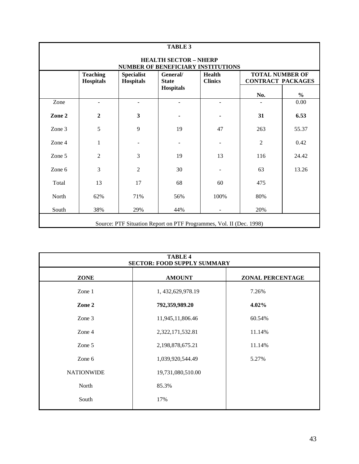| <b>TABLE 3</b> |                                                                           |                                       |                          |                                 |                                                    |               |  |  |
|----------------|---------------------------------------------------------------------------|---------------------------------------|--------------------------|---------------------------------|----------------------------------------------------|---------------|--|--|
|                | <b>HEALTH SECTOR - NHERP</b><br><b>NUMBER OF BENEFICIARY INSTITUTIONS</b> |                                       |                          |                                 |                                                    |               |  |  |
|                | <b>Teaching</b><br><b>Hospitals</b>                                       | <b>Specialist</b><br><b>Hospitals</b> | General/<br><b>State</b> | <b>Health</b><br><b>Clinics</b> | <b>TOTAL NUMBER OF</b><br><b>CONTRACT PACKAGES</b> |               |  |  |
|                |                                                                           |                                       | <b>Hospitals</b>         |                                 | No.                                                | $\frac{0}{0}$ |  |  |
| Zone           |                                                                           | $\overline{\phantom{0}}$              |                          |                                 |                                                    | 0.00          |  |  |
| Zone 2         | $\boldsymbol{2}$                                                          | $\overline{\mathbf{3}}$               |                          |                                 | 31                                                 | 6.53          |  |  |
| Zone 3         | 5                                                                         | 9                                     | 19                       | 47                              | 263                                                | 55.37         |  |  |
| Zone 4         | 1                                                                         |                                       |                          |                                 | $\overline{2}$                                     | 0.42          |  |  |
| Zone 5         | $\overline{2}$                                                            | 3                                     | 19                       | 13                              | 116                                                | 24.42         |  |  |
| Zone 6         | 3                                                                         | $\overline{2}$                        | 30                       |                                 | 63                                                 | 13.26         |  |  |
| Total          | 13                                                                        | 17                                    | 68                       | 60                              | 475                                                |               |  |  |
| North          | 62%                                                                       | 71%                                   | 56%                      | 100%                            | 80%                                                |               |  |  |
| South          | 38%                                                                       | 29%                                   | 44%                      | $\blacksquare$                  | 20%                                                |               |  |  |
|                | Source: PTF Situation Report on PTF Programmes, Vol. II (Dec. 1998)       |                                       |                          |                                 |                                                    |               |  |  |

| <b>TABLE 4</b><br><b>SECTOR: FOOD SUPPLY SUMMARY</b> |                      |                         |  |  |  |  |
|------------------------------------------------------|----------------------|-------------------------|--|--|--|--|
| <b>ZONE</b>                                          | <b>AMOUNT</b>        | <b>ZONAL PERCENTAGE</b> |  |  |  |  |
| Zone 1                                               | 1, 432, 629, 978. 19 | 7.26%                   |  |  |  |  |
| Zone 2                                               | 792,359,989.20       | 4.02%                   |  |  |  |  |
| Zone 3                                               | 11,945,11,806.46     | 60.54%                  |  |  |  |  |
| Zone 4                                               | 2,322,171,532.81     | 11.14%                  |  |  |  |  |
| Zone 5                                               | 2,198,878,675.21     | 11.14%                  |  |  |  |  |
| Zone 6                                               | 1,039,920,544.49     | 5.27%                   |  |  |  |  |
| <b>NATIONWIDE</b>                                    | 19,731,080,510.00    |                         |  |  |  |  |
| North                                                | 85.3%                |                         |  |  |  |  |
| South                                                | 17%                  |                         |  |  |  |  |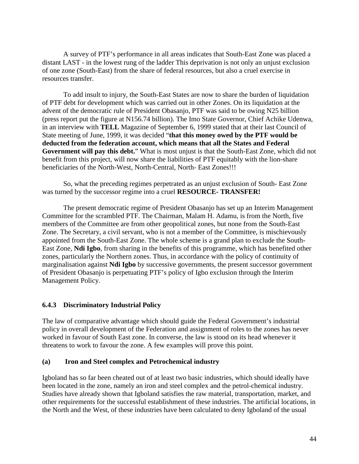A survey of PTF's performance in all areas indicates that South-East Zone was placed a distant LAST - in the lowest rung of the ladder This deprivation is not only an unjust exclusion of one zone (South-East) from the share of federal resources, but also a cruel exercise in resources transfer.

To add insult to injury, the South-East States are now to share the burden of liquidation of PTF debt for development which was carried out in other Zones. On its liquidation at the advent of the democratic rule of President Obasanjo, PTF was said to be owing N25 billion (press report put the figure at N156.74 billion). The Imo State Governor, Chief Achike Udenwa, in an interview with **TELL** Magazine of September 6, 1999 stated that at their last Council of State meeting of June, 1999, it was decided "**that this money owed by the PTF would be deducted from the federation account, which means that all the States and Federal Government will pay this debt.**" What is most unjust is that the South-East Zone, which did not benefit from this project, will now share the liabilities of PTF equitably with the lion-share beneficiaries of the North-West, North-Central, North- East Zones!!!

So, what the preceding regimes perpetrated as an unjust exclusion of South- East Zone was turned by the successor regime into a cruel **RESOURCE- TRANSFER!**

The present democratic regime of President Obasanjo has set up an Interim Management Committee for the scrambled PTF. The Chairman, Malam H. Adamu, is from the North, five members of the Committee are from other geopolitical zones, but none from the South-East Zone. The Secretary, a civil servant, who is not a member of the Committee, is mischievously appointed from the South-East Zone. The whole scheme is a grand plan to exclude the South-East Zone, **Ndi Igbo**, from sharing in the benefits of this programme, which has benefited other zones, particularly the Northern zones. Thus, in accordance with the policy of continuity of marginalisation against **Ndi Igbo** by successive governments, the present successor government of President Obasanjo is perpetuating PTF's policy of Igbo exclusion through the Interim Management Policy.

#### **6.4.3 Discriminatory Industrial Policy**

The law of comparative advantage which should guide the Federal Government's industrial policy in overall development of the Federation and assignment of roles to the zones has never worked in favour of South East zone. In converse, the law is stood on its head whenever it threatens to work to favour the zone. A few examples will prove this point.

#### **(a) Iron and Steel complex and Petrochemical industry**

Igboland has so far been cheated out of at least two basic industries, which should ideally have been located in the zone, namely an iron and steel complex and the petrol-chemical industry. Studies have already shown that Igboland satisfies the raw material, transportation, market, and other requirements for the successful establishment of these industries. The artificial locations, in the North and the West, of these industries have been calculated to deny Igboland of the usual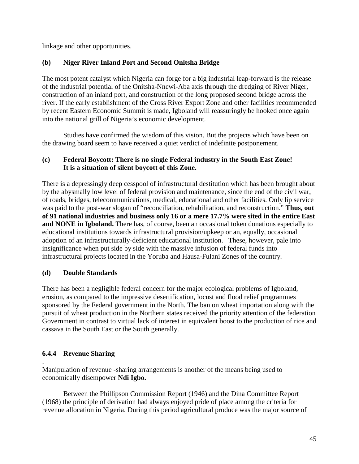linkage and other opportunities.

## **(b) Niger River Inland Port and Second Onitsha Bridge**

The most potent catalyst which Nigeria can forge for a big industrial leap-forward is the release of the industrial potential of the Onitsha-Nnewi-Aba axis through the dredging of River Niger, construction of an inland port, and construction of the long proposed second bridge across the river. If the early establishment of the Cross River Export Zone and other facilities recommended by recent Eastern Economic Summit is made, Igboland will reassuringly be hooked once again into the national grill of Nigeria's economic development.

Studies have confirmed the wisdom of this vision. But the projects which have been on the drawing board seem to have received a quiet verdict of indefinite postponement.

## **(c) Federal Boycott: There is no single Federal industry in the South East Zone! It is a situation of silent boycott of this Zone.**

There is a depressingly deep cesspool of infrastructural destitution which has been brought about by the abysmally low level of federal provision and maintenance, since the end of the civil war, of roads, bridges, telecommunications, medical, educational and other facilities. Only lip service was paid to the post-war slogan of "reconciliation, rehabilitation, and reconstruction." **Thus, out of 91 national industries and business only 16 or a mere 17.7% were sited in the entire East and NONE in Igboland.** There has, of course, been an occasional token donations especially to educational institutions towards infrastructural provision/upkeep or an, equally, occasional adoption of an infrastructurally-deficient educational institution. These, however, pale into insignificance when put side by side with the massive infusion of federal funds into infrastructural projects located in the Yoruba and Hausa-Fulani Zones of the country.

### **(d) Double Standards**

There has been a negligible federal concern for the major ecological problems of Igboland, erosion, as compared to the impressive desertification, locust and flood relief programmes sponsored by the Federal government in the North. The ban on wheat importation along with the pursuit of wheat production in the Northern states received the priority attention of the federation Government in contrast to virtual lack of interest in equivalent boost to the production of rice and cassava in the South East or the South generally.

### **6.4.4 Revenue Sharing**

. Manipulation of revenue -sharing arrangements is another of the means being used to economically disempower **Ndi Igbo.**

Between the Phillipson Commission Report (1946) and the Dina Committee Report (1968) the principle of derivation had always enjoyed pride of place among the criteria for revenue allocation in Nigeria. During this period agricultural produce was the major source of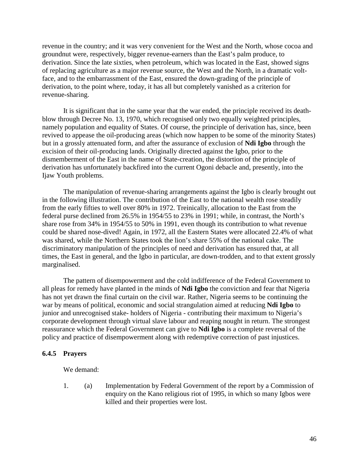revenue in the country; and it was very convenient for the West and the North, whose cocoa and groundnut were, respectively, bigger revenue-earners than the East's palm produce, to derivation. Since the late sixties, when petroleum, which was located in the East, showed signs of replacing agriculture as a major revenue source, the West and the North, in a dramatic voltface, and to the embarrassment of the East, ensured the down-grading of the principle of derivation, to the point where, today, it has all but completely vanished as a criterion for revenue-sharing.

It is significant that in the same year that the war ended, the principle received its deathblow through Decree No. 13, 1970, which recognised only two equally weighted principles, namely population and equality of States. Of course, the principle of derivation has, since, been revived to appease the oil-producing areas (which now happen to be some of the minority States) but in a grossly attenuated form, and after the assurance of exclusion of **Ndi Igbo** through the excision of their oil-producing lands. Originally directed against the Igbo, prior to the dismemberment of the East in the name of State-creation, the distortion of the principle of derivation has unfortunately backfired into the current Ogoni debacle and, presently, into the Ijaw Youth problems.

The manipulation of revenue-sharing arrangements against the Igbo is clearly brought out in the following illustration. The contribution of the East to the national wealth rose steadily from the early fifties to well over 80% in 1972. Treinically, allocation to the East from the federal purse declined from 26.5% in 1954/55 to 23% in 1991; while, in contrast, the North's share rose from 34% in 1954/55 to 50% in 1991, even though its contribution to what revenue could be shared nose-dived! Again, in 1972, all the Eastern States were allocated 22.4% of what was shared, while the Northern States took the lion's share 55% of the national cake. The discriminatory manipulation of the principles of need and derivation has ensured that, at all times, the East in general, and the Igbo in particular, are down-trodden, and to that extent grossly marginalised.

The pattern of disempowerment and the cold indifference of the Federal Government to all pleas for remedy have planted in the minds of **Ndi Igbo** the conviction and fear that Nigeria has not yet drawn the final curtain on the civil war. Rather, Nigeria seems to be continuing the war by means of political, economic and social strangulation aimed at reducing **Ndi Igbo** to junior and unrecognised stake- holders of Nigeria - contributing their maximum to Nigeria's corporate development through virtual slave labour and reaping nought in return. The strongest reassurance which the Federal Government can give to **Ndi Igbo** is a complete reversal of the policy and practice of disempowerment along with redemptive correction of past injustices.

#### **6.4.5 Prayers**

We demand:

1. (a) Implementation by Federal Government of the report by a Commission of enquiry on the Kano religious riot of 1995, in which so many Igbos were killed and their properties were lost.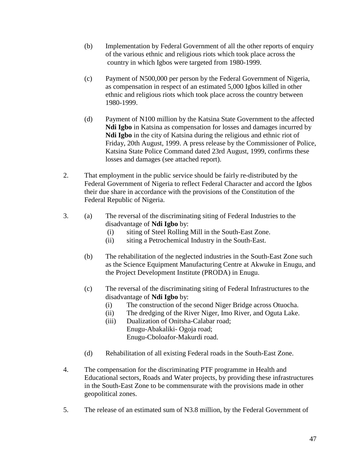- (b) Implementation by Federal Government of all the other reports of enquiry of the various ethnic and religious riots which took place across the country in which Igbos were targeted from 1980-1999.
- (c) Payment of N500,000 per person by the Federal Government of Nigeria, as compensation in respect of an estimated 5,000 Igbos killed in other ethnic and religious riots which took place across the country between 1980-1999.
- (d) Payment of N100 million by the Katsina State Government to the affected **Ndi Igbo** in Katsina as compensation for losses and damages incurred by **Ndi Igbo** in the city of Katsina during the religious and ethnic riot of Friday, 20th August, 1999. A press release by the Commissioner of Police, Katsina State Police Command dated 23rd August, 1999, confirms these losses and damages (see attached report).
- 2. That employment in the public service should be fairly re-distributed by the Federal Government of Nigeria to reflect Federal Character and accord the Igbos their due share in accordance with the provisions of the Constitution of the Federal Republic of Nigeria.
- 3. (a) The reversal of the discriminating siting of Federal Industries to the disadvantage of **Ndi Igbo** by:
	- (i) siting of Steel Rolling Mill in the South-East Zone.
	- (ii) siting a Petrochemical Industry in the South-East.
	- (b) The rehabilitation of the neglected industries in the South-East Zone such as the Science Equipment Manufacturing Centre at Akwuke in Enugu, and the Project Development Institute (PRODA) in Enugu.
	- (c) The reversal of the discriminating siting of Federal Infrastructures to the disadvantage of **Ndi Igbo** by:
		- (i) The construction of the second Niger Bridge across Otuocha.
		- (ii) The dredging of the River Niger, Imo River, and Oguta Lake.
		- (iii) Dualization of Onitsha-Calabar road; Enugu-Abakaliki- Ogoja road; Enugu-Cboloafor-Makurdi road.
	- (d) Rehabilitation of all existing Federal roads in the South-East Zone.
- 4. The compensation for the discriminating PTF programme in Health and Educational sectors, Roads and Water projects, by providing these infrastructures in the South-East Zone to be commensurate with the provisions made in other geopolitical zones.
- 5. The release of an estimated sum of N3.8 million, by the Federal Government of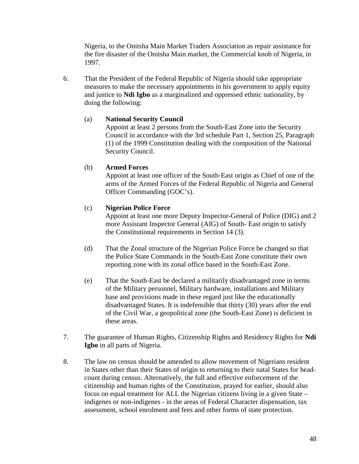Nigeria, to the Onitsha Main Market Traders Association as repair assistance for the fire disaster of the Onitsha Main market, the Commercial knob of Nigeria, in 1997.

6. That the President of the Federal Republic of Nigeria should take appropriate measures to make the necessary appointments in his government to apply equity and justice to **Ndi Igbo** as a marginalized and oppressed ethnic nationality, by doing the following:

#### (a) **National Security Council**

Appoint at least 2 persons from the South-East Zone into the Security Council in accordance with the 3rd schedule Part 1, Section 25, Paragraph (1) of the 1999 Constitution dealing with the composition of the National Security Council.

#### (b) **Armed Forces**

Appoint at least one officer of the South-East origin as Chief of one of the arms of the Armed Forces of the Federal Republic of Nigeria and General Officer Commanding (GOC's).

#### (c) **Nigerian Police Force**

Appoint at least one more Deputy Inspector-General of Police (DIG) and 2 more Assistant Inspector General (AIG) of South- East origin to satisfy the Constitutional requirements in Section 14 (3).

- (d) That the Zonal structure of the Nigerian Police Force be changed so that the Police State Commands in the South-East Zone constitute their own reporting zone with its zonal office based in the South-East Zone.
- (e) That the South-East be declared a militarily disadvantaged zone in terms of the Military personnel, Military hardware, installations and Military base and provisions made in these regard just like the educationally disadvantaged States. It is indefensible that thirty (30) years after the end of the Civil War, a geopolitical zone (the South-East Zone) is deficient in these areas.
- 7. The guarantee of Human Rights, Citizenship Rights and Residency Rights for **Ndi Igbo** in all parts of Nigeria.
- 8. The law on census should be amended to allow movement of Nigerians resident in States other than their States of origin to returning to their natal States for headcount during census. Alternatively, the full and effective enforcement of the citizenship and human rights of the Constitution, prayed for earlier, should also focus on equal treatment for ALL the Nigerian citizens living in a given State – indigenes or non-indigenes - in the areas of Federal Character dispensation, tax assessment, school enrolment and fees and other forms of state protection.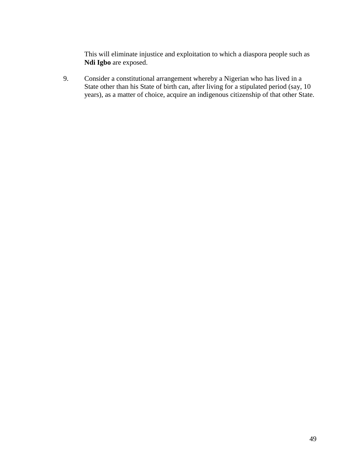This will eliminate injustice and exploitation to which a diaspora people such as **Ndi Igbo** are exposed.

9. Consider a constitutional arrangement whereby a Nigerian who has lived in a State other than his State of birth can, after living for a stipulated period (say, 10 years), as a matter of choice, acquire an indigenous citizenship of that other State.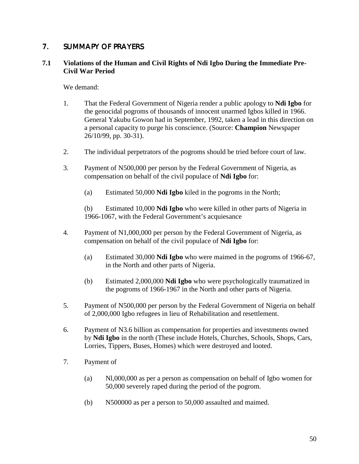## 7. SUMMAPY OF PRAYERS

#### **7.1 Violations of the Human and Civil Rights of Ndi Igbo During the Immediate Pre-Civil War Period**

We demand:

- 1. That the Federal Government of Nigeria render a public apology to **Ndi Igbo** for the genocidal pogroms of thousands of innocent unarmed Igbos killed in 1966. General Yakubu Gowon had in September, 1992, taken a lead in this direction on a personal capacity to purge his conscience. (Source: **Champion** Newspaper 26/10/99, pp. 30-31).
- 2. The individual perpetrators of the pogroms should be tried before court of law.
- 3. Payment of N500,000 per person by the Federal Government of Nigeria, as compensation on behalf of the civil populace of **Ndi Igbo** for:
	- (a) Estimated 50,000 **Ndi Igbo** kiled in the pogroms in the North;

(b) Estimated 10,000 **Ndi Igbo** who were killed in other parts of Nigeria in 1966-1067, with the Federal Government's acquiesance

- 4. Payment of N1,000,000 per person by the Federal Government of Nigeria, as compensation on behalf of the civil populace of **Ndi Igbo** for:
	- (a) Estimated 30,000 **Ndi Igbo** who were maimed in the pogroms of 1966-67, in the North and other parts of Nigeria.
	- (b) Estimated 2,000,000 **Ndi Igbo** who were psychologically traumatized in the pogroms of 1966-1967 in the North and other parts of Nigeria.
- 5. Payment of N500,000 per person by the Federal Government of Nigeria on behalf of 2,000,000 Igbo refugees in lieu of Rehabilitation and resettlement.
- 6. Payment of N3.6 billion as compensation for properties and investments owned by **Ndi Igbo** in the north (These include Hotels, Churches, Schools, Shops, Cars, Lorries, Tippers, Buses, Homes) which were destroyed and looted.
- 7. Payment of
	- (a) Nl,000,000 as per a person as compensation on behalf of Igbo women for 50,000 severely raped during the period of the pogrom.
	- (b) N500000 as per a person to 50,000 assaulted and maimed.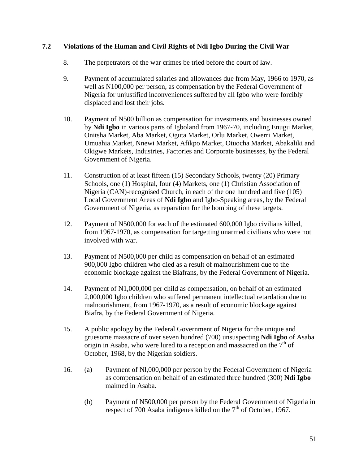#### **7.2 Violations of the Human and Civil Rights of Ndi Igbo During the Civil War**

- 8. The perpetrators of the war crimes be tried before the court of law.
- 9. Payment of accumulated salaries and allowances due from May, 1966 to 1970, as well as N100,000 per person, as compensation by the Federal Government of Nigeria for unjustified inconveniences suffered by all Igbo who were forcibly displaced and lost their jobs.
- 10. Payment of N500 billion as compensation for investments and businesses owned by **Ndi Igbo** in various parts of Igboland from 1967-70, including Enugu Market, Onitsha Market, Aba Market, Oguta Market, Orlu Market, Owerri Market, Umuahia Market, Nnewi Market, Afikpo Market, Otuocha Market, Abakaliki and Okigwe Markets, Industries, Factories and Corporate businesses, by the Federal Government of Nigeria.
- 11. Construction of at least fifteen (15) Secondary Schools, twenty (20) Primary Schools, one (1) Hospital, four (4) Markets, one (1) Christian Association of Nigeria (CAN)-recognised Church, in each of the one hundred and five (105) Local Government Areas of **Ndi Igbo** and Igbo-Speaking areas, by the Federal Government of Nigeria, as reparation for the bombing of these targets.
- 12. Payment of N500,000 for each of the estimated 600,000 Igbo civilians killed, from 1967-1970, as compensation for targetting unarmed civilians who were not involved with war.
- 13. Payment of N500,000 per child as compensation on behalf of an estimated 900,000 Igbo children who died as a result of malnourishment due to the economic blockage against the Biafrans, by the Federal Government of Nigeria.
- 14. Payment of N1,000,000 per child as compensation, on behalf of an estimated 2,000,000 Igbo children who suffered permanent intellectual retardation due to malnourishment, from 1967-1970, as a result of economic blockage against Biafra, by the Federal Government of Nigeria.
- 15. A public apology by the Federal Government of Nigeria for the unique and gruesome massacre of over seven hundred (700) unsuspecting **Ndi Igbo** of Asaba origin in Asaba, who were lured to a reception and massacred on the  $7<sup>th</sup>$  of October, 1968, by the Nigerian soldiers.
- 16. (a) Payment of Nl,000,000 per person by the Federal Government of Nigeria as compensation on behalf of an estimated three hundred (300) **Ndi Igbo** maimed in Asaba.
	- (b) Payment of N500,000 per person by the Federal Government of Nigeria in respect of 700 Asaba indigenes killed on the  $7<sup>th</sup>$  of October, 1967.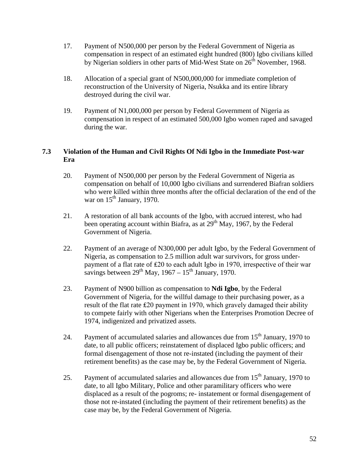- 17. Payment of N500,000 per person by the Federal Government of Nigeria as compensation in respect of an estimated eight hundred (800) Igbo civilians killed by Nigerian soldiers in other parts of Mid-West State on  $26<sup>th</sup>$  November, 1968.
- 18. Allocation of a special grant of N500,000,000 for immediate completion of reconstruction of the University of Nigeria, Nsukka and its entire library destroyed during the civil war.
- 19. Payment of N1,000,000 per person by Federal Government of Nigeria as compensation in respect of an estimated 500,000 Igbo women raped and savaged during the war.

#### **7.3 Violation of the Human and Civil Rights Of Ndi Igbo in the Immediate Post-war Era**

- 20. Payment of N500,000 per person by the Federal Government of Nigeria as compensation on behalf of 10,000 Igbo civilians and surrendered Biafran soldiers who were killed within three months after the official declaration of the end of the war on  $15<sup>th</sup>$  January, 1970.
- 21. A restoration of all bank accounts of the Igbo, with accrued interest, who had been operating account within Biafra, as at  $29<sup>th</sup>$  May, 1967, by the Federal Government of Nigeria.
- 22. Payment of an average of N300,000 per adult Igbo, by the Federal Government of Nigeria, as compensation to 2.5 million adult war survivors, for gross underpayment of a flat rate of £20 to each adult Igbo in 1970, irrespective of their war savings between  $29^{th}$  May,  $1967 - 15^{th}$  January, 1970.
- 23. Payment of N900 billion as compensation to **Ndi Igbo**, by the Federal Government of Nigeria, for the willful damage to their purchasing power, as a result of the flat rate £20 payment in 1970, which gravely damaged their ability to compete fairly with other Nigerians when the Enterprises Promotion Decree of 1974, indigenized and privatized assets.
- 24. Payment of accumulated salaries and allowances due from  $15<sup>th</sup>$  January, 1970 to date, to all public officers; reinstatement of displaced Igbo public officers; and formal disengagement of those not re-instated (including the payment of their retirement benefits) as the case may be, by the Federal Government of Nigeria.
- 25. Payment of accumulated salaries and allowances due from  $15<sup>th</sup>$  January, 1970 to date, to all Igbo Military, Police and other paramilitary officers who were displaced as a result of the pogroms; re- instatement or formal disengagement of those not re-instated (including the payment of their retirement benefits) as the case may be, by the Federal Government of Nigeria.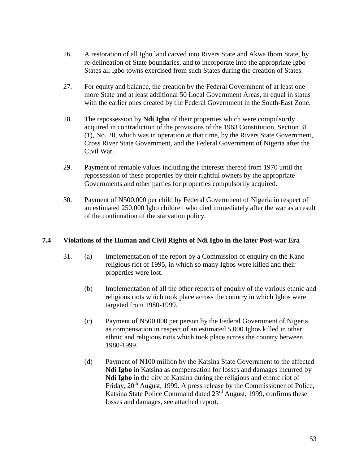- 26. A restoration of all Igbo land carved into Rivers State and Akwa Ibom State, by re-delineation of State boundaries, and to incorporate into the appropriate Igbo States all Igbo towns exercised from such States during the creation of States.
- 27. For equity and balance, the creation by the Federal Government of at least one more State and at least additional 50 Local Government Areas, in equal in status with the earlier ones created by the Federal Government in the South-East Zone.
- 28. The repossession by **Ndi Igbo** of their properties which were compulsorily acquired in contradiction of the provisions of the 1963 Constitution, Section 31 (1), No. 20, which was in operation at that time, by the Rivers State Government, Cross River State Government, and the Federal Government of Nigeria after the Civil War.
- 29. Payment of rentable values including the interests thereof from 1970 until the repossession of these properties by their rightful owners by the appropriate Governments and other parties for properties compulsorily acquired.
- 30. Payment of N500,000 per child by Federal Government of Nigeria in respect of an estimated 250,000 Igbo children who died immediately after the war as a result of the continuation of the starvation policy.

#### **7.4 Violations of the Human and Civil Rights of Ndi Igbo in the later Post-war Era**

- 31. (a) Implementation of the report by a Commission of enquiry on the Kano religious riot of 1995, in which so many Igbos were killed and their properties were lost.
	- (b) Implementation of all the other reports of enquiry of the various ethnic and religious riots which took place across the country in which Igbos were targeted from 1980-1999.
	- (c) Payment of N500,000 per person by the Federal Government of Nigeria, as compensation in respect of an estimated 5,000 Igbos killed in other ethnic and religious riots which took place across the country between 1980-1999.
	- (d) Payment of N100 million by the Katsina State Government to the affected **Ndi Igbo** in Katsina as compensation for losses and damages incurred by **Ndi Igbo** in the city of Katsina during the religious and ethnic riot of Friday, 20<sup>th</sup> August, 1999. A press release by the Commissioner of Police, Katsina State Police Command dated 23<sup>rd</sup> August, 1999, confirms these losses and damages, see attached report.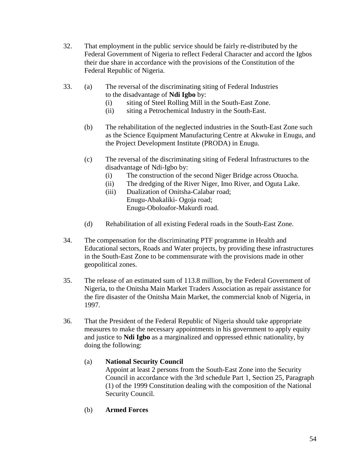- 32. That employment in the public service should be fairly re-distributed by the Federal Government of Nigeria to reflect Federal Character and accord the Igbos their due share in accordance with the provisions of the Constitution of the Federal Republic of Nigeria.
- 33. (a) The reversal of the discriminating siting of Federal Industries to the disadvantage of **Ndi Igbo** by:
	- (i) siting of Steel Rolling Mill in the South-East Zone.
	- (ii) siting a Petrochemical Industry in the South-East.
	- (b) The rehabilitation of the neglected industries in the South-East Zone such as the Science Equipment Manufacturing Centre at Akwuke in Enugu, and the Project Development Institute (PRODA) in Enugu.
	- (c) The reversal of the discriminating siting of Federal Infrastructures to the disadvantage of Ndi-Igbo by:
		- (i) The construction of the second Niger Bridge across Otuocha.
		- (ii) The dredging of the River Niger, Imo River, and Oguta Lake.
		- (iii) Dualization of Onitsha-Calabar road; Enugu-Abakaliki- Ogoja road; Enugu-Oboloafor-Makurdi road.
	- (d) Rehabilitation of all existing Federal roads in the South-East Zone.
- 34. The compensation for the discriminating PTF programme in Health and Educational sectors, Roads and Water projects, by providing these infrastructures in the South-East Zone to be commensurate with the provisions made in other geopolitical zones.
- 35. The release of an estimated sum of 113.8 million, by the Federal Government of Nigeria, to the Onitsha Main Market Traders Association as repair assistance for the fire disaster of the Onitsha Main Market, the commercial knob of Nigeria, in 1997.
- 36. That the President of the Federal Republic of Nigeria should take appropriate measures to make the necessary appointments in his government to apply equity and justice to **Ndi Igbo** as a marginalized and oppressed ethnic nationality, by doing the following:

#### (a) **National Security Council**

Appoint at least 2 persons from the South-East Zone into the Security Council in accordance with the 3rd schedule Part 1, Section 25, Paragraph (1) of the 1999 Constitution dealing with the composition of the National Security Council.

(b) **Armed Forces**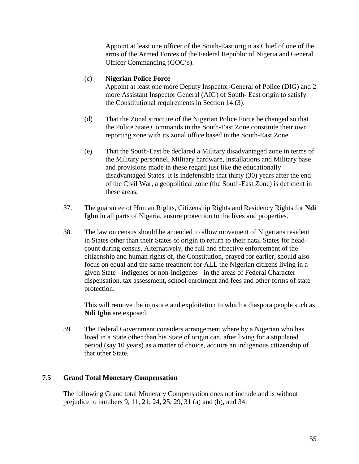Appoint at least one officer of the South-East origin as Chief of one of the arms of the Armed Forces of the Federal Republic of Nigeria and General Officer Commanding (GOC's).

#### (c) **Nigerian Police Force**

Appoint at least one more Deputy Inspector-General of Police (DIG) and 2 more Assistant Inspector General (AIG) of South- East origin to satisfy the Constitutional requirements in Section 14 (3).

- (d) That the Zonal structure of the Nigerian Police Force be changed so that the Police State Commands in the South-East Zone constitute their own reporting zone with its zonal office based in the South-East Zone.
- (e) That the South-East be declared a Military disadvantaged zone in terms of the Military personnel, Military hardware, installations and Military base and provisions made in these regard just like the educationally disadvantaged States. It is indefensible that thirty (30) years after the end of the Civil War, a geopolitical zone (the South-East Zone) is deficient in these areas.
- 37. The guarantee of Human Rights, Citizenship Rights and Residency Rights for **Ndi Igbo** in all parts of Nigeria, ensure protection to the lives and properties.
- 38. The law on census should be amended to allow movement of Nigerians resident in States other than their States of origin to return to their natal States for headcount during census. Alternatively, the full and effective enforcement of the citizenship and human rights of, the Constitution, prayed for earlier, should also focus on equal and the same treatment for ALL the Nigerian citizens living in a given State - indigenes or non-indigenes - in the areas of Federal Character dispensation, tax assessment, school enrolment and fees and other forms of state protection.

This will remove the injustice and exploitation to which a diaspora people such as **Ndi Igbo** are exposed.

39. The Federal Government considers arrangement where by a Nigerian who has lived in a State other than his State of origin can, after living for a stipulated period (say 10 years) as a matter of choice, acquire an indigenous citizenship of that other State.

#### **7.5 Grand Total Monetary Compensation**

The following Grand total Monetary Compensation does not include and is without prejudice to numbers 9, 11, 21, 24, 25, 29, 31 (a) and (b), and 34: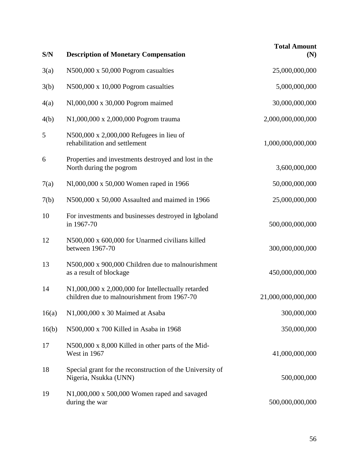| S/N   | <b>Description of Monetary Compensation</b>                                                              | <b>Total Amount</b><br>(N) |
|-------|----------------------------------------------------------------------------------------------------------|----------------------------|
| 3(a)  | N500,000 x 50,000 Pogrom casualties                                                                      | 25,000,000,000             |
| 3(b)  | $N500,000 \times 10,000$ Pogrom casualties                                                               | 5,000,000,000              |
| 4(a)  | N1,000,000 x 30,000 Pogrom maimed                                                                        | 30,000,000,000             |
| 4(b)  | N1,000,000 x 2,000,000 Pogrom trauma                                                                     | 2,000,000,000,000          |
| 5     | N500,000 x 2,000,000 Refugees in lieu of<br>rehabilitation and settlement                                | 1,000,000,000,000          |
| 6     | Properties and investments destroyed and lost in the<br>North during the pogrom                          | 3,600,000,000              |
| 7(a)  | N1,000,000 x 50,000 Women raped in 1966                                                                  | 50,000,000,000             |
| 7(b)  | N500,000 x 50,000 Assaulted and maimed in 1966                                                           | 25,000,000,000             |
| 10    | For investments and businesses destroyed in Igboland<br>in 1967-70                                       | 500,000,000,000            |
| 12    | N500,000 x 600,000 for Unarmed civilians killed<br>between 1967-70                                       | 300,000,000,000            |
| 13    | N500,000 x 900,000 Children due to malnourishment<br>as a result of blockage                             | 450,000,000,000            |
| 14    | $N1,000,000 \times 2,000,000$ for Intellectually retarded<br>children due to malnourishment from 1967-70 | 21,000,000,000,000         |
| 16(a) | N1,000,000 x 30 Maimed at Asaba                                                                          | 300,000,000                |
| 16(b) | N500,000 x 700 Killed in Asaba in 1968                                                                   | 350,000,000                |
| 17    | N500,000 x 8,000 Killed in other parts of the Mid-<br>West in 1967                                       | 41,000,000,000             |
| 18    | Special grant for the reconstruction of the University of<br>Nigeria, Nsukka (UNN)                       | 500,000,000                |
| 19    | $N1,000,000 \times 500,000$ Women raped and savaged<br>during the war                                    | 500,000,000,000            |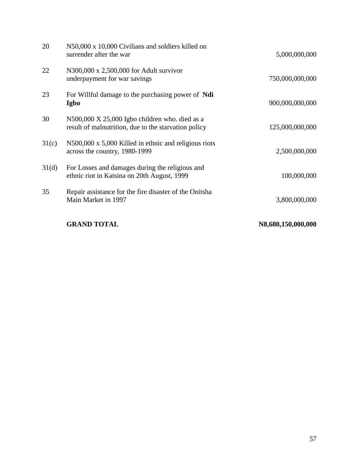|                 | <b>GRAND TOTAL</b>                                                                                     | N8,680,150,000,000 |
|-----------------|--------------------------------------------------------------------------------------------------------|--------------------|
| 35              | Repair assistance for the fire disaster of the Onitsha<br>Main Market in 1997                          | 3,800,000,000      |
| 31 <sub>d</sub> | For Losses and damages during the religious and<br>ethnic riot in Katsina on 20th August, 1999         | 100,000,000        |
| 31(c)           | N500,000 x 5,000 Killed in ethnic and religious riots<br>across the country, 1980-1999                 | 2,500,000,000      |
| 30              | N500,000 X 25,000 Igbo children who. died as a<br>result of malnutrition, due to the starvation policy | 125,000,000,000    |
| 23              | For Willful damage to the purchasing power of Ndi<br>Igbo                                              | 900,000,000,000    |
| 22              | N300,000 x 2,500,000 for Adult survivor<br>underpayment for war savings                                | 750,000,000,000    |
| 20              | N50,000 x 10,000 Civilians and soldiers killed on<br>surrender after the war                           | 5,000,000,000      |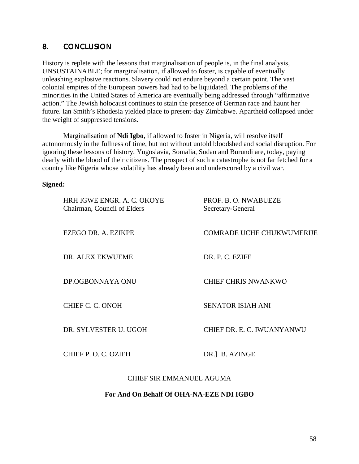#### 8. CONCLUSION 8.

History is replete with the lessons that marginalisation of people is, in the final analysis, UNSUSTAINABLE; for marginalisation, if allowed to foster, is capable of eventually unleashing explosive reactions. Slavery could not endure beyond a certain point. The vast colonial empires of the European powers had had to be liquidated. The problems of the minorities in the United States of America are eventually being addressed through "affirmative action." The Jewish holocaust continues to stain the presence of German race and haunt her future. Ian Smith's Rhodesia yielded place to present-day Zimbabwe. Apartheid collapsed under the weight of suppressed tensions.

Marginalisation of **Ndi Igbo**, if allowed to foster in Nigeria, will resolve itself autonomously in the fullness of time, but not without untold bloodshed and social disruption. For ignoring these lessons of history, Yugoslavia, Somalia, Sudan and Burundi are, today, paying dearly with the blood of their citizens. The prospect of such a catastrophe is not far fetched for a country like Nigeria whose volatility has already been and underscored by a civil war.

#### **Signed:**

| HRH IGWE ENGR. A. C. OKOYE<br>Chairman, Council of Elders | PROF. B. O. NWABUEZE<br>Secretary-General |
|-----------------------------------------------------------|-------------------------------------------|
| EZEGO DR. A. EZIKPE                                       | <b>COMRADE UCHE CHUKWUMERIJE</b>          |
| DR. ALEX EKWUEME                                          | DR. P. C. EZIFE                           |
| DP.OGBONNAYA ONU                                          | <b>CHIEF CHRIS NWANKWO</b>                |
| CHIEF C. C. ONOH                                          | <b>SENATOR ISIAH ANI</b>                  |
| DR. SYLVESTER U. UGOH                                     | CHIEF DR. E. C. IWUANYANWU                |
| CHIEF P. O. C. OZIEH                                      | DR.] .B. AZINGE                           |
|                                                           |                                           |

#### CHIEF SIR EMMANUEL AGUMA

#### **For And On Behalf Of OHA-NA-EZE NDI IGBO**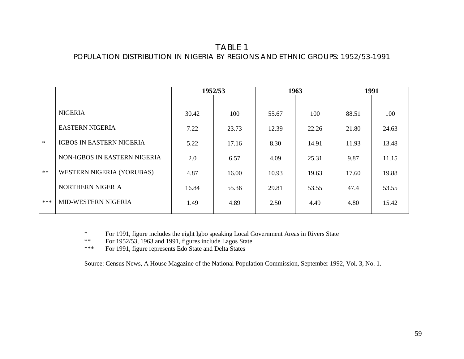# TABLE 1POPULATION DISTRIBUTION IN NIGERIA BY REGIONS AND ETHNIC GROUPS: 1952/53-1991

|        |                                  | 1952/53 |       | 1963  |       | 1991  |       |
|--------|----------------------------------|---------|-------|-------|-------|-------|-------|
|        |                                  |         |       |       |       |       |       |
|        | <b>NIGERIA</b>                   | 30.42   | 100   | 55.67 | 100   | 88.51 | 100   |
|        | <b>EASTERN NIGERIA</b>           | 7.22    | 23.73 | 12.39 | 22.26 | 21.80 | 24.63 |
| $\ast$ | <b>IGBOS IN EASTERN NIGERIA</b>  | 5.22    | 17.16 | 8.30  | 14.91 | 11.93 | 13.48 |
|        | NON-IGBOS IN EASTERN NIGERIA     | 2.0     | 6.57  | 4.09  | 25.31 | 9.87  | 11.15 |
| $**$   | <b>WESTERN NIGERIA (YORUBAS)</b> | 4.87    | 16.00 | 10.93 | 19.63 | 17.60 | 19.88 |
|        | NORTHERN NIGERIA                 | 16.84   | 55.36 | 29.81 | 53.55 | 47.4  | 53.55 |
| $***$  | MID-WESTERN NIGERIA              | 1.49    | 4.89  | 2.50  | 4.49  | 4.80  | 15.42 |

\* For 1991, figure includes the eight Igbo speaking Local Government Areas in Rivers State

\*\*For 1952/53, 1963 and 1991, figures include Lagos State

\*\*\*For 1991, figure represents Edo State and Delta States

Source: Census News, A House Magazine of the National Population Commission, September 1992, Vol. 3, No. 1.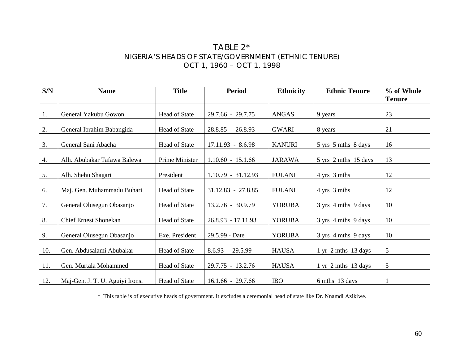# TABLE 2\* NIGERIA'S HEADS OF STATE/GOVERNMENT (ETHNIC TENURE) OCT 1, 1960 – OCT 1, 1998

| S/N | <b>Name</b>                     | <b>Title</b>         | <b>Period</b>        | <b>Ethnicity</b> | <b>Ethnic Tenure</b>          | % of Whole    |
|-----|---------------------------------|----------------------|----------------------|------------------|-------------------------------|---------------|
|     |                                 |                      |                      |                  |                               | <b>Tenure</b> |
| 1.  | General Yakubu Gowon            | Head of State        | 29.7.66 - 29.7.75    | <b>ANGAS</b>     | 9 years                       | 23            |
| 2.  | General Ibrahim Babangida       | <b>Head of State</b> | 28.8.85 - 26.8.93    | <b>GWARI</b>     | 8 years                       | 21            |
| 3.  | General Sani Abacha             | Head of State        | $17.11.93 - 8.6.98$  | <b>KANURI</b>    | 5 yrs 5 mths 8 days           | 16            |
| 4.  | Alh. Abubakar Tafawa Balewa     | Prime Minister       | $1.10.60 - 15.1.66$  | <b>JARAWA</b>    | 5 yrs 2 mths 15 days          | 13            |
| 5.  | Alh. Shehu Shagari              | President            | $1.10.79 - 31.12.93$ | <b>FULANI</b>    | 4 yrs 3 mths                  | 12            |
| 6.  | Maj. Gen. Muhammadu Buhari      | Head of State        | $31.12.83 - 27.8.85$ | <b>FULANI</b>    | 4 yrs 3 mths                  | 12            |
| 7.  | General Olusegun Obasanjo       | Head of State        | 13.2.76 - 30.9.79    | <b>YORUBA</b>    | 3 yrs 4 mths 9 days           | 10            |
| 8.  | <b>Chief Ernest Shonekan</b>    | Head of State        | $26.8.93 - 17.11.93$ | <b>YORUBA</b>    | 3 yrs 4 mths 9 days           | 10            |
| 9.  | General Olusegun Obasanjo       | Exe. President       | 29.5.99 - Date       | <b>YORUBA</b>    | 3 yrs 4 mths 9 days           | 10            |
| 10. | Gen. Abdusalami Abubakar        | Head of State        | $8.6.93 - 29.5.99$   | <b>HAUSA</b>     | $1 \text{ yr}$ 2 mths 13 days | 5             |
| 11. | Gen. Murtala Mohammed           | Head of State        | 29.7.75 - 13.2.76    | <b>HAUSA</b>     | $1 \text{ yr}$ 2 mths 13 days | 5             |
| 12. | Maj-Gen. J. T. U. Aguiyi Ironsi | Head of State        | $16.1.66 - 29.7.66$  | <b>IBO</b>       | 6 mths 13 days                |               |

\* This table is of executive heads of government. It excludes a ceremonial head of state like Dr. Nnamdi Azikiwe.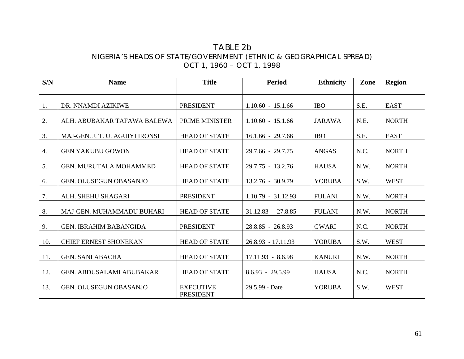## TABLE 2b NIGERIA'S HEADS OF STATE/GOVERNMENT (ETHNIC & GEOGRAPHICAL SPREAD) OCT 1, 1960 – OCT 1, 1998

| S/N | <b>Name</b>                     | <b>Title</b>                         | <b>Period</b>        | <b>Ethnicity</b> | Zone | <b>Region</b> |
|-----|---------------------------------|--------------------------------------|----------------------|------------------|------|---------------|
|     |                                 |                                      |                      |                  |      |               |
| 1.  | DR. NNAMDI AZIKIWE              | <b>PRESIDENT</b>                     | $1.10.60 - 15.1.66$  | <b>IBO</b>       | S.E. | <b>EAST</b>   |
| 2.  | ALH. ABUBAKAR TAFAWA BALEWA     | PRIME MINISTER                       | $1.10.60 - 15.1.66$  | <b>JARAWA</b>    | N.E. | <b>NORTH</b>  |
| 3.  | MAJ-GEN. J. T. U. AGUIYI IRONSI | <b>HEAD OF STATE</b>                 | $16.1.66 - 29.7.66$  | <b>IBO</b>       | S.E. | <b>EAST</b>   |
| 4.  | <b>GEN YAKUBU GOWON</b>         | <b>HEAD OF STATE</b>                 | 29.7.66 - 29.7.75    | <b>ANGAS</b>     | N.C. | <b>NORTH</b>  |
| 5.  | GEN. MURUTALA MOHAMMED          | <b>HEAD OF STATE</b>                 | 29.7.75 - 13.2.76    | <b>HAUSA</b>     | N.W. | <b>NORTH</b>  |
| 6.  | <b>GEN. OLUSEGUN OBASANJO</b>   | <b>HEAD OF STATE</b>                 | 13.2.76 - 30.9.79    | <b>YORUBA</b>    | S.W. | <b>WEST</b>   |
| 7.  | ALH. SHEHU SHAGARI              | <b>PRESIDENT</b>                     | $1.10.79 - 31.12.93$ | <b>FULANI</b>    | N.W. | <b>NORTH</b>  |
| 8.  | MAJ-GEN. MUHAMMADU BUHARI       | <b>HEAD OF STATE</b>                 | $31.12.83 - 27.8.85$ | <b>FULANI</b>    | N.W. | <b>NORTH</b>  |
| 9.  | <b>GEN. IBRAHIM BABANGIDA</b>   | <b>PRESIDENT</b>                     | 28.8.85 - 26.8.93    | <b>GWARI</b>     | N.C. | <b>NORTH</b>  |
| 10. | <b>CHIEF ERNEST SHONEKAN</b>    | <b>HEAD OF STATE</b>                 | 26.8.93 - 17.11.93   | <b>YORUBA</b>    | S.W. | <b>WEST</b>   |
| 11. | <b>GEN. SANI ABACHA</b>         | <b>HEAD OF STATE</b>                 | 17.11.93 - 8.6.98    | <b>KANURI</b>    | N.W. | <b>NORTH</b>  |
| 12. | GEN. ABDUSALAMI ABUBAKAR        | <b>HEAD OF STATE</b>                 | $8.6.93 - 29.5.99$   | <b>HAUSA</b>     | N.C. | <b>NORTH</b>  |
| 13. | GEN. OLUSEGUN OBASANJO          | <b>EXECUTIVE</b><br><b>PRESIDENT</b> | 29.5.99 - Date       | <b>YORUBA</b>    | S.W. | <b>WEST</b>   |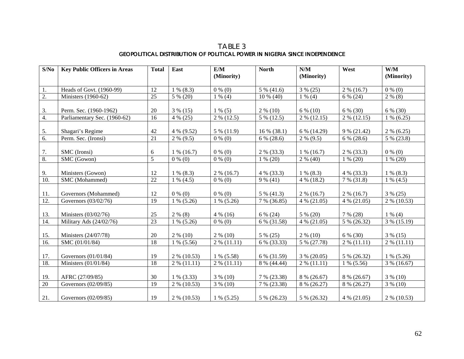TABLE 3 GEOPOLITICAL DISTRIBUTION OF POLITICAL POWER IN NIGERIA SINCE INDEPENDENCE

| S/No            | <b>Key Public Officers in Areas</b> | <b>Total</b>    | East          | E/M             | <b>North</b> | N/M               | West          | W/M           |
|-----------------|-------------------------------------|-----------------|---------------|-----------------|--------------|-------------------|---------------|---------------|
|                 |                                     |                 |               | (Minority)      |              | (Minority)        |               | (Minority)    |
| 1.              | Heads of Govt. (1960-99)            | 12              | $1\%$ (8.3)   | $0\%$ (0)       | 5 % (41.6)   | $3\% (25)$        | $2\%$ (16.7)  | $0\%$ (0)     |
| 2.              | Ministers (1960-62)                 | 25              | 5 % (20)      | $1\%$ (4)       | $10\%$ (40)  | $1\%$ (4)         | 6 % (24)      | $2\%$ (8)     |
|                 |                                     |                 |               |                 |              |                   |               |               |
| 3.              | Perm. Sec. (1960-1962)              | 20              | $3\%$ (15)    | $1\%$ (5)       | $2\%$ (10)   | $6\%$ (10)        | 6 % (30)      | 6 % (30)      |
| 4.              | Parliamentary Sec. (1960-62)        | $\overline{16}$ | $4\% (25)$    | $2\% (12.5)$    | $5\%$ (12.5) | $2\%$ (12.15)     | $2\%$ (12.15) | $1\%$ (6.25)  |
|                 |                                     |                 |               |                 |              |                   |               |               |
| 5.              | Shagari's Regime                    | 42              | 4 % (9.52)    | 5 % (11.9)      | 16 % (38.1)  | 6 % (14.29)       | 9 % (21.42)   | $2\%$ (6.25)  |
| 6.              | Perm. Sec. (Ironsi)                 | $\overline{21}$ | $2\%$ (9.5)   | $\bar{0}$ % (0) | 6 % (28.6)   | $2\%$ (9.5)       | $6\%$ (28.6)  | 5 % (23.8)    |
|                 |                                     |                 |               |                 |              |                   |               |               |
| 7.              | SMC (Ironsi)                        | 6               | $1\%$ (16.7)  | $0\%$ (0)       | $2\%$ (33.3) | $1\%$ (16.7)      | 2 % (33.3)    | $0\%$ (0)     |
| 8.              | SMC (Gowon)                         | 5               | $0\%$ (0)     | $0\%$ (0)       | $1\%$ (20)   | $\sqrt{2}$ % (40) | $1\%$ (20)    | $1\%$ (20)    |
| 9.              | Ministers (Gowon)                   | 12              | $1\%$ (8.3)   | $2\%$ (16.7)    | 4 % (33.3)   | $1\%$ (8.3)       | 4 % (33.3)    | $1\%$ (8.3)   |
| 10.             | SMC (Mohammed)                      | $\overline{22}$ | $1\%$ (4.5)   | $0\%$ (0)       | $9\% (41)$   | $4\%$ (18.2)      | $7\%$ (31.8)  | $1\%$ (4.5)   |
|                 |                                     |                 |               |                 |              |                   |               |               |
| 11.             | Governors (Mohammed)                | 12              | $0\%$ (0)     | $0\%$ (0)       | 5 % (41.3)   | $2\%$ (16.7)      | $2\%$ (16.7)  | $3\%$ (25)    |
| 12.             | Governors (03/02/76)                | 19              | $1\%$ (5.26)  | $1\%$ (5.26)    | 7 % (36.85)  | $4\%$ (21.05)     | $4\% (21.05)$ | 2 % (10.53)   |
|                 |                                     |                 |               |                 |              |                   |               |               |
| 13.             | Ministers (03/02/76)                | 25              | $2\%$ (8)     | $4\%$ (16)      | 6 % (24)     | $5\%$ (20)        | 7 % (28)      | $1\%$ (4)     |
| 14.             | Military Ads (24/02/76)             | 23              | $1\%$ (5.26)  | $0\%$ (0)       | 6 % (31.58)  | $4\% (21.05)$     | 5 % (26.32)   | 3 % (15.19)   |
|                 |                                     |                 |               |                 |              |                   |               |               |
| 15.             | Ministers (24/07/78)                | 20              | $2\%$ (10)    | $2\%$ (10)      | $5\%$ (25)   | $2\%$ (10)        | 6 % (30)      | $3\%$ (15)    |
| 16.             | SMC (01/01/84)                      | 18              | $1\%$ (5.56)  | $2\%$ (11.11)   | 6 % (33.33)  | 5 % (27.78)       | $2\%$ (11.11) | $2\%$ (11.11) |
|                 |                                     |                 |               |                 |              |                   |               |               |
| 17.             | Governors (01/01/84)                | 19              | 2 % (10.53)   | $1\%$ (5.58)    | 6 % (31.59)  | $3\% (20.05)$     | 5 % (26.32)   | $1\%$ (5.26)  |
| 18.             | Ministers (01/01/84)                | 18              | $2\%$ (11.11) | $2\%$ (11.11)   | 8 % (44.44)  | $2\%$ (11.11)     | $1\%$ (5.56)  | 3 % (16.67)   |
|                 |                                     |                 |               |                 |              |                   |               |               |
| 19.             | AFRC (27/09/85)                     | 30              | $1\%$ (3.33)  | $3\%$ (10)      | 7 % (23.38)  | 8 % (26.67)       | 8 % (26.67)   | $3\%$ (10)    |
| $\overline{20}$ | Governors (02/09/85)                | 19              | 2 % (10.53)   | $3\%$ (10)      | 7 % (23.38)  | 8 % (26.27)       | 8 % (26.27)   | $3\%$ (10)    |
| 21.             | Governors (02/09/85)                | 19              | $2\%$ (10.53) | $1\%$ (5.25)    | 5 % (26.23)  | 5 % (26.32)       | $4\% (21.05)$ | $2\%$ (10.53) |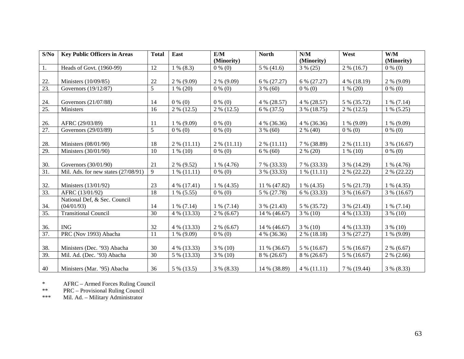| S/No | <b>Key Public Officers in Areas</b> | <b>Total</b>   | East          | E/M           | <b>North</b>            | N/M           | West          | W/M           |
|------|-------------------------------------|----------------|---------------|---------------|-------------------------|---------------|---------------|---------------|
|      |                                     |                |               | (Minority)    |                         | (Minority)    |               | (Minority)    |
| 1.   | Heads of Govt. (1960-99)            | 12             | $1\%$ (8.3)   | $0\%$ (0)     | $\overline{5}$ % (41.6) | $3\% (25)$    | $2\%$ (16.7)  | $0\%$ (0)     |
|      |                                     |                |               |               |                         |               |               |               |
| 22.  | Ministers (10/09/85)                | 22             | $2\%$ (9.09)  | $2\%$ (9.09)  | 6 % (27.27)             | 6 % (27.27)   | 4 % (18.19)   | $2\%$ (9.09)  |
| 23.  | Governors (19/12/87)                | $\overline{5}$ | $1\% (20)$    | $0\%$ (0)     | $3\%$ (60)              | $0\%$ (0)     | $1\%$ (20)    | $0\%$ (0)     |
|      |                                     |                |               |               |                         |               |               |               |
| 24.  | Governors (21/07/88)                | 14             | $0\%$ (0)     | $0\%$ (0)     | 4 % (28.57)             | 4 % (28.57)   | 5 % (35.72)   | $1\%$ (7.14)  |
| 25.  | Ministers                           | 16             | $2\%$ (12.5)  | $2\%$ (12.5)  | 6 % (37.5)              | 3 % (18.75)   | $2\%$ (12.5)  | $1\%$ (5.25)  |
|      |                                     |                |               |               |                         |               |               |               |
| 26.  | AFRC (29/03/89)                     | 11             | $1\%$ (9.09)  | $0\%$ (0)     | $4\%$ (36.36)           | $4\%$ (36.36) | $1\%$ (9.09)  | $1\%$ (9.09)  |
| 27.  | Governors (29/03/89)                | $\overline{5}$ | $0\%$ (0)     | $0\%$ (0)     | $3\%$ (60)              | $2\%$ (40)    | $0\%$ (0)     | $0\%$ (0)     |
|      |                                     |                |               |               |                         |               |               |               |
| 28.  | Ministers (08/01/90)                | 18             | $2\%$ (11.11) | $2\%$ (11.11) | $2\%$ (11.11)           | 7 % (38.89)   | $2\%$ (11.11) | $3\%$ (16.67) |
| 29.  | Ministers (30/01/90)                | 10             | $1\%$ (10)    | $0\%$ (0)     | $6\%$ (60)              | $2\%$ (20)    | $1\%$ (10)    | $0\%$ (0)     |
|      |                                     |                |               |               |                         |               |               |               |
| 30.  | Governors (30/01/90)                | 21             | $2\%$ (9.52)  | $1\%$ (4.76)  | 7 % (33.33)             | 7 % (33.33)   | 3 % (14.29)   | $1\%$ (4.76)  |
| 31.  | Mil. Ads. for new states (27/08/91) | 9              | $1\% (11.11)$ | $0\%$ (0)     | 3 % (33.33)             | $1\%$ (11.11) | $2\%$ (22.22) | $2\%$ (22.22) |
|      |                                     |                |               |               |                         |               |               |               |
| 32.  | Ministers (13/01/92)                | 23             | $4\%$ (17.41) | $1\%$ (4.35)  | 11 % (47.82)            | $1\%$ (4.35)  | 5 % (21.73)   | $1\%$ (4.35)  |
| 33.  | AFRC (13/01/92)                     | 18             | $1\%$ (5.55)  | $0\%$ (0)     | 5 % (27.78)             | 6 % (33.33)   | 3 % (16.67)   | $3\%$ (16.67) |
|      | National Def, & Sec. Council        |                |               |               |                         |               |               |               |
| 34.  | (04/01/93)                          | 14             | $1\%$ (7.14)  | $1\%$ (7.14)  | $3\% (21.43)$           | 5 % (35.72)   | 3 % (21.43)   | $1\%$ (7.14)  |
| 35.  | <b>Transitional Council</b>         | 30             | 4 % (13.33)   | $2\%$ (6.67)  | 14 % (46.67)            | $3\%$ (10)    | 4 % (13.33)   | $3\%$ (10)    |
|      |                                     |                |               |               |                         |               |               |               |
| 36.  | <b>ING</b>                          | 32             | 4 % (13.33)   | $2\%$ (6.67)  | 14 % (46.67)            | $3\%$ (10)    | 4 % (13.33)   | $3\%$ (10)    |
| 37.  | PRC (Nov 1993) Abacha               | 11             | $1\%$ (9.09)  | $0\%$ (0)     | $4\%$ (36.36)           | $2\%$ (18.18) | 3 % (27.27)   | $1\%$ (9.09)  |
|      |                                     |                |               |               |                         |               |               |               |
| 38.  | Ministers (Dec. '93) Abacha         | 30             | 4 % (13.33)   | $3\%$ (10)    | 11 % (36.67)            | 5 % (16.67)   | 5 % (16.67)   | $2\%$ (6.67)  |
| 39.  | Mil. Ad. (Dec. '93) Abacha          | 30             | 5 % (13.33)   | $3\%$ (10)    | 8 % (26.67)             | 8 % (26.67)   | 5 % (16.67)   | $2\%$ (2.66)  |
| 40   | Ministers (Mar. '95) Abacha         | 36             | 5 % (13.5)    | $3\%$ (8.33)  | 14 % (38.89)            | $4\%$ (11.11) | 7 % (19.44)   | $3\%$ (8.33)  |

\*AFRC – Armed Forces Ruling Council

\*\*PRC – Provisional Ruling Council

\*\*\*Mil. Ad. – Military Administrator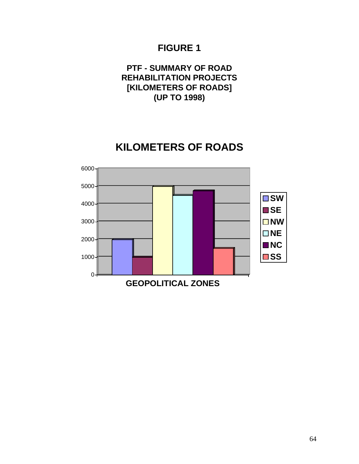**PTF - SUMMARY OF ROAD REHABILITATION PROJECTS [KILOMETERS OF ROADS] (UP TO 1998)**

# **KILOMETERS OF ROADS**

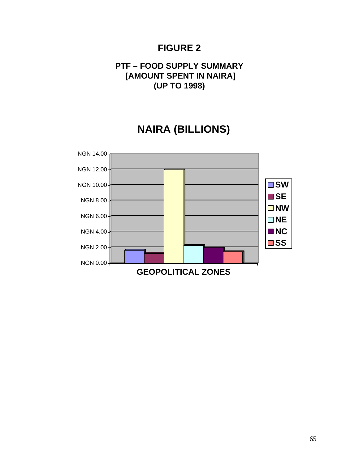# **PTF – FOOD SUPPLY SUMMARY [AMOUNT SPENT IN NAIRA] (UP TO 1998)**

# **NAIRA (BILLIONS)**

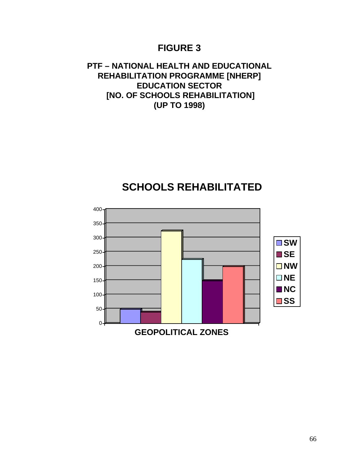# **PTF – NATIONAL HEALTH AND EDUCATIONAL REHABILITATION PROGRAMME [NHERP] EDUCATION SECTOR [NO. OF SCHOOLS REHABILITATION] (UP TO 1998)**

# **SCHOOLS REHABILITATED**

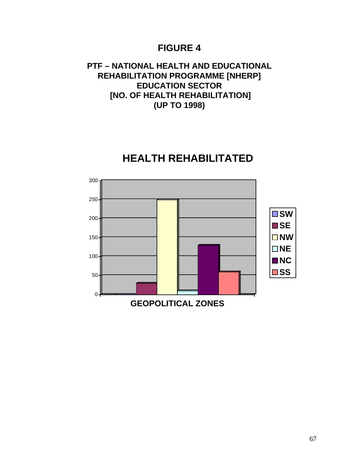# **PTF – NATIONAL HEALTH AND EDUCATIONAL REHABILITATION PROGRAMME [NHERP] EDUCATION SECTOR [NO. OF HEALTH REHABILITATION] (UP TO 1998)**

# $0$ 50 100 150 200 250 300 **GEOPOLITICAL ZONES SW SE NW NE NC** ■SS

# **HEALTH REHABILITATED**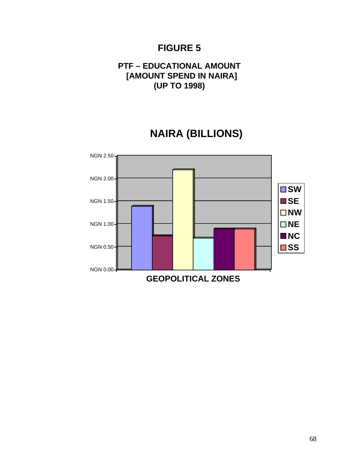# **PTF – EDUCATIONAL AMOUNT [AMOUNT SPEND IN NAIRA] (UP TO 1998)**

# **NAIRA (BILLIONS)**

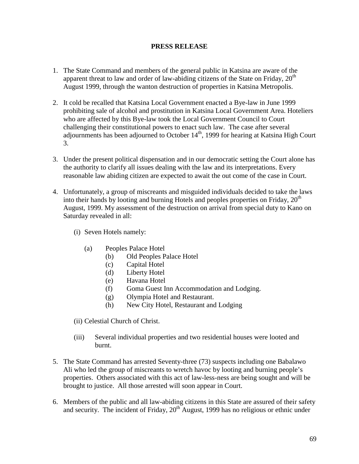#### **PRESS RELEASE**

- 1. The State Command and members of the general public in Katsina are aware of the apparent threat to law and order of law-abiding citizens of the State on Friday,  $20<sup>th</sup>$ August 1999, through the wanton destruction of properties in Katsina Metropolis.
- 2. It cold be recalled that Katsina Local Government enacted a Bye-law in June 1999 prohibiting sale of alcohol and prostitution in Katsina Local Government Area. Hoteliers who are affected by this Bye-law took the Local Government Council to Court challenging their constitutional powers to enact such law. The case after several adjournments has been adjourned to October  $14<sup>th</sup>$ , 1999 for hearing at Katsina High Court 3.
- 3. Under the present political dispensation and in our democratic setting the Court alone has the authority to clarify all issues dealing with the law and its interpretations. Every reasonable law abiding citizen are expected to await the out come of the case in Court.
- 4. Unfortunately, a group of miscreants and misguided individuals decided to take the laws into their hands by looting and burning Hotels and peoples properties on Friday,  $20<sup>th</sup>$ August, 1999. My assessment of the destruction on arrival from special duty to Kano on Saturday revealed in all:
	- (i) Seven Hotels namely:
		- (a) Peoples Palace Hotel
			- (b) Old Peoples Palace Hotel
			- (c) Capital Hotel
			- (d) Liberty Hotel
			- (e) Havana Hotel
			- (f) Goma Guest Inn Accommodation and Lodging.
			- (g) Olympia Hotel and Restaurant.
			- (h) New City Hotel, Restaurant and Lodging
	- (ii) Celestial Church of Christ.
	- (iii) Several individual properties and two residential houses were looted and burnt.
- 5. The State Command has arrested Seventy-three (73) suspects including one Babalawo Ali who led the group of miscreants to wretch havoc by looting and burning people's properties. Others associated with this act of law-less-ness are being sought and will be brought to justice. All those arrested will soon appear in Court.
- 6. Members of the public and all law-abiding citizens in this State are assured of their safety and security. The incident of Friday,  $20^{th}$  August, 1999 has no religious or ethnic under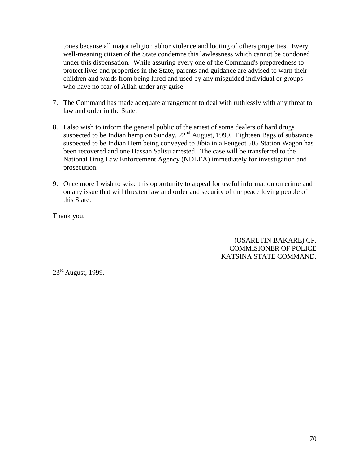tones because all major religion abhor violence and looting of others properties. Every well-meaning citizen of the State condemns this lawlessness which cannot be condoned under this dispensation. While assuring every one of the Command's preparedness to protect lives and properties in the State, parents and guidance are advised to warn their children and wards from being lured and used by any misguided individual or groups who have no fear of Allah under any guise.

- 7. The Command has made adequate arrangement to deal with ruthlessly with any threat to law and order in the State.
- 8. I also wish to inform the general public of the arrest of some dealers of hard drugs suspected to be Indian hemp on Sunday, 22<sup>nd</sup> August, 1999. Eighteen Bags of substance suspected to be Indian Hem being conveyed to Jibia in a Peugeot 505 Station Wagon has been recovered and one Hassan Salisu arrested. The case will be transferred to the National Drug Law Enforcement Agency (NDLEA) immediately for investigation and prosecution.
- 9. Once more I wish to seize this opportunity to appeal for useful information on crime and on any issue that will threaten law and order and security of the peace loving people of this State.

Thank you.

(OSARETIN BAKARE) CP. COMMISIONER OF POLICE KATSINA STATE COMMAND.

 $23^{\text{rd}}$  August, 1999.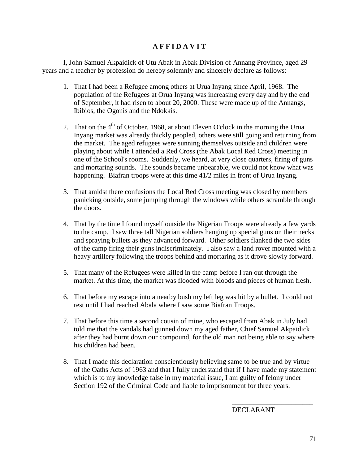#### **A F F I D A V I T**

I, John Samuel Akpaidick of Utu Abak in Abak Division of Annang Province, aged 29 years and a teacher by profession do hereby solemnly and sincerely declare as follows:

- 1. That I had been a Refugee among others at Urua Inyang since April, 1968. The population of the Refugees at Orua Inyang was increasing every day and by the end of September, it had risen to about 20, 2000. These were made up of the Annangs, Ibibios, the Ogonis and the Ndokkis.
- 2. That on the  $4<sup>th</sup>$  of October, 1968, at about Eleven O'clock in the morning the Urua Inyang market was already thickly peopled, others were still going and returning from the market. The aged refugees were sunning themselves outside and children were playing about while I attended a Red Cross (the Abak Local Red Cross) meeting in one of the School's rooms. Suddenly, we heard, at very close quarters, firing of guns and mortaring sounds. The sounds became unbearable, we could not know what was happening. Biafran troops were at this time 41/2 miles in front of Urua Inyang.
- 3. That amidst there confusions the Local Red Cross meeting was closed by members panicking outside, some jumping through the windows while others scramble through the doors.
- 4. That by the time I found myself outside the Nigerian Troops were already a few yards to the camp. I saw three tall Nigerian soldiers hanging up special guns on their necks and spraying bullets as they advanced forward. Other soldiers flanked the two sides of the camp firing their guns indiscriminately. I also saw a land rover mounted with a heavy artillery following the troops behind and mortaring as it drove slowly forward.
- 5. That many of the Refugees were killed in the camp before I ran out through the market. At this time, the market was flooded with bloods and pieces of human flesh.
- 6. That before my escape into a nearby bush my left leg was hit by a bullet. I could not rest until I had reached Abala where I saw some Biafran Troops.
- 7. That before this time a second cousin of mine, who escaped from Abak in July had told me that the vandals had gunned down my aged father, Chief Samuel Akpaidick after they had burnt down our compound, for the old man not being able to say where his children had been.
- 8. That I made this declaration conscientiously believing same to be true and by virtue of the Oaths Acts of 1963 and that I fully understand that if I have made my statement which is to my knowledge false in my material issue, I am guilty of felony under Section 192 of the Criminal Code and liable to imprisonment for three years.

\_\_\_\_\_\_\_\_\_\_\_\_\_\_\_\_\_\_\_\_\_\_\_ DECLARANT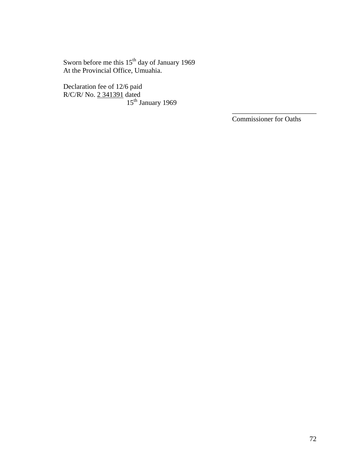Sworn before me this 15<sup>th</sup> day of January 1969 At the Provincial Office, Umuahia.

Declaration fee of 12/6 paid R/C/R/ No. 2 341391 dated 15<sup>th</sup> January 1969

Commissioner for Oaths

\_\_\_\_\_\_\_\_\_\_\_\_\_\_\_\_\_\_\_\_\_\_\_\_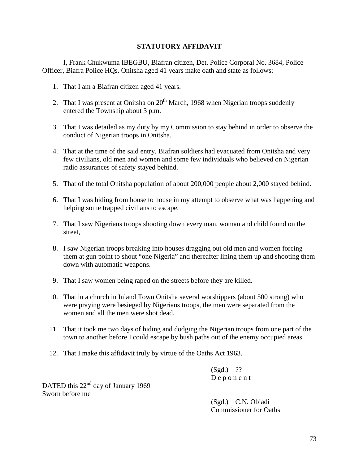# **STATUTORY AFFIDAVIT**

I, Frank Chukwuma IBEGBU, Biafran citizen, Det. Police Corporal No. 3684, Police Officer, Biafra Police HQs. Onitsha aged 41 years make oath and state as follows:

- 1. That I am a Biafran citizen aged 41 years.
- 2. That I was present at Onitsha on  $20<sup>th</sup>$  March, 1968 when Nigerian troops suddenly entered the Township about 3 p.m.
- 3. That I was detailed as my duty by my Commission to stay behind in order to observe the conduct of Nigerian troops in Onitsha.
- 4. That at the time of the said entry, Biafran soldiers had evacuated from Onitsha and very few civilians, old men and women and some few individuals who believed on Nigerian radio assurances of safety stayed behind.
- 5. That of the total Onitsha population of about 200,000 people about 2,000 stayed behind.
- 6. That I was hiding from house to house in my attempt to observe what was happening and helping some trapped civilians to escape.
- 7. That I saw Nigerians troops shooting down every man, woman and child found on the street,
- 8. I saw Nigerian troops breaking into houses dragging out old men and women forcing them at gun point to shout "one Nigeria" and thereafter lining them up and shooting them down with automatic weapons.
- 9. That I saw women being raped on the streets before they are killed.
- 10. That in a church in Inland Town Onitsha several worshippers (about 500 strong) who were praying were besieged by Nigerians troops, the men were separated from the women and all the men were shot dead.
- 11. That it took me two days of hiding and dodging the Nigerian troops from one part of the town to another before I could escape by bush paths out of the enemy occupied areas.
- 12. That I make this affidavit truly by virtue of the Oaths Act 1963.

 $(Sgd.)$  ?? D e p o n e n t

DATED this 22<sup>nd</sup> day of January 1969 Sworn before me

> (Sgd.) C.N. Obiadi Commissioner for Oaths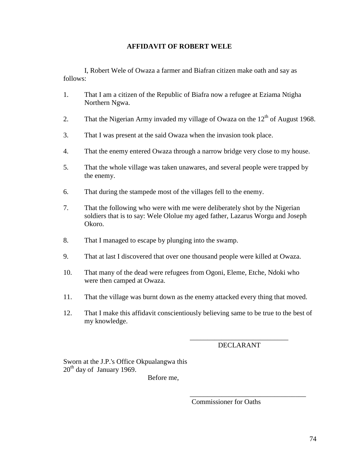# **AFFIDAVIT OF ROBERT WELE**

I, Robert Wele of Owaza a farmer and Biafran citizen make oath and say as follows:

- 1. That I am a citizen of the Republic of Biafra now a refugee at Eziama Ntigha Northern Ngwa.
- 2. That the Nigerian Army invaded my village of Owaza on the  $12<sup>th</sup>$  of August 1968.
- 3. That I was present at the said Owaza when the invasion took place.
- 4. That the enemy entered Owaza through a narrow bridge very close to my house.
- 5. That the whole village was taken unawares, and several people were trapped by the enemy.
- 6. That during the stampede most of the villages fell to the enemy.
- 7. That the following who were with me were deliberately shot by the Nigerian soldiers that is to say: Wele Ololue my aged father, Lazarus Worgu and Joseph Okoro.
- 8. That I managed to escape by plunging into the swamp.
- 9. That at last I discovered that over one thousand people were killed at Owaza.
- 10. That many of the dead were refugees from Ogoni, Eleme, Etche, Ndoki who were then camped at Owaza.
- 11. That the village was burnt down as the enemy attacked every thing that moved.
- 12. That I make this affidavit conscientiously believing same to be true to the best of my knowledge.

\_\_\_\_\_\_\_\_\_\_\_\_\_\_\_\_\_\_\_\_\_\_\_\_\_\_\_\_ DECLARANT

\_\_\_\_\_\_\_\_\_\_\_\_\_\_\_\_\_\_\_\_\_\_\_\_\_\_\_\_\_\_\_\_\_

Sworn at the J.P.'s Office Okpualangwa this  $20<sup>th</sup>$  day of January 1969.

Before me,

Commissioner for Oaths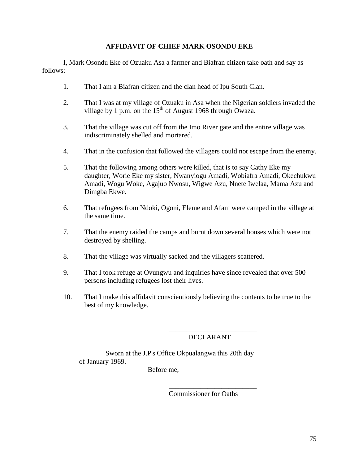# **AFFIDAVIT OF CHIEF MARK OSONDU EKE**

I, Mark Osondu Eke of Ozuaku Asa a farmer and Biafran citizen take oath and say as follows:

- 1. That I am a Biafran citizen and the clan head of Ipu South Clan.
- 2. That I was at my village of Ozuaku in Asa when the Nigerian soldiers invaded the village by 1 p.m. on the  $15<sup>th</sup>$  of August 1968 through Owaza.
- 3. That the village was cut off from the Imo River gate and the entire village was indiscriminately shelled and mortared.
- 4. That in the confusion that followed the villagers could not escape from the enemy.
- 5. That the following among others were killed, that is to say Cathy Eke my daughter, Worie Eke my sister, Nwanyiogu Amadi, Wobiafra Amadi, Okechukwu Amadi, Wogu Woke, Agajuo Nwosu, Wigwe Azu, Nnete Iwelaa, Mama Azu and Dimgba Ekwe.
- 6. That refugees from Ndoki, Ogoni, Eleme and Afam were camped in the village at the same time.
- 7. That the enemy raided the camps and burnt down several houses which were not destroyed by shelling.
- 8. That the village was virtually sacked and the villagers scattered.
- 9. That I took refuge at Ovungwu and inquiries have since revealed that over 500 persons including refugees lost their lives.
- 10. That I make this affidavit conscientiously believing the contents to be true to the best of my knowledge.

### \_\_\_\_\_\_\_\_\_\_\_\_\_\_\_\_\_\_\_\_\_\_\_\_\_ DECLARANT

Sworn at the J.P's Office Okpualangwa this 20th day of January 1969.

Before me,

Commissioner for Oaths

\_\_\_\_\_\_\_\_\_\_\_\_\_\_\_\_\_\_\_\_\_\_\_\_\_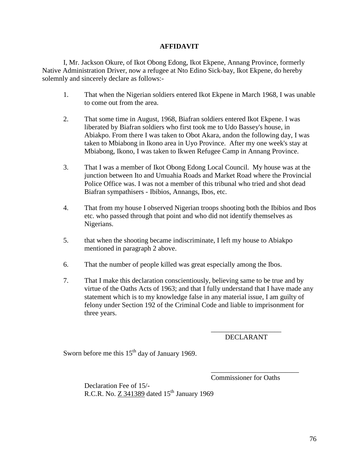# **AFFIDAVIT**

I, Mr. Jackson Okure, of Ikot Obong Edong, Ikot Ekpene, Annang Province, formerly Native Administration Driver, now a refugee at Nto Edino Sick-bay, Ikot Ekpene, do hereby solemnly and sincerely declare as follows:-

- 1. That when the Nigerian soldiers entered Ikot Ekpene in March 1968, I was unable to come out from the area.
- 2. That some time in August, 1968, Biafran soldiers entered Ikot Ekpene. I was liberated by Biafran soldiers who first took me to Udo Bassey's house, in Abiakpo. From there I was taken to Obot Akara, andon the following day, I was taken to Mbiabong in Ikono area in Uyo Province. After my one week's stay at Mbiabong, Ikono, I was taken to Ikwen Refugee Camp in Annang Province.
- 3. That I was a member of Ikot Obong Edong Local Council. My house was at the junction between Ito and Umuahia Roads and Market Road where the Provincial Police Office was. I was not a member of this tribunal who tried and shot dead Biafran sympathisers - Ibibios, Annangs, Ibos, etc.
- 4. That from my house I observed Nigerian troops shooting both the Ibibios and Ibos etc. who passed through that point and who did not identify themselves as Nigerians.
- 5. that when the shooting became indiscriminate, I left my house to Abiakpo mentioned in paragraph 2 above.
- 6. That the number of people killed was great especially among the Ibos.
- 7. That I make this declaration conscientiously, believing same to be true and by virtue of the Oaths Acts of 1963; and that I fully understand that I have made any statement which is to my knowledge false in any material issue, I am guilty of felony under Section 192 of the Criminal Code and liable to imprisonment for three years.

\_\_\_\_\_\_\_\_\_\_\_\_\_\_\_\_\_\_\_\_ DECLARANT

Sworn before me this  $15<sup>th</sup>$  day of January 1969.

Commissioner for Oaths

\_\_\_\_\_\_\_\_\_\_\_\_\_\_\_\_\_\_\_\_\_\_\_\_\_

Declaration Fee of 15/- R.C.R. No. Z 341389 dated  $15<sup>th</sup>$  January 1969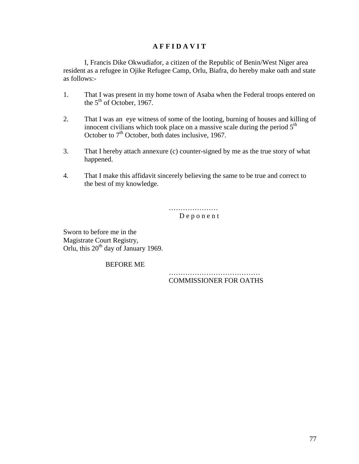# **A F F I D A V I T**

I, Francis Dike Okwudiafor, a citizen of the Republic of Benin/West Niger area resident as a refugee in Ojike Refugee Camp, Orlu, Biafra, do hereby make oath and state as follows:-

- 1. That I was present in my home town of Asaba when the Federal troops entered on the  $5<sup>th</sup>$  of October, 1967.
- 2. That I was an eye witness of some of the looting, burning of houses and killing of innocent civilians which took place on a massive scale during the period  $5<sup>th</sup>$ October to  $7<sup>th</sup>$  October, both dates inclusive, 1967.
- 3. That I hereby attach annexure (c) counter-signed by me as the true story of what happened.
- 4. That I make this affidavit sincerely believing the same to be true and correct to the best of my knowledge.

………………………… D e p o n e n t

Sworn to before me in the Magistrate Court Registry, Orlu, this  $20^{th}$  day of January 1969.

BEFORE ME

…………………………………………… COMMISSIONER FOR OATHS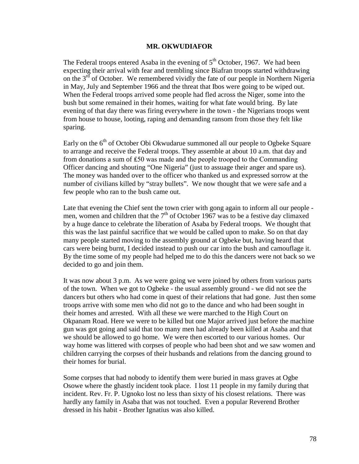#### **MR. OKWUDIAFOR**

The Federal troops entered Asaba in the evening of  $5<sup>th</sup>$  October, 1967. We had been expecting their arrival with fear and trembling since Biafran troops started withdrawing on the  $3<sup>rd</sup>$  of October. We remembered vividly the fate of our people in Northern Nigeria in May, July and September 1966 and the threat that Ibos were going to be wiped out. When the Federal troops arrived some people had fled across the Niger, some into the bush but some remained in their homes, waiting for what fate would bring. By late evening of that day there was firing everywhere in the town - the Nigerians troops went from house to house, looting, raping and demanding ransom from those they felt like sparing.

Early on the  $6<sup>th</sup>$  of October Obi Okwudarue summoned all our people to Ogbeke Square to arrange and receive the Federal troops. They assemble at about 10 a.m. that day and from donations a sum of ₤50 was made and the people trooped to the Commanding Officer dancing and shouting "One Nigeria" (just to assuage their anger and spare us). The money was handed over to the officer who thanked us and expressed sorrow at the number of civilians killed by "stray bullets". We now thought that we were safe and a few people who ran to the bush came out.

Late that evening the Chief sent the town crier with gong again to inform all our people men, women and children that the  $7<sup>th</sup>$  of October 1967 was to be a festive day climaxed by a huge dance to celebrate the liberation of Asaba by Federal troops. We thought that this was the last painful sacrifice that we would be called upon to make. So on that day many people started moving to the assembly ground at Ogbeke but, having heard that cars were being burnt, I decided instead to push our car into the bush and camouflage it. By the time some of my people had helped me to do this the dancers were not back so we decided to go and join them.

It was now about 3 p.m. As we were going we were joined by others from various parts of the town. When we got to Ogbeke - the usual assembly ground - we did not see the dancers but others who had come in quest of their relations that had gone. Just then some troops arrive with some men who did not go to the dance and who had been sought in their homes and arrested. With all these we were marched to the High Court on Okpanam Road. Here we were to be killed but one Major arrived just before the machine gun was got going and said that too many men had already been killed at Asaba and that we should be allowed to go home. We were then escorted to our various homes. Our way home was littered with corpses of people who had been shot and we saw women and children carrying the corpses of their husbands and relations from the dancing ground to their homes for burial.

Some corpses that had nobody to identify them were buried in mass graves at Ogbe Osowe where the ghastly incident took place. I lost 11 people in my family during that incident. Rev. Fr. P. Ugnoko lost no less than sixty of his closest relations. There was hardly any family in Asaba that was not touched. Even a popular Reverend Brother dressed in his habit - Brother Ignatius was also killed.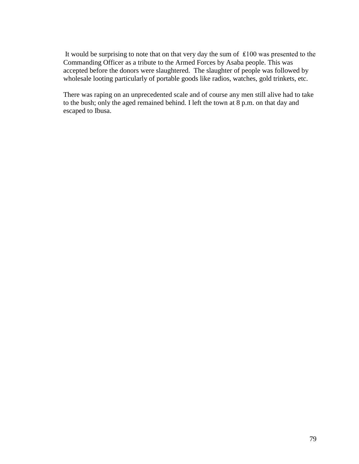It would be surprising to note that on that very day the sum of ₤100 was presented to the Commanding Officer as a tribute to the Armed Forces by Asaba people. This was accepted before the donors were slaughtered. The slaughter of people was followed by wholesale looting particularly of portable goods like radios, watches, gold trinkets, etc.

There was raping on an unprecedented scale and of course any men still alive had to take to the bush; only the aged remained behind. I left the town at 8 p.m. on that day and escaped to Ibusa.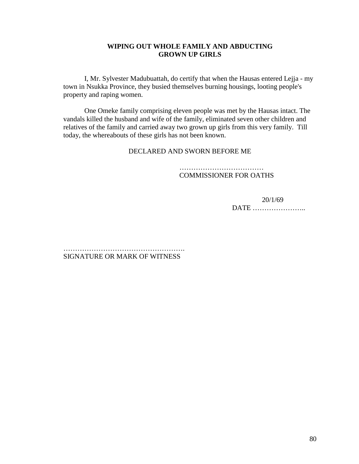### **WIPING OUT WHOLE FAMILY AND ABDUCTING GROWN UP GIRLS**

I, Mr. Sylvester Madubuattah, do certify that when the Hausas entered Lejja - my town in Nsukka Province, they busied themselves burning housings, looting people's property and raping women.

One Omeke family comprising eleven people was met by the Hausas intact. The vandals killed the husband and wife of the family, eliminated seven other children and relatives of the family and carried away two grown up girls from this very family. Till today, the whereabouts of these girls has not been known.

#### DECLARED AND SWORN BEFORE ME

…………………………………………… COMMISSIONER FOR OATHS

20/1/69

DATE …………………..

……………………………………………. SIGNATURE OR MARK OF WITNESS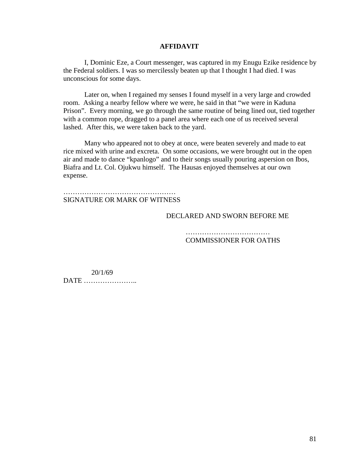#### **AFFIDAVIT**

I, Dominic Eze, a Court messenger, was captured in my Enugu Ezike residence by the Federal soldiers. I was so mercilessly beaten up that I thought I had died. I was unconscious for some days.

Later on, when I regained my senses I found myself in a very large and crowded room. Asking a nearby fellow where we were, he said in that "we were in Kaduna Prison". Every morning, we go through the same routine of being lined out, tied together with a common rope, dragged to a panel area where each one of us received several lashed. After this, we were taken back to the yard.

Many who appeared not to obey at once, were beaten severely and made to eat rice mixed with urine and excreta. On some occasions, we were brought out in the open air and made to dance "kpanlogo" and to their songs usually pouring aspersion on Ibos, Biafra and Lt. Col. Ojukwu himself. The Hausas enjoyed themselves at our own expense.

………………………………………………………… SIGNATURE OR MARK OF WITNESS

DECLARED AND SWORN BEFORE ME

 ……………………………… COMMISSIONER FOR OATHS

 20/1/69 DATE …………………..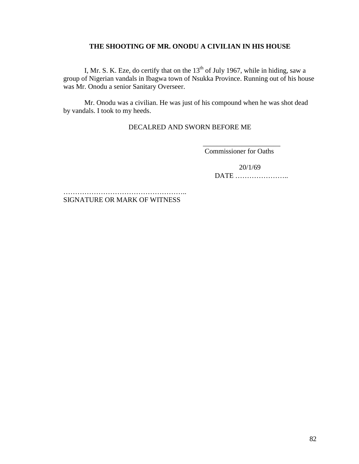### **THE SHOOTING OF MR. ONODU A CIVILIAN IN HIS HOUSE**

I, Mr. S. K. Eze, do certify that on the  $13<sup>th</sup>$  of July 1967, while in hiding, saw a group of Nigerian vandals in Ibagwa town of Nsukka Province. Running out of his house was Mr. Onodu a senior Sanitary Overseer.

Mr. Onodu was a civilian. He was just of his compound when he was shot dead by vandals. I took to my heeds.

DECALRED AND SWORN BEFORE ME

\_\_\_\_\_\_\_\_\_\_\_\_\_\_\_\_\_\_\_\_\_\_ Commissioner for Oaths

> 20/1/69 DATE …………………..

………………………………………………………… SIGNATURE OR MARK OF WITNESS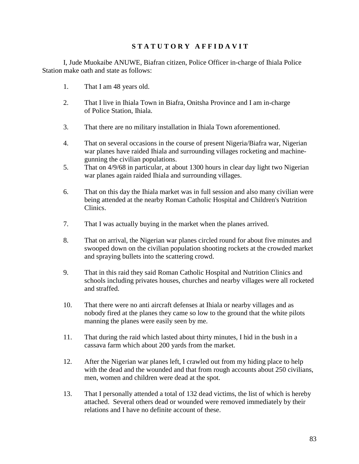# **S T A T U T O R Y A F F I D A V I T**

I, Jude Muokaibe ANUWE, Biafran citizen, Police Officer in-charge of Ihiala Police Station make oath and state as follows:

- 1. That I am 48 years old.
- 2. That I live in Ihiala Town in Biafra, Onitsha Province and I am in-charge of Police Station, Ihiala.
- 3. That there are no military installation in Ihiala Town aforementioned.
- 4. That on several occasions in the course of present Nigeria/Biafra war, Nigerian war planes have raided Ihiala and surrounding villages rocketing and machinegunning the civilian populations.
- 5. That on 4/9/68 in particular, at about 1300 hours in clear day light two Nigerian war planes again raided Ihiala and surrounding villages.
- 6. That on this day the Ihiala market was in full session and also many civilian were being attended at the nearby Roman Catholic Hospital and Children's Nutrition Clinics.
- 7. That I was actually buying in the market when the planes arrived.
- 8. That on arrival, the Nigerian war planes circled round for about five minutes and swooped down on the civilian population shooting rockets at the crowded market and spraying bullets into the scattering crowd.
- 9. That in this raid they said Roman Catholic Hospital and Nutrition Clinics and schools including privates houses, churches and nearby villages were all rocketed and straffed.
- 10. That there were no anti aircraft defenses at Ihiala or nearby villages and as nobody fired at the planes they came so low to the ground that the white pilots manning the planes were easily seen by me.
- 11. That during the raid which lasted about thirty minutes, I hid in the bush in a cassava farm which about 200 yards from the market.
- 12. After the Nigerian war planes left, I crawled out from my hiding place to help with the dead and the wounded and that from rough accounts about 250 civilians, men, women and children were dead at the spot.
- 13. That I personally attended a total of 132 dead victims, the list of which is hereby attached. Several others dead or wounded were removed immediately by their relations and I have no definite account of these.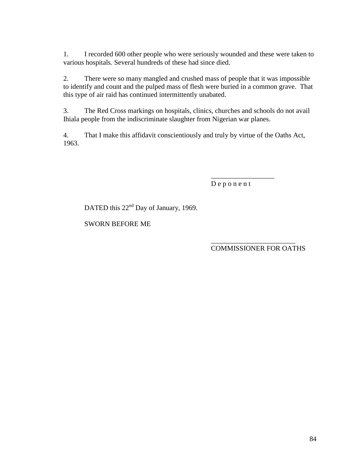1. I recorded 600 other people who were seriously wounded and these were taken to various hospitals. Several hundreds of these had since died.

2. There were so many mangled and crushed mass of people that it was impossible to identify and count and the pulped mass of flesh were buried in a common grave. That this type of air raid has continued intermittently unabated.

3. The Red Cross markings on hospitals, clinics, churches and schools do not avail Ihiala people from the indiscriminate slaughter from Nigerian war planes.

4. That I make this affidavit conscientiously and truly by virtue of the Oaths Act, 1963.

D e p o n e n t

\_\_\_\_\_\_\_\_\_\_\_\_\_\_\_\_\_\_

DATED this 22<sup>nd</sup> Day of January, 1969.

SWORN BEFORE ME

 $\frac{1}{2}$  , and the contract of the contract of the contract of the contract of the contract of the contract of the contract of the contract of the contract of the contract of the contract of the contract of the contract COMMISSIONER FOR OATHS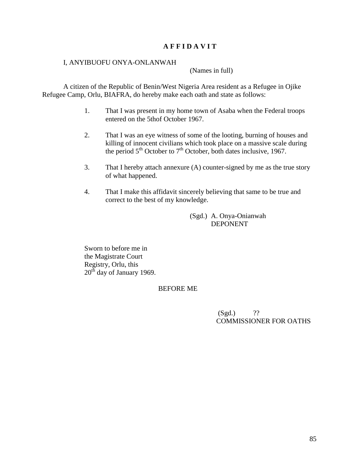# **A F F I D A V I T**

#### I, ANYIBUOFU ONYA-ONLANWAH

(Names in full)

A citizen of the Republic of Benin/West Nigeria Area resident as a Refugee in Ojike Refugee Camp, Orlu, BIAFRA, do hereby make each oath and state as follows:

- 1. That I was present in my home town of Asaba when the Federal troops entered on the 5thof October 1967.
- 2. That I was an eye witness of some of the looting, burning of houses and killing of innocent civilians which took place on a massive scale during the period  $5<sup>th</sup>$  October to  $7<sup>th</sup>$  October, both dates inclusive, 1967.
- 3. That I hereby attach annexure (A) counter-signed by me as the true story of what happened.
- 4. That I make this affidavit sincerely believing that same to be true and correct to the best of my knowledge.

(Sgd.) A. Onya-Onianwah DEPONENT

Sworn to before me in the Magistrate Court Registry, Orlu, this  $20<sup>th</sup>$  day of January 1969.

### BEFORE ME

 $(Sgd.)$  ?? COMMISSIONER FOR OATHS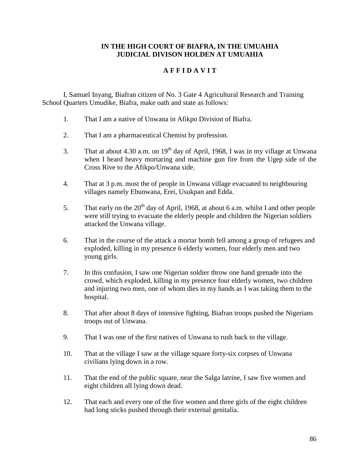### **IN THE HIGH COURT OF BIAFRA, IN THE UMUAHIA JUDICIAL DIVISON HOLDEN AT UMUAHIA**

# **A F F I D A V I T**

I, Samuel Inyang, Biafran citizen of No. 3 Gate 4 Agricultural Research and Training School Quarters Umudike, Biafra, make oath and state as follows:

- 1. That I am a native of Unwana in Afikpo Division of Biafra.
- 2. That I am a pharmaceutical Chemist by profession.
- 3. That at about 4.30 a.m. on  $19<sup>th</sup>$  day of April, 1968, I was in my village at Unwana when I heard heavy mortaring and machine gun fire from the Ugep side of the Cross Rive to the Afikpo/Unwana side.
- 4. That at 3 p.m. most the of people in Unwana village evacuated to neighbouring villages namely Ebunwana, Erei, Usukpan and Edda.
- 5. That early on the  $20<sup>th</sup>$  day of April, 1968, at about 6 a.m. whilst I and other people were still trying to evacuate the elderly people and children the Nigerian soldiers attacked the Unwana village.
- 6. That in the course of the attack a mortar bomb fell among a group of refugees and exploded, killing in my presence 6 elderly women, four elderly men and two young girls.
- 7. In this confusion, I saw one Nigerian soldier throw one hand grenade into the crowd, which exploded, killing in my presence four elderly women, two children and injuring two men, one of whom dies in my hands as I was taking them to the hospital.
- 8. That after about 8 days of intensive fighting, Biafran troops pushed the Nigerians troops out of Unwana.
- 9. That I was one of the first natives of Unwana to rush back to the village.
- 10. That at the village I saw at the village square forty-six corpses of Unwana civilians lying down in a row.
- 11. That the end of the public square, near the Salga latrine, I saw five women and eight children all lying down dead.
- 12. That each and every one of the five women and three girls of the eight children had long sticks pushed through their external genitalia.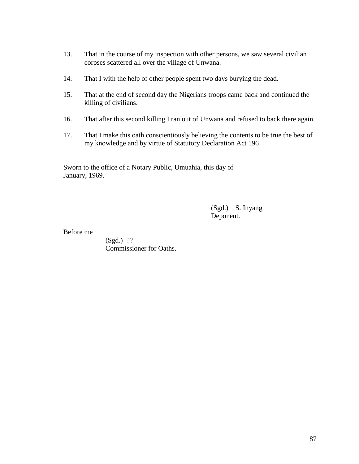- 13. That in the course of my inspection with other persons, we saw several civilian corpses scattered all over the village of Unwana.
- 14. That I with the help of other people spent two days burying the dead.
- 15. That at the end of second day the Nigerians troops came back and continued the killing of civilians.
- 16. That after this second killing I ran out of Unwana and refused to back there again.
- 17. That I make this oath conscientiously believing the contents to be true the best of my knowledge and by virtue of Statutory Declaration Act 196

Sworn to the office of a Notary Public, Umuahia, this day of January, 1969.

> (Sgd.) S. Inyang Deponent.

#### Before me

(Sgd.) ?? Commissioner for Oaths.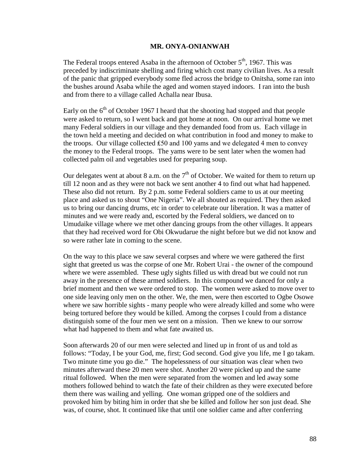#### **MR. ONYA-ONIANWAH**

The Federal troops entered Asaba in the afternoon of October  $5<sup>th</sup>$ , 1967. This was preceded by indiscriminate shelling and firing which cost many civilian lives. As a result of the panic that gripped everybody some fled across the bridge to Onitsha, some ran into the bushes around Asaba while the aged and women stayed indoors. I ran into the bush and from there to a village called Achalla near Ibusa.

Early on the  $6<sup>th</sup>$  of October 1967 I heard that the shooting had stopped and that people were asked to return, so I went back and got home at noon. On our arrival home we met many Federal soldiers in our village and they demanded food from us. Each village in the town held a meeting and decided on what contribution in food and money to make to the troops. Our village collected  $£50$  and 100 yams and we delegated 4 men to convey the money to the Federal troops. The yams were to be sent later when the women had collected palm oil and vegetables used for preparing soup.

Our delegates went at about 8 a.m. on the  $7<sup>th</sup>$  of October. We waited for them to return up till 12 noon and as they were not back we sent another 4 to find out what had happened. These also did not return. By 2 p.m. some Federal soldiers came to us at our meeting place and asked us to shout "One Nigeria". We all shouted as required. They then asked us to bring our dancing drums, etc in order to celebrate our liberation. It was a matter of minutes and we were ready and, escorted by the Federal soldiers, we danced on to Umudaike village where we met other dancing groups from the other villages. It appears that they had received word for Obi Okwudarue the night before but we did not know and so were rather late in coming to the scene.

On the way to this place we saw several corpses and where we were gathered the first sight that greeted us was the corpse of one Mr. Robert Urai - the owner of the compound where we were assembled. These ugly sights filled us with dread but we could not run away in the presence of these armed soldiers. In this compound we danced for only a brief moment and then we were ordered to stop. The women were asked to move over to one side leaving only men on the other. We, the men, were then escorted to Ogbe Osowe where we saw horrible sights - many people who were already killed and some who were being tortured before they would be killed. Among the corpses I could from a distance distinguish some of the four men we sent on a mission. Then we knew to our sorrow what had happened to them and what fate awaited us.

Soon afterwards 20 of our men were selected and lined up in front of us and told as follows: "Today, I be your God, me, first; God second. God give you life, me I go takam. Two minute time you go die." The hopelessness of our situation was clear when two minutes afterward these 20 men were shot. Another 20 were picked up and the same ritual followed. When the men were separated from the women and led away some mothers followed behind to watch the fate of their children as they were executed before them there was wailing and yelling. One woman gripped one of the soldiers and provoked him by biting him in order that she be killed and follow her son just dead. She was, of course, shot. It continued like that until one soldier came and after conferring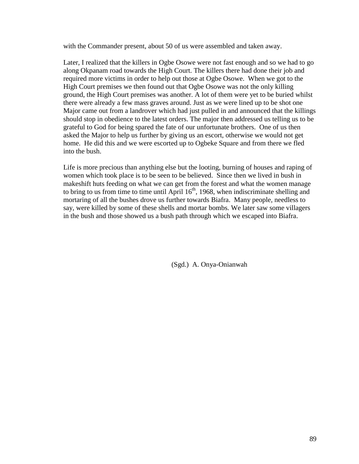with the Commander present, about 50 of us were assembled and taken away.

Later, I realized that the killers in Ogbe Osowe were not fast enough and so we had to go along Okpanam road towards the High Court. The killers there had done their job and required more victims in order to help out those at Ogbe Osowe. When we got to the High Court premises we then found out that Ogbe Osowe was not the only killing ground, the High Court premises was another. A lot of them were yet to be buried whilst there were already a few mass graves around. Just as we were lined up to be shot one Major came out from a landrover which had just pulled in and announced that the killings should stop in obedience to the latest orders. The major then addressed us telling us to be grateful to God for being spared the fate of our unfortunate brothers. One of us then asked the Major to help us further by giving us an escort, otherwise we would not get home. He did this and we were escorted up to Ogbeke Square and from there we fled into the bush.

Life is more precious than anything else but the looting, burning of houses and raping of women which took place is to be seen to be believed. Since then we lived in bush in makeshift huts feeding on what we can get from the forest and what the women manage to bring to us from time to time until April  $16<sup>th</sup>$ , 1968, when indiscriminate shelling and mortaring of all the bushes drove us further towards Biafra. Many people, needless to say, were killed by some of these shells and mortar bombs. We later saw some villagers in the bush and those showed us a bush path through which we escaped into Biafra.

(Sgd.) A. Onya-Onianwah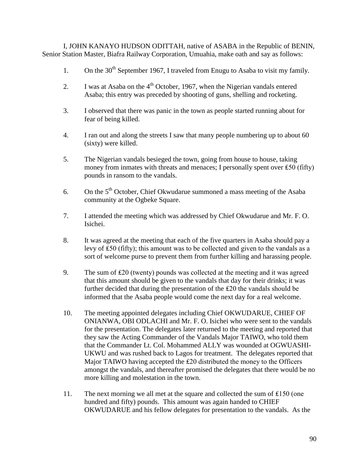I, JOHN KANAYO HUDSON ODITTAH, native of ASABA in the Republic of BENIN, Senior Station Master, Biafra Railway Corporation, Umuahia, make oath and say as follows:

- 1. On the  $30<sup>th</sup>$  September 1967, I traveled from Enugu to Asaba to visit my family.
- 2. I was at Asaba on the  $4<sup>th</sup>$  October, 1967, when the Nigerian vandals entered Asaba; this entry was preceded by shooting of guns, shelling and rocketing.
- 3. I observed that there was panic in the town as people started running about for fear of being killed.
- 4. I ran out and along the streets I saw that many people numbering up to about 60 (sixty) were killed.
- 5. The Nigerian vandals besieged the town, going from house to house, taking money from inmates with threats and menaces; I personally spent over ₤50 (fifty) pounds in ransom to the vandals.
- 6. On the  $5<sup>th</sup>$  October, Chief Okwudarue summoned a mass meeting of the Asaba community at the Ogbeke Square.
- 7. I attended the meeting which was addressed by Chief Okwudarue and Mr. F. O. Isichei.
- 8. It was agreed at the meeting that each of the five quarters in Asaba should pay a levy of ₤50 (fifty); this amount was to be collected and given to the vandals as a sort of welcome purse to prevent them from further killing and harassing people.
- 9. The sum of £20 (twenty) pounds was collected at the meeting and it was agreed that this amount should be given to the vandals that day for their drinks; it was further decided that during the presentation of the ₤20 the vandals should be informed that the Asaba people would come the next day for a real welcome.
- 10. The meeting appointed delegates including Chief OKWUDARUE, CHIEF OF ONIANWA, OBI ODLACHI and Mr. F. O. Isichei who were sent to the vandals for the presentation. The delegates later returned to the meeting and reported that they saw the Acting Commander of the Vandals Major TAIWO, who told them that the Commander Lt. Col. Mohammed ALLY was wounded at OGWUASHI-UKWU and was rushed back to Lagos for treatment. The delegates reported that Major TAIWO having accepted the  $£20$  distributed the money to the Officers amongst the vandals, and thereafter promised the delegates that there would be no more killing and molestation in the town.
- 11. The next morning we all met at the square and collected the sum of ₤150 (one hundred and fifty) pounds. This amount was again handed to CHIEF OKWUDARUE and his fellow delegates for presentation to the vandals. As the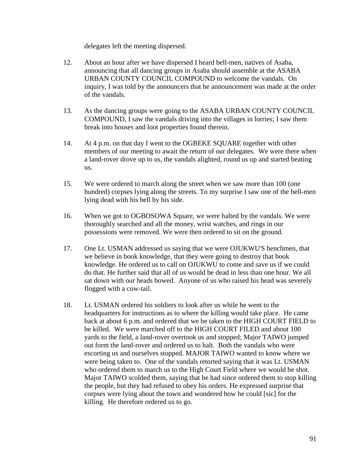delegates left the meeting dispersed.

- 12. About an hour after we have dispersed I heard bell-men, natives of Asaba, announcing that all dancing groups in Asaba should assemble at the ASABA URBAN COUNTY COUNCIL COMPOUND to welcome the vandals. On inquiry, I was told by the announcers that he announcement was made at the order of the vandals.
- 13. As the dancing groups were going to the ASABA URBAN COUNTY COUNCIL COMPOUND, I saw the vandals driving into the villages in lorries; I saw them break into houses and loot properties found therein.
- 14. At 4 p.m. on that day I went to the OGBEKE SQUARE together with other members of our meeting to await the return of our delegates. We were there when a land-rover drove up to us, the vandals alighted, round us up and started beating us.
- 15. We were ordered to march along the street when we saw more than 100 (one hundred) corpses lying along the streets. To my surprise I saw one of the bell-men lying dead with his bell by his side.
- 16. When we got to OGBOSOWA Square, we were halted by the vandals. We were thoroughly searched and all the money, wrist watches, and rings in our possessions were removed. We were then ordered to sit on the ground.
- 17. One Lt. USMAN addressed us saying that we were OJUKWU'S henchmen, that we believe in book knowledge, that they were going to destroy that book knowledge. He ordered us to call on OJUKWU to come and save us if we could do that. He further said that all of us would be dead in less than one hour. We all sat down with our heads bowed. Anyone of us who raised his head was severely flogged with a cow-tail.
- 18. Lt. USMAN ordered his soldiers to look after us while he went to the headquarters for instructions as to where the killing would take place. He came back at about 6 p.m. and ordered that we be taken to the HIGH COURT FIELD to be killed. We were marched off to the HIGH COURT FILED and about 100 yards to the field, a land-rover overtook us and stopped; Major TAIWO jumped out form the land-rover and ordered us to halt. Both the vandals who were escorting us and ourselves stopped. MAJOR TAIWO wanted to know where we were being taken to. One of the vandals retorted saying that it was Lt. USMAN who ordered them to march us to the High Court Field where we would be shot. Major TAIWO scolded them, saying that he had since ordered them to stop killing the people, but they had refused to obey his orders. He expressed surprise that corpses were lying about the town and wondered how he could [sic] for the killing. He therefore ordered us to go.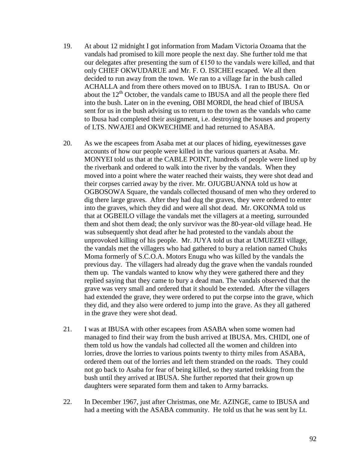- 19. At about 12 midnight I got information from Madam Victoria Ozoama that the vandals had promised to kill more people the next day. She further told me that our delegates after presenting the sum of ₤150 to the vandals were killed, and that only CHIEF OKWUDARUE and Mr. F. O. ISICHEI escaped. We all then decided to run away from the town. We ran to a village far in the bush called ACHALLA and from there others moved on to IBUSA. I ran to IBUSA. On or about the  $12<sup>th</sup>$  October, the vandals came to IBUSA and all the people there fled into the bush. Later on in the evening, OBI MORDI, the head chief of IBUSA sent for us in the bush advising us to return to the town as the vandals who came to Ibusa had completed their assignment, i.e. destroying the houses and property of LTS. NWAJEI and OKWECHIME and had returned to ASABA.
- 20. As we the escapees from Asaba met at our places of hiding, eyewitnesses gave accounts of how our people were killed in the various quarters at Asaba. Mr. MONYEI told us that at the CABLE POINT, hundreds of people were lined up by the riverbank and ordered to walk into the river by the vandals. When they moved into a point where the water reached their waists, they were shot dead and their corpses carried away by the river. Mr. OJUGBUANNA told us how at OGBOSOWA Square, the vandals collected thousand of men who they ordered to dig there large graves. After they had dug the graves, they were ordered to enter into the graves, which they did and were all shot dead. Mr. OKONMA told us that at OGBEILO village the vandals met the villagers at a meeting, surrounded them and shot them dead; the only survivor was the 80-year-old village head. He was subsequently shot dead after he had protested to the vandals about the unprovoked killing of his people. Mr. JUYA told us that at UMUEZEI village, the vandals met the villagers who had gathered to bury a relation named Chuks Moma formerly of S.C.O.A. Motors Enugu who was killed by the vandals the previous day. The villagers had already dug the grave when the vandals rounded them up. The vandals wanted to know why they were gathered there and they replied saying that they came to bury a dead man. The vandals observed that the grave was very small and ordered that it should be extended. After the villagers had extended the grave, they were ordered to put the corpse into the grave, which they did, and they also were ordered to jump into the grave. As they all gathered in the grave they were shot dead.
- 21. I was at IBUSA with other escapees from ASABA when some women had managed to find their way from the bush arrived at IBUSA. Mrs. CHIDI, one of them told us how the vandals had collected all the women and children into lorries, drove the lorries to various points twenty to thirty miles from ASABA, ordered them out of the lorries and left them stranded on the roads. They could not go back to Asaba for fear of being killed, so they started trekking from the bush until they arrived at IBUSA. She further reported that their grown up daughters were separated form them and taken to Army barracks.
- 22. In December 1967, just after Christmas, one Mr. AZINGE, came to IBUSA and had a meeting with the ASABA community. He told us that he was sent by Lt.